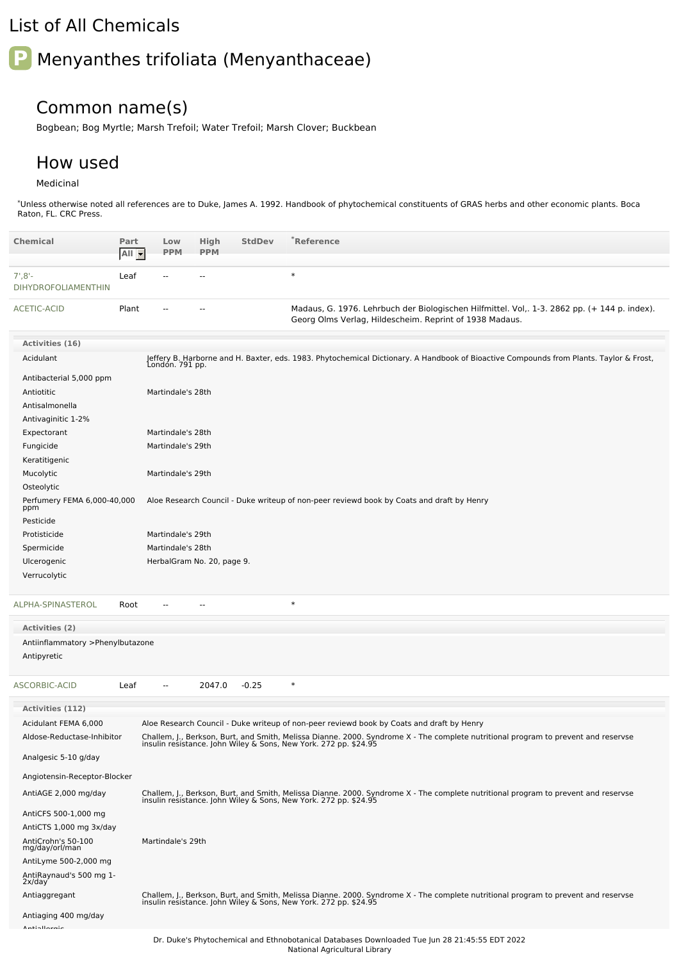## List of All Chemicals

# **P** Menyanthes trifoliata (Menyanthaceae)

### Common name(s)

Bogbean; Bog Myrtle; Marsh Trefoil; Water Trefoil; Marsh Clover; Buckbean

#### How used

#### Medicinal

\*Unless otherwise noted all references are to Duke, James A. 1992. Handbook of phytochemical constituents of GRAS herbs and other economic plants. Boca Raton, FL. CRC Press.

| <b>Chemical</b>                                 | Part<br>All - | Low<br><b>PPM</b> | High<br><b>PPM</b>         | <b>StdDev</b> | *Reference                                                                                                                                                                                             |
|-------------------------------------------------|---------------|-------------------|----------------------------|---------------|--------------------------------------------------------------------------------------------------------------------------------------------------------------------------------------------------------|
| $7', 8'$ -<br><b>DIHYDROFOLIAMENTHIN</b>        | Leaf          |                   |                            |               | $\ast$                                                                                                                                                                                                 |
| ACETIC-ACID                                     | Plant         |                   |                            |               | Madaus, G. 1976. Lehrbuch der Biologischen Hilfmittel. Vol,. 1-3. 2862 pp. (+ 144 p. index).<br>Georg Olms Verlag, Hildescheim. Reprint of 1938 Madaus.                                                |
| Activities (16)                                 |               |                   |                            |               |                                                                                                                                                                                                        |
| Acidulant                                       |               |                   |                            |               | Jeffery B. Harborne and H. Baxter, eds. 1983. Phytochemical Dictionary. A Handbook of Bioactive Compounds from Plants. Taylor & Frost,<br>London. 791 pp.                                              |
| Antibacterial 5,000 ppm                         |               |                   |                            |               |                                                                                                                                                                                                        |
| Antiotitic                                      |               | Martindale's 28th |                            |               |                                                                                                                                                                                                        |
| Antisalmonella                                  |               |                   |                            |               |                                                                                                                                                                                                        |
| Antivaginitic 1-2%                              |               |                   |                            |               |                                                                                                                                                                                                        |
| Expectorant                                     |               | Martindale's 28th |                            |               |                                                                                                                                                                                                        |
| Fungicide                                       |               | Martindale's 29th |                            |               |                                                                                                                                                                                                        |
| Keratitigenic<br>Mucolytic                      |               | Martindale's 29th |                            |               |                                                                                                                                                                                                        |
| Osteolytic                                      |               |                   |                            |               |                                                                                                                                                                                                        |
| Perfumery FEMA 6,000-40,000<br>ppm              |               |                   |                            |               | Aloe Research Council - Duke writeup of non-peer reviewd book by Coats and draft by Henry                                                                                                              |
| Pesticide<br>Protisticide                       |               | Martindale's 29th |                            |               |                                                                                                                                                                                                        |
| Spermicide                                      |               | Martindale's 28th |                            |               |                                                                                                                                                                                                        |
| Ulcerogenic                                     |               |                   | HerbalGram No. 20, page 9. |               |                                                                                                                                                                                                        |
| Verrucolytic                                    |               |                   |                            |               |                                                                                                                                                                                                        |
| ALPHA-SPINASTEROL                               | Root          |                   |                            |               | $\ast$                                                                                                                                                                                                 |
| Activities (2)                                  |               |                   |                            |               |                                                                                                                                                                                                        |
| Antiinflammatory >Phenylbutazone<br>Antipyretic |               |                   |                            |               |                                                                                                                                                                                                        |
| ASCORBIC-ACID                                   | Leaf          |                   | 2047.0                     | $-0.25$       | $\ast$                                                                                                                                                                                                 |
| <b>Activities (112)</b>                         |               |                   |                            |               |                                                                                                                                                                                                        |
| Acidulant FEMA 6,000                            |               |                   |                            |               | Aloe Research Council - Duke writeup of non-peer reviewd book by Coats and draft by Henry                                                                                                              |
| Aldose-Reductase-Inhibitor                      |               |                   |                            |               | Challem, J., Berkson, Burt, and Smith, Melissa Dianne. 2000. Syndrome X - The complete nutritional program to prevent and reservse<br>insulin resistance. John Wiley & Sons, New York. 272 pp. \$24.95 |
| Analgesic 5-10 g/day                            |               |                   |                            |               |                                                                                                                                                                                                        |
| Angiotensin-Receptor-Blocker                    |               |                   |                            |               |                                                                                                                                                                                                        |
| AntiAGE 2,000 mg/day                            |               |                   |                            |               | Challem, J., Berkson, Burt, and Smith, Melissa Dianne. 2000. Syndrome X - The complete nutritional program to prevent and reservse<br>insulin resistance. John Wiley & Sons, New York. 272 pp. \$24.95 |
| AntiCFS 500-1,000 mg                            |               |                   |                            |               |                                                                                                                                                                                                        |
| AntiCTS 1,000 mg 3x/day                         |               |                   |                            |               |                                                                                                                                                                                                        |
| AntiCrohn's 50-100<br>mg/day/orl/man            |               | Martindale's 29th |                            |               |                                                                                                                                                                                                        |
| AntiLyme 500-2,000 mg                           |               |                   |                            |               |                                                                                                                                                                                                        |
| AntiRaynaud's 500 mg 1-<br>2x/day               |               |                   |                            |               |                                                                                                                                                                                                        |
| Antiaggregant                                   |               |                   |                            |               | Challem, J., Berkson, Burt, and Smith, Melissa Dianne. 2000. Syndrome X - The complete nutritional program to prevent and reservse<br>insulin resistance. John Wiley & Sons, New York. 272 pp. \$24.95 |
| Antiaging 400 mg/day                            |               |                   |                            |               |                                                                                                                                                                                                        |
| Anti-Herein                                     |               |                   |                            |               |                                                                                                                                                                                                        |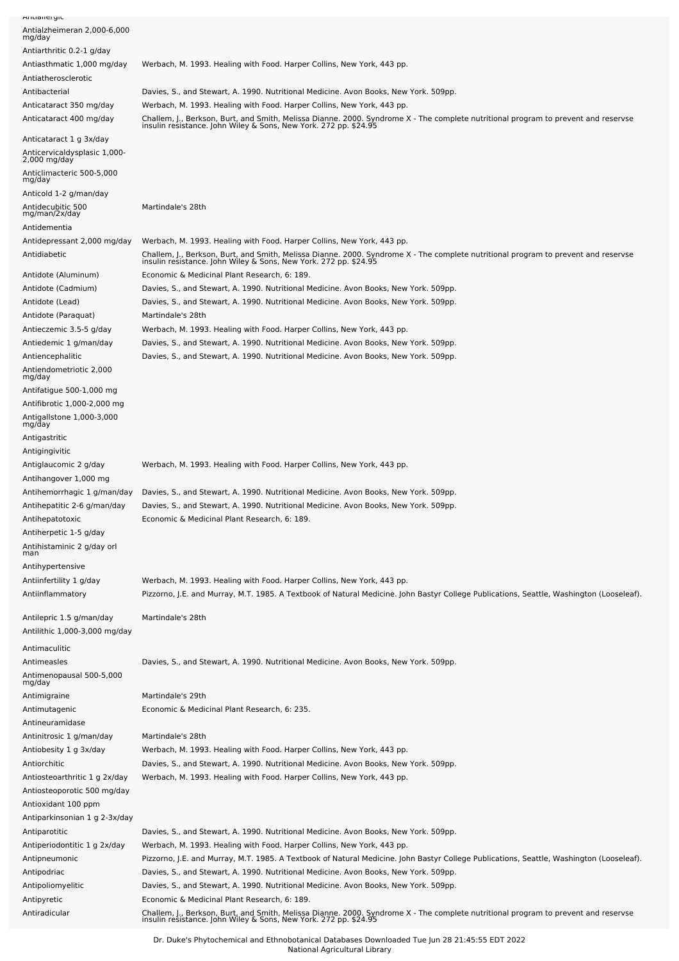| Antianeryit                                                             |                                                                                                                                                                                                                    |
|-------------------------------------------------------------------------|--------------------------------------------------------------------------------------------------------------------------------------------------------------------------------------------------------------------|
| Antialzheimeran 2,000-6,000<br>mg/day                                   |                                                                                                                                                                                                                    |
| Antiarthritic 0.2-1 g/day                                               |                                                                                                                                                                                                                    |
| Antiasthmatic 1,000 mg/day                                              | Werbach, M. 1993. Healing with Food. Harper Collins, New York, 443 pp.                                                                                                                                             |
| Antiatherosclerotic                                                     |                                                                                                                                                                                                                    |
| Antibacterial                                                           | Davies, S., and Stewart, A. 1990. Nutritional Medicine. Avon Books, New York. 509pp.                                                                                                                               |
| Anticataract 350 mg/day                                                 | Werbach, M. 1993. Healing with Food. Harper Collins, New York, 443 pp.                                                                                                                                             |
| Anticataract 400 mg/day                                                 | Challem, J., Berkson, Burt, and Smith, Melissa Dianne. 2000. Syndrome X - The complete nutritional program to prevent and reservse<br>insulin resistance. John Wiley & Sons, New York. 272 pp. \$24.95             |
| Anticataract 1 g 3x/day<br>Anticervicaldysplasic 1,000-<br>2,000 mg/day |                                                                                                                                                                                                                    |
| Anticlimacteric 500-5,000<br>mg/day                                     |                                                                                                                                                                                                                    |
| Anticold 1-2 g/man/day                                                  |                                                                                                                                                                                                                    |
| Antidecubitic 500<br>mg/man/2x/day<br>Antidementia                      | Martindale's 28th                                                                                                                                                                                                  |
| Antidepressant 2,000 mg/day                                             | Werbach, M. 1993. Healing with Food. Harper Collins, New York, 443 pp.                                                                                                                                             |
| Antidiabetic                                                            | Challem, J., Berkson, Burt, and Smith, Melissa Dianne. 2000. Syndrome X - The complete nutritional program to prevent and reservse<br>insulin resistance. John Wiley & Sons, New York. 272 pp. \$24.95             |
| Antidote (Aluminum)                                                     | Economic & Medicinal Plant Research, 6: 189.                                                                                                                                                                       |
| Antidote (Cadmium)                                                      | Davies, S., and Stewart, A. 1990. Nutritional Medicine. Avon Books, New York. 509pp.                                                                                                                               |
| Antidote (Lead)                                                         | Davies, S., and Stewart, A. 1990. Nutritional Medicine. Avon Books, New York. 509pp.                                                                                                                               |
| Antidote (Paraquat)                                                     | Martindale's 28th                                                                                                                                                                                                  |
| Antieczemic 3.5-5 g/day                                                 | Werbach, M. 1993. Healing with Food. Harper Collins, New York, 443 pp.                                                                                                                                             |
| Antiedemic 1 g/man/day                                                  | Davies, S., and Stewart, A. 1990. Nutritional Medicine. Avon Books, New York. 509pp.                                                                                                                               |
| Antiencephalitic<br>Antiendometriotic 2,000                             | Davies, S., and Stewart, A. 1990. Nutritional Medicine. Avon Books, New York. 509pp.                                                                                                                               |
| mg/day                                                                  |                                                                                                                                                                                                                    |
| Antifatigue 500-1,000 mg                                                |                                                                                                                                                                                                                    |
| Antifibrotic 1,000-2,000 mg                                             |                                                                                                                                                                                                                    |
| Antigallstone 1,000-3,000<br>mg/day                                     |                                                                                                                                                                                                                    |
| Antigastritic                                                           |                                                                                                                                                                                                                    |
| Antigingivitic                                                          |                                                                                                                                                                                                                    |
| Antiglaucomic 2 g/day                                                   | Werbach, M. 1993. Healing with Food. Harper Collins, New York, 443 pp.                                                                                                                                             |
| Antihangover 1,000 mg<br>Antihemorrhagic 1 g/man/day                    | Davies, S., and Stewart, A. 1990. Nutritional Medicine. Avon Books, New York. 509pp.                                                                                                                               |
| Antihepatitic 2-6 g/man/day                                             | Davies, S., and Stewart, A. 1990. Nutritional Medicine. Avon Books, New York. 509pp.                                                                                                                               |
| Antihepatotoxic                                                         | Economic & Medicinal Plant Research, 6: 189.                                                                                                                                                                       |
| Antiherpetic 1-5 g/day                                                  |                                                                                                                                                                                                                    |
| Antihistaminic 2 g/day orl<br>man                                       |                                                                                                                                                                                                                    |
| Antihypertensive                                                        |                                                                                                                                                                                                                    |
| Antiinfertility 1 g/day                                                 | Werbach, M. 1993. Healing with Food. Harper Collins, New York, 443 pp.                                                                                                                                             |
| Antiinflammatory                                                        | Pizzorno, J.E. and Murray, M.T. 1985. A Textbook of Natural Medicine. John Bastyr College Publications, Seattle, Washington (Looseleaf).                                                                           |
| Antilepric 1.5 g/man/day                                                | Martindale's 28th                                                                                                                                                                                                  |
| Antilithic 1,000-3,000 mg/day                                           |                                                                                                                                                                                                                    |
| Antimaculitic                                                           |                                                                                                                                                                                                                    |
| Antimeasles                                                             | Davies, S., and Stewart, A. 1990. Nutritional Medicine. Avon Books, New York. 509pp.                                                                                                                               |
| Antimenopausal 500-5,000<br>mg/day                                      |                                                                                                                                                                                                                    |
| Antimigraine                                                            | Martindale's 29th                                                                                                                                                                                                  |
| Antimutagenic                                                           | Economic & Medicinal Plant Research, 6: 235.                                                                                                                                                                       |
| Antineuramidase                                                         | Martindale's 28th                                                                                                                                                                                                  |
| Antinitrosic 1 g/man/day<br>Antiobesity 1 g 3x/day                      | Werbach, M. 1993. Healing with Food. Harper Collins, New York, 443 pp.                                                                                                                                             |
| Antiorchitic                                                            | Davies, S., and Stewart, A. 1990. Nutritional Medicine. Avon Books, New York. 509pp.                                                                                                                               |
| Antiosteoarthritic 1 g 2x/day                                           | Werbach, M. 1993. Healing with Food. Harper Collins, New York, 443 pp.                                                                                                                                             |
| Antiosteoporotic 500 mg/day                                             |                                                                                                                                                                                                                    |
| Antioxidant 100 ppm                                                     |                                                                                                                                                                                                                    |
| Antiparkinsonian 1 g 2-3x/day                                           |                                                                                                                                                                                                                    |
| Antiparotitic                                                           | Davies, S., and Stewart, A. 1990. Nutritional Medicine. Avon Books, New York. 509pp.                                                                                                                               |
| Antiperiodontitic 1 g 2x/day<br>Antipneumonic                           | Werbach, M. 1993. Healing with Food. Harper Collins, New York, 443 pp.<br>Pizzorno, J.E. and Murray, M.T. 1985. A Textbook of Natural Medicine. John Bastyr College Publications, Seattle, Washington (Looseleaf). |
| Antipodriac                                                             | Davies, S., and Stewart, A. 1990. Nutritional Medicine. Avon Books, New York. 509pp.                                                                                                                               |
| Antipoliomyelitic                                                       | Davies, S., and Stewart, A. 1990. Nutritional Medicine. Avon Books, New York. 509pp.                                                                                                                               |
| Antipyretic                                                             | Economic & Medicinal Plant Research, 6: 189.                                                                                                                                                                       |
| Antiradicular                                                           | Challem, J., Berkson, Burt, and Smith, Melissa Dianne. 2000. Syndrome X - The complete nutritional program to prevent and reservse<br>insulin resistance. John Wiley & Sons, New York. 272 pp. \$24.95             |

Dr. Duke's Phytochemical and Ethnobotanical Databases Downloaded Tue Jun 28 21:45:55 EDT 2022 National Agricultural Library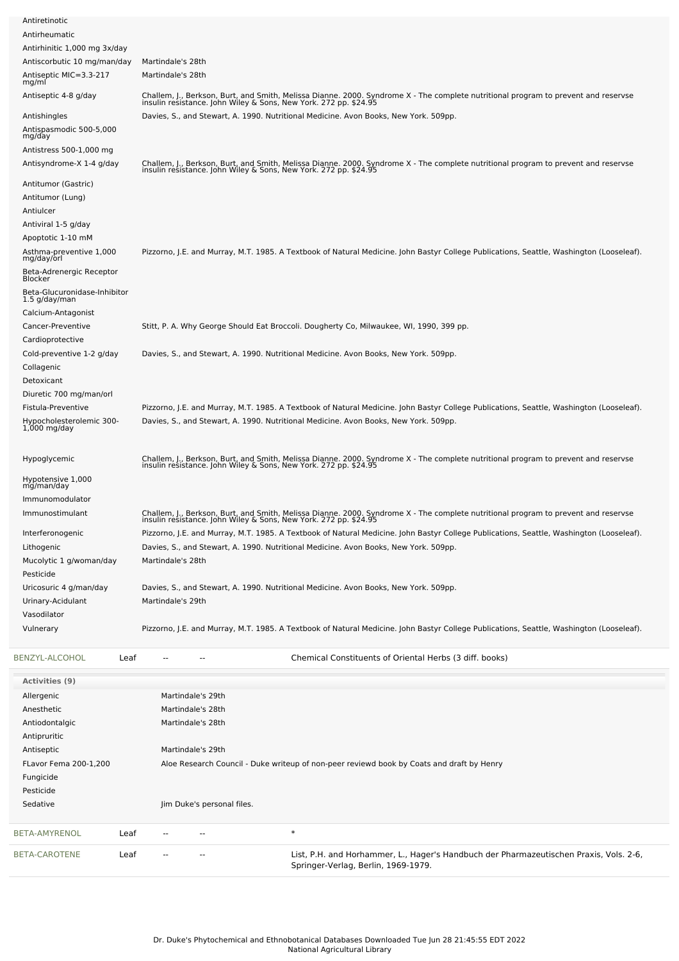| Antiretinotic                                 |      |                                                                                                                                                                                                        |  |
|-----------------------------------------------|------|--------------------------------------------------------------------------------------------------------------------------------------------------------------------------------------------------------|--|
| Antirheumatic                                 |      |                                                                                                                                                                                                        |  |
| Antirhinitic 1,000 mg 3x/day                  |      |                                                                                                                                                                                                        |  |
| Antiscorbutic 10 mg/man/day                   |      | Martindale's 28th                                                                                                                                                                                      |  |
| Antiseptic MIC=3.3-217<br>mg/ml               |      | Martindale's 28th                                                                                                                                                                                      |  |
| Antiseptic 4-8 g/day                          |      | Challem, J., Berkson, Burt, and Smith, Melissa Dianne. 2000. Syndrome X - The complete nutritional program to prevent and reservse<br>insulin resistance. John Wiley & Sons, New York. 272 pp. \$24.95 |  |
| Antishingles                                  |      | Davies, S., and Stewart, A. 1990. Nutritional Medicine. Avon Books, New York. 509pp.                                                                                                                   |  |
| Antispasmodic 500-5,000<br>mg/day             |      |                                                                                                                                                                                                        |  |
| Antistress 500-1,000 mg                       |      |                                                                                                                                                                                                        |  |
| Antisyndrome-X 1-4 g/day                      |      | Challem, J., Berkson, Burt, and Smith, Melissa Dianne. 2000. Syndrome X - The complete nutritional program to prevent and reservse<br>insulin resistance. John Wiley & Sons, New York. 272 pp. \$24.95 |  |
| Antitumor (Gastric)                           |      |                                                                                                                                                                                                        |  |
| Antitumor (Lung)                              |      |                                                                                                                                                                                                        |  |
| Antiulcer                                     |      |                                                                                                                                                                                                        |  |
| Antiviral 1-5 g/day                           |      |                                                                                                                                                                                                        |  |
|                                               |      |                                                                                                                                                                                                        |  |
| Apoptotic 1-10 mM                             |      |                                                                                                                                                                                                        |  |
| Asthma-preventive 1,000<br>mg/day/orl         |      | Pizzorno, J.E. and Murray, M.T. 1985. A Textbook of Natural Medicine. John Bastyr College Publications, Seattle, Washington (Looseleaf).                                                               |  |
| Beta-Adrenergic Receptor<br>Blocker           |      |                                                                                                                                                                                                        |  |
| Beta-Glucuronidase-Inhibitor<br>1.5 g/day/man |      |                                                                                                                                                                                                        |  |
| Calcium-Antagonist                            |      |                                                                                                                                                                                                        |  |
|                                               |      |                                                                                                                                                                                                        |  |
| Cancer-Preventive                             |      | Stitt, P. A. Why George Should Eat Broccoli. Dougherty Co, Milwaukee, WI, 1990, 399 pp.                                                                                                                |  |
| Cardioprotective                              |      |                                                                                                                                                                                                        |  |
| Cold-preventive 1-2 g/day                     |      | Davies, S., and Stewart, A. 1990. Nutritional Medicine. Avon Books, New York. 509pp.                                                                                                                   |  |
| Collagenic                                    |      |                                                                                                                                                                                                        |  |
| Detoxicant                                    |      |                                                                                                                                                                                                        |  |
| Diuretic 700 mg/man/orl                       |      |                                                                                                                                                                                                        |  |
| Fistula-Preventive                            |      | Pizzorno, J.E. and Murray, M.T. 1985. A Textbook of Natural Medicine. John Bastyr College Publications, Seattle, Washington (Looseleaf).                                                               |  |
|                                               |      |                                                                                                                                                                                                        |  |
| Hypocholesterolemic 300-<br>$1,000$ mg/day    |      | Davies, S., and Stewart, A. 1990. Nutritional Medicine. Avon Books, New York. 509pp.                                                                                                                   |  |
| Hypoglycemic                                  |      | Challem, J., Berkson, Burt, and Smith, Melissa Dianne. 2000. Syndrome X - The complete nutritional program to prevent and reservse<br>insulin resistance. John Wiley & Sons, New York. 272 pp. \$24.95 |  |
| Hypotensive 1,000                             |      |                                                                                                                                                                                                        |  |
| mg/man/day                                    |      |                                                                                                                                                                                                        |  |
| Immunomodulator                               |      |                                                                                                                                                                                                        |  |
| Immunostimulant                               |      | Challem, J., Berkson, Burt, and Smith, Melissa Dianne. 2000. Syndrome X - The complete nutritional program to prevent and reservse<br>insulin resistance. John Wiley & Sons, New York. 272 pp. \$24.95 |  |
|                                               |      |                                                                                                                                                                                                        |  |
| Interferonogenic                              |      | Pizzorno, J.E. and Murray, M.T. 1985. A Textbook of Natural Medicine. John Bastyr College Publications, Seattle, Washington (Looseleaf).                                                               |  |
| Lithogenic                                    |      | Davies, S., and Stewart, A. 1990. Nutritional Medicine. Avon Books, New York. 509pp.                                                                                                                   |  |
| Mucolytic 1 g/woman/day                       |      | Martindale's 28th                                                                                                                                                                                      |  |
| Pesticide                                     |      |                                                                                                                                                                                                        |  |
| Uricosuric 4 g/man/day                        |      | Davies, S., and Stewart, A. 1990. Nutritional Medicine. Avon Books, New York. 509pp.                                                                                                                   |  |
| Urinary-Acidulant                             |      | Martindale's 29th                                                                                                                                                                                      |  |
| Vasodilator                                   |      |                                                                                                                                                                                                        |  |
| Vulnerary                                     |      | Pizzorno, J.E. and Murray, M.T. 1985. A Textbook of Natural Medicine. John Bastyr College Publications, Seattle, Washington (Looseleaf).                                                               |  |
|                                               |      |                                                                                                                                                                                                        |  |
| BENZYL-ALCOHOL                                | Leaf | Chemical Constituents of Oriental Herbs (3 diff. books)                                                                                                                                                |  |
| <b>Activities (9)</b>                         |      |                                                                                                                                                                                                        |  |
| Allergenic                                    |      | Martindale's 29th                                                                                                                                                                                      |  |
| Anesthetic                                    |      | Martindale's 28th                                                                                                                                                                                      |  |
|                                               |      |                                                                                                                                                                                                        |  |
| Antiodontalgic                                |      | Martindale's 28th                                                                                                                                                                                      |  |
| Antipruritic                                  |      |                                                                                                                                                                                                        |  |
| Antiseptic                                    |      | Martindale's 29th                                                                                                                                                                                      |  |
| FLavor Fema 200-1,200                         |      | Aloe Research Council - Duke writeup of non-peer reviewd book by Coats and draft by Henry                                                                                                              |  |
| Fungicide                                     |      |                                                                                                                                                                                                        |  |
| Pesticide                                     |      |                                                                                                                                                                                                        |  |
| Sedative                                      |      | Jim Duke's personal files.                                                                                                                                                                             |  |
|                                               |      |                                                                                                                                                                                                        |  |
| BETA-AMYRENOL                                 | Leaf | $\ast$<br>--<br>--                                                                                                                                                                                     |  |
| BETA-CAROTENE                                 | Leaf | List, P.H. and Horhammer, L., Hager's Handbuch der Pharmazeutischen Praxis, Vols. 2-6,<br>--<br>Springer-Verlag, Berlin, 1969-1979.                                                                    |  |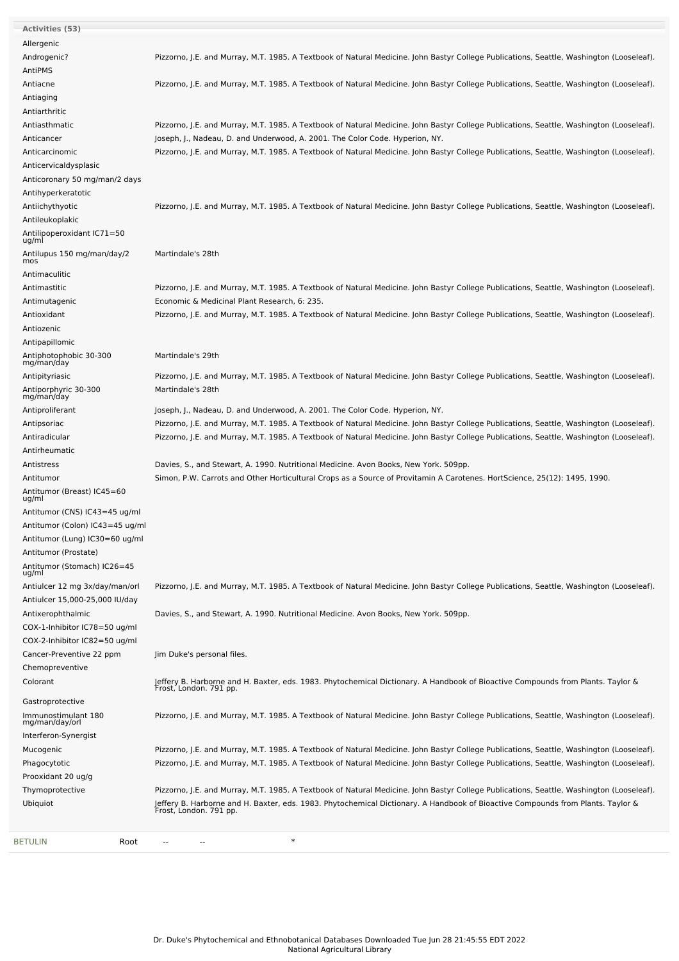| Activities (53)                       |                                                                                                                                                               |
|---------------------------------------|---------------------------------------------------------------------------------------------------------------------------------------------------------------|
| Allergenic                            |                                                                                                                                                               |
| Androgenic?                           | Pizzorno, J.E. and Murray, M.T. 1985. A Textbook of Natural Medicine. John Bastyr College Publications, Seattle, Washington (Looseleaf).                      |
| AntiPMS                               |                                                                                                                                                               |
| Antiacne                              | Pizzorno, J.E. and Murray, M.T. 1985. A Textbook of Natural Medicine. John Bastyr College Publications, Seattle, Washington (Looseleaf).                      |
| Antiaging                             |                                                                                                                                                               |
| Antiarthritic                         |                                                                                                                                                               |
| Antiasthmatic                         | Pizzorno, J.E. and Murray, M.T. 1985. A Textbook of Natural Medicine. John Bastyr College Publications, Seattle, Washington (Looseleaf).                      |
| Anticancer                            | Joseph, J., Nadeau, D. and Underwood, A. 2001. The Color Code. Hyperion, NY.                                                                                  |
| Anticarcinomic                        | Pizzorno, J.E. and Murray, M.T. 1985. A Textbook of Natural Medicine. John Bastyr College Publications, Seattle, Washington (Looseleaf).                      |
| Anticervicaldysplasic                 |                                                                                                                                                               |
| Anticoronary 50 mg/man/2 days         |                                                                                                                                                               |
| Antihyperkeratotic                    |                                                                                                                                                               |
| Antiichythyotic                       | Pizzorno, J.E. and Murray, M.T. 1985. A Textbook of Natural Medicine. John Bastyr College Publications, Seattle, Washington (Looseleaf).                      |
| Antileukoplakic                       |                                                                                                                                                               |
| Antilipoperoxidant IC71=50            |                                                                                                                                                               |
| ug/ml                                 |                                                                                                                                                               |
| Antilupus 150 mg/man/day/2<br>mos     | Martindale's 28th                                                                                                                                             |
| Antimaculitic                         |                                                                                                                                                               |
| Antimastitic                          | Pizzorno, J.E. and Murray, M.T. 1985. A Textbook of Natural Medicine. John Bastyr College Publications, Seattle, Washington (Looseleaf).                      |
| Antimutagenic                         | Economic & Medicinal Plant Research, 6: 235.                                                                                                                  |
| Antioxidant                           | Pizzorno, J.E. and Murray, M.T. 1985. A Textbook of Natural Medicine. John Bastyr College Publications, Seattle, Washington (Looseleaf).                      |
| Antiozenic                            |                                                                                                                                                               |
| Antipapillomic                        |                                                                                                                                                               |
| Antiphotophobic 30-300                | Martindale's 29th                                                                                                                                             |
| mg/man/day                            |                                                                                                                                                               |
| Antipityriasic                        | Pizzorno, J.E. and Murray, M.T. 1985. A Textbook of Natural Medicine. John Bastyr College Publications, Seattle, Washington (Looseleaf).<br>Martindale's 28th |
| Antiporphyric 30-300<br>mg/man/day    |                                                                                                                                                               |
| Antiproliferant                       | Joseph, J., Nadeau, D. and Underwood, A. 2001. The Color Code. Hyperion, NY.                                                                                  |
| Antipsoriac                           | Pizzorno, J.E. and Murray, M.T. 1985. A Textbook of Natural Medicine. John Bastyr College Publications, Seattle, Washington (Looseleaf).                      |
| Antiradicular                         | Pizzorno, J.E. and Murray, M.T. 1985. A Textbook of Natural Medicine. John Bastyr College Publications, Seattle, Washington (Looseleaf).                      |
| Antirheumatic                         |                                                                                                                                                               |
| Antistress                            | Davies, S., and Stewart, A. 1990. Nutritional Medicine. Avon Books, New York. 509pp.                                                                          |
| Antitumor                             | Simon, P.W. Carrots and Other Horticultural Crops as a Source of Provitamin A Carotenes. HortScience, 25(12): 1495, 1990.                                     |
| Antitumor (Breast) IC45=60<br>ug/ml   |                                                                                                                                                               |
| Antitumor (CNS) IC43=45 ug/ml         |                                                                                                                                                               |
| Antitumor (Colon) IC43=45 ug/ml       |                                                                                                                                                               |
| Antitumor (Lung) IC30=60 ug/ml        |                                                                                                                                                               |
| Antitumor (Prostate)                  |                                                                                                                                                               |
| Antitumor (Stomach) IC26=45<br>ug/ml  |                                                                                                                                                               |
| Antiulcer 12 mg 3x/day/man/orl        | Pizzorno, J.E. and Murray, M.T. 1985. A Textbook of Natural Medicine. John Bastyr College Publications, Seattle, Washington (Looseleaf).                      |
| Antiulcer 15,000-25,000 IU/day        |                                                                                                                                                               |
| Antixerophthalmic                     | Davies, S., and Stewart, A. 1990. Nutritional Medicine. Avon Books, New York. 509pp.                                                                          |
| COX-1-Inhibitor IC78=50 ug/ml         |                                                                                                                                                               |
| COX-2-Inhibitor IC82=50 ug/ml         |                                                                                                                                                               |
| Cancer-Preventive 22 ppm              | Jim Duke's personal files.                                                                                                                                    |
| Chemopreventive                       |                                                                                                                                                               |
| Colorant                              | Jeffery B. Harborne and H. Baxter, eds. 1983. Phytochemical Dictionary. A Handbook of Bioactive Compounds from Plants. Taylor &<br>Frost, London. 791 pp.     |
| Gastroprotective                      |                                                                                                                                                               |
| Immunostimulant 180<br>mg/man/day/orl | Pizzorno, J.E. and Murray, M.T. 1985. A Textbook of Natural Medicine. John Bastyr College Publications, Seattle, Washington (Looseleaf).                      |
| Interferon-Synergist                  |                                                                                                                                                               |
| Mucogenic                             | Pizzorno, J.E. and Murray, M.T. 1985. A Textbook of Natural Medicine. John Bastyr College Publications, Seattle, Washington (Looseleaf).                      |
| Phagocytotic                          | Pizzorno, J.E. and Murray, M.T. 1985. A Textbook of Natural Medicine. John Bastyr College Publications, Seattle, Washington (Looseleaf).                      |
| Prooxidant 20 ug/g                    |                                                                                                                                                               |
| Thymoprotective                       | Pizzorno, J.E. and Murray, M.T. 1985. A Textbook of Natural Medicine. John Bastyr College Publications, Seattle, Washington (Looseleaf).                      |
| Ubiquiot                              | Jeffery B. Harborne and H. Baxter, eds. 1983. Phytochemical Dictionary. A Handbook of Bioactive Compounds from Plants. Taylor &<br>Frost, London. 791 pp.     |
|                                       |                                                                                                                                                               |
| BETULIN<br>Root                       | $\ast$                                                                                                                                                        |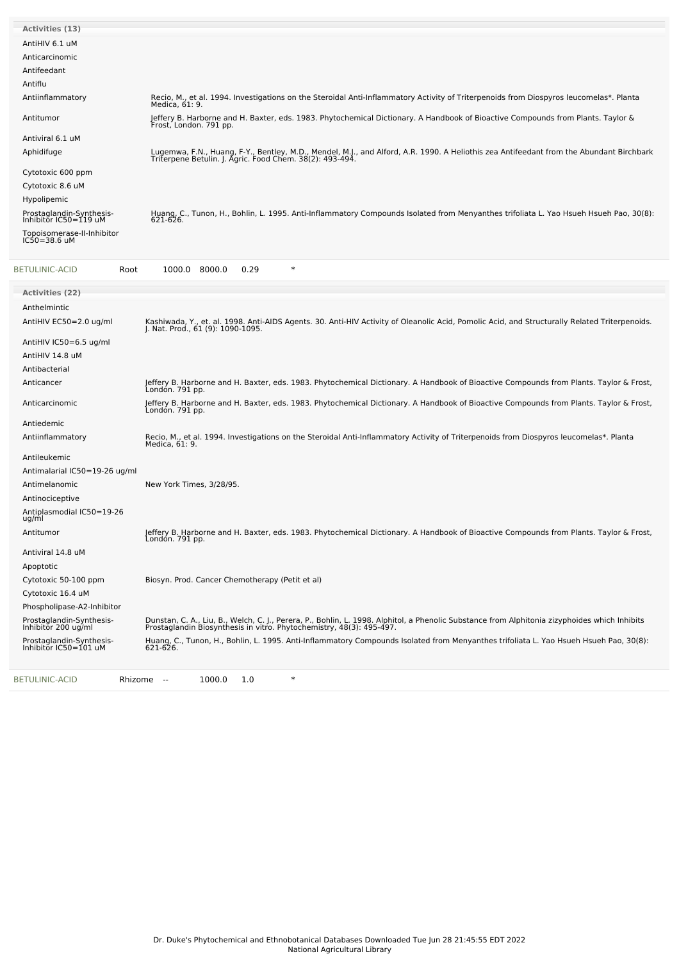| <b>Activities (13)</b>                                |                                                                                                                                                                                                     |
|-------------------------------------------------------|-----------------------------------------------------------------------------------------------------------------------------------------------------------------------------------------------------|
| AntiHIV 6.1 uM                                        |                                                                                                                                                                                                     |
| Anticarcinomic                                        |                                                                                                                                                                                                     |
| Antifeedant                                           |                                                                                                                                                                                                     |
| Antiflu                                               |                                                                                                                                                                                                     |
| Antiinflammatory                                      | Recio, M., et al. 1994. Investigations on the Steroidal Anti-Inflammatory Activity of Triterpenoids from Diospyros leucomelas*. Planta<br>Medica. 61: 9.                                            |
| Antitumor                                             | Jeffery B. Harborne and H. Baxter, eds. 1983. Phytochemical Dictionary. A Handbook of Bioactive Compounds from Plants. Taylor &<br>Frost, London. 791 pp.                                           |
| Antiviral 6.1 uM                                      |                                                                                                                                                                                                     |
| Aphidifuge                                            | Lugemwa, F.N., Huang, F-Y., Bentley, M.D., Mendel, M.J., and Alford, A.R. 1990. A Heliothis zea Antifeedant from the Abundant Birchbark<br>Triterpene Betulin. J. Agric. Food Chem. 38(2): 493-494. |
| Cytotoxic 600 ppm                                     |                                                                                                                                                                                                     |
| Cytotoxic 8.6 uM                                      |                                                                                                                                                                                                     |
| Hypolipemic                                           |                                                                                                                                                                                                     |
| Prostaglandin-Synthesis-<br>Inhibitor $IC50 = 119$ uM | Huang, C., Tunon, H., Bohlin, L. 1995. Anti-Inflammatory Compounds Isolated from Menyanthes trifoliata L. Yao Hsueh Hsueh Pao, 30(8):<br>$621 - 626$ .                                              |
| Topoisomerase-II-Inhibitor<br>$IC50 = 38.6$ uM        |                                                                                                                                                                                                     |

| <b>Activities (22)</b><br>Anthelmintic<br>AntiHIV EC50=2.0 ug/ml |                                                                                                                                                                                                                       |
|------------------------------------------------------------------|-----------------------------------------------------------------------------------------------------------------------------------------------------------------------------------------------------------------------|
|                                                                  |                                                                                                                                                                                                                       |
|                                                                  |                                                                                                                                                                                                                       |
|                                                                  | Kashiwada, Y., et. al. 1998. Anti-AIDS Agents. 30. Anti-HIV Activity of Oleanolic Acid, Pomolic Acid, and Structurally Related Triterpenoids.<br>J. Nat. Prod., 61 (9): 1090-1095.                                    |
| AntiHIV IC50=6.5 ug/ml                                           |                                                                                                                                                                                                                       |
| AntiHIV 14.8 uM                                                  |                                                                                                                                                                                                                       |
| Antibacterial                                                    |                                                                                                                                                                                                                       |
| Anticancer                                                       | Jeffery B. Harborne and H. Baxter, eds. 1983. Phytochemical Dictionary. A Handbook of Bioactive Compounds from Plants. Taylor & Frost,<br>London. 791 pp.                                                             |
| Anticarcinomic                                                   | Jeffery B. Harborne and H. Baxter, eds. 1983. Phytochemical Dictionary. A Handbook of Bioactive Compounds from Plants. Taylor & Frost,<br>London. 791 pp.                                                             |
| Antiedemic                                                       |                                                                                                                                                                                                                       |
| Antiinflammatory                                                 | Recio, M., et al. 1994. Investigations on the Steroidal Anti-Inflammatory Activity of Triterpenoids from Diospyros leucomelas*. Planta<br>Medica, 61: 9.                                                              |
| Antileukemic                                                     |                                                                                                                                                                                                                       |
| Antimalarial IC50=19-26 ug/ml                                    |                                                                                                                                                                                                                       |
| Antimelanomic                                                    | New York Times, 3/28/95.                                                                                                                                                                                              |
| Antinociceptive                                                  |                                                                                                                                                                                                                       |
| Antiplasmodial IC50=19-26<br>ug/ml                               |                                                                                                                                                                                                                       |
| Antitumor                                                        | Jeffery B. Harborne and H. Baxter, eds. 1983. Phytochemical Dictionary. A Handbook of Bioactive Compounds from Plants. Taylor & Frost,<br>London. 791 pp.                                                             |
| Antiviral 14.8 uM                                                |                                                                                                                                                                                                                       |
| Apoptotic                                                        |                                                                                                                                                                                                                       |
| Cytotoxic 50-100 ppm                                             | Biosyn. Prod. Cancer Chemotherapy (Petit et al)                                                                                                                                                                       |
| Cytotoxic 16.4 uM                                                |                                                                                                                                                                                                                       |
| Phospholipase-A2-Inhibitor                                       |                                                                                                                                                                                                                       |
| Prostaglandin-Synthesis-<br>Inhibitor 200 ug/ml                  | Dunstan, C. A., Liu, B., Welch, C. J., Perera, P., Bohlin, L. 1998. Alphitol, a Phenolic Substance from Alphitonia zizyphoides which Inhibits<br>Prostaglandin Biosynthesis in vitro. Phytochemistry, 48(3): 495-497. |
| Prostaglandin-Synthesis-<br>Inhibitor IC50=101 uM                | Huang, C., Tunon, H., Bohlin, L. 1995. Anti-Inflammatory Compounds Isolated from Menyanthes trifoliata L. Yao Hsueh Hsueh Pao, 30(8):<br>$621 - 626.$                                                                 |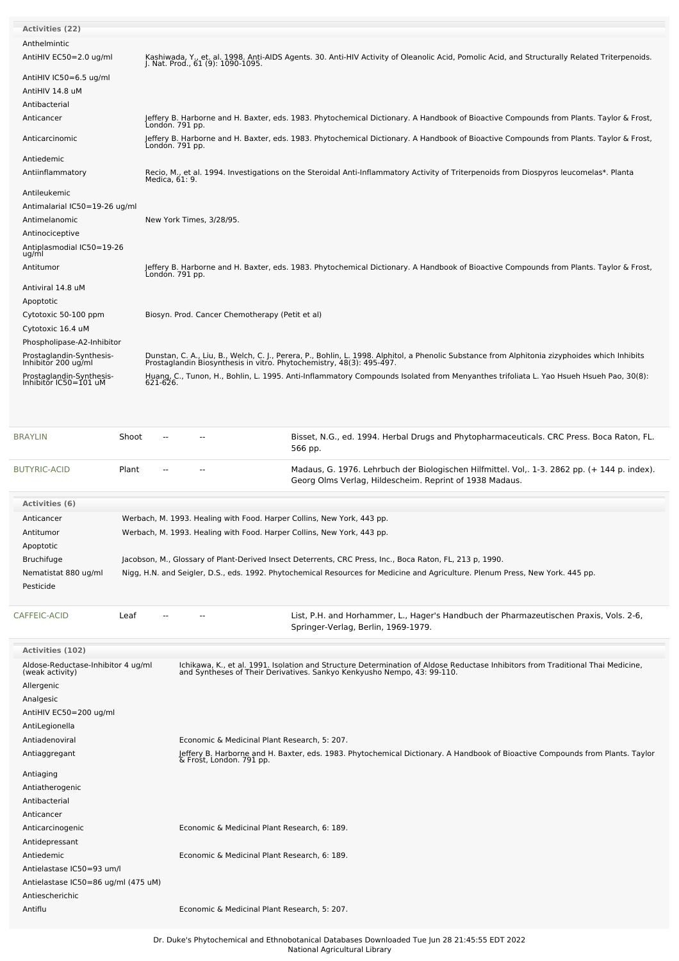| <b>Activities (22)</b>                            |                                                                                                                                                                                                                       |
|---------------------------------------------------|-----------------------------------------------------------------------------------------------------------------------------------------------------------------------------------------------------------------------|
| Anthelmintic                                      |                                                                                                                                                                                                                       |
| AntiHIV EC50=2.0 ug/ml                            | Kashiwada, Y., et. al. 1998. Anti-AIDS Agents. 30. Anti-HIV Activity of Oleanolic Acid, Pomolic Acid, and Structurally Related Triterpenoids.<br>J. Nat. Prod., 61 (9): 1090-1095.                                    |
| AntiHIV IC50=6.5 ug/ml                            |                                                                                                                                                                                                                       |
| AntiHIV 14.8 uM                                   |                                                                                                                                                                                                                       |
| Antibacterial                                     |                                                                                                                                                                                                                       |
| Anticancer                                        | Jeffery B. Harborne and H. Baxter, eds. 1983. Phytochemical Dictionary. A Handbook of Bioactive Compounds from Plants. Taylor & Frost,<br>Londón. 791 pp.                                                             |
| Anticarcinomic                                    | Jeffery B. Harborne and H. Baxter, eds. 1983. Phytochemical Dictionary. A Handbook of Bioactive Compounds from Plants. Taylor & Frost,<br>Londón. 791 pp.                                                             |
| Antiedemic                                        |                                                                                                                                                                                                                       |
| Antiinflammatory                                  | Recio, M., et al. 1994. Investigations on the Steroidal Anti-Inflammatory Activity of Triterpenoids from Diospyros leucomelas*. Planta<br>Medica, 61: 9.                                                              |
| Antileukemic                                      |                                                                                                                                                                                                                       |
| Antimalarial IC50=19-26 ug/ml                     |                                                                                                                                                                                                                       |
| Antimelanomic                                     | New York Times, 3/28/95.                                                                                                                                                                                              |
| Antinociceptive                                   |                                                                                                                                                                                                                       |
| Antiplasmodial IC50=19-26<br>ug/ml                |                                                                                                                                                                                                                       |
| Antitumor                                         | Jeffery B. Harborne and H. Baxter, eds. 1983. Phytochemical Dictionary. A Handbook of Bioactive Compounds from Plants. Taylor & Frost,<br>Londón. 791 pp.                                                             |
| Antiviral 14.8 uM                                 |                                                                                                                                                                                                                       |
| Apoptotic                                         |                                                                                                                                                                                                                       |
| Cytotoxic 50-100 ppm                              | Biosyn. Prod. Cancer Chemotherapy (Petit et al)                                                                                                                                                                       |
| Cytotoxic 16.4 uM                                 |                                                                                                                                                                                                                       |
| Phospholipase-A2-Inhibitor                        |                                                                                                                                                                                                                       |
| Prostaglandin-Synthesis-<br>Inhibitor 200 ug/ml   | Dunstan, C. A., Liu, B., Welch, C. J., Perera, P., Bohlin, L. 1998. Alphitol, a Phenolic Substance from Alphitonia zizyphoides which Inhibits<br>Prostaglandin Biosynthesis in vitro. Phytochemistry, 48(3): 495-497. |
| Prostaglandin-Synthesis-<br>Inhibitor IC50=101 uM | Huang, C., Tunon, H., Bohlin, L. 1995. Anti-Inflammatory Compounds Isolated from Menyanthes trifoliata L. Yao Hsueh Hsueh Pao, 30(8):<br>621-626.                                                                     |
|                                                   |                                                                                                                                                                                                                       |

| <b>BRAYLIN</b>       | Shoot |  | Bisset, N.G., ed. 1994. Herbal Drugs and Phytopharmaceuticals. CRC Press. Boca Raton, FL.<br>566 pp.                                                    |
|----------------------|-------|--|---------------------------------------------------------------------------------------------------------------------------------------------------------|
| <b>BUTYRIC-ACID</b>  | Plant |  | Madaus, G. 1976. Lehrbuch der Biologischen Hilfmittel. Vol., 1-3. 2862 pp. (+ 144 p. index).<br>Georg Olms Verlag, Hildescheim. Reprint of 1938 Madaus. |
| Activities (6)       |       |  |                                                                                                                                                         |
|                      |       |  |                                                                                                                                                         |
| Anticancer           |       |  | Werbach, M. 1993. Healing with Food. Harper Collins, New York, 443 pp.                                                                                  |
| Antitumor            |       |  | Werbach, M. 1993. Healing with Food. Harper Collins, New York, 443 pp.                                                                                  |
| Apoptotic            |       |  |                                                                                                                                                         |
| <b>Bruchifuge</b>    |       |  | Jacobson, M., Glossary of Plant-Derived Insect Deterrents, CRC Press, Inc., Boca Raton, FL, 213 p, 1990.                                                |
| Nematistat 880 ug/ml |       |  | Nigg, H.N. and Seigler, D.S., eds. 1992. Phytochemical Resources for Medicine and Agriculture. Plenum Press, New York. 445 pp.                          |
| Pesticide            |       |  |                                                                                                                                                         |
|                      |       |  |                                                                                                                                                         |

[CAFFEIC-ACID](file:///phytochem/chemicals/show/5086) Leaf -- - - - - List, P.H. and Horhammer, L., Hager's Handbuch der Pharmazeutischen Praxis, Vols. 2-6, Springer-Verlag, Berlin, 1969-1979.

| <b>Activities (102)</b>                               |                                                                                                                                                                                                            |
|-------------------------------------------------------|------------------------------------------------------------------------------------------------------------------------------------------------------------------------------------------------------------|
| Aldose-Reductase-Inhibitor 4 ug/ml<br>(weak activity) | Ichikawa, K., et al. 1991. Isolation and Structure Determination of Aldose Reductase Inhibitors from Traditional Thai Medicine,<br>and Syntheses of Their Derivatives. Sankyo Kenkyusho Nempo, 43: 99-110. |
| Allergenic                                            |                                                                                                                                                                                                            |
| Analgesic                                             |                                                                                                                                                                                                            |
| AntiHIV EC50=200 ug/ml                                |                                                                                                                                                                                                            |
| AntiLegionella                                        |                                                                                                                                                                                                            |
| Antiadenoviral                                        | Economic & Medicinal Plant Research, 5: 207.                                                                                                                                                               |
| Antiaggregant                                         | Jeffery B. Harborne and H. Baxter, eds. 1983. Phytochemical Dictionary. A Handbook of Bioactive Compounds from Plants. Taylor<br>& Frost, London. 791 pp.                                                  |
| Antiaging                                             |                                                                                                                                                                                                            |
| Antiatherogenic                                       |                                                                                                                                                                                                            |
| Antibacterial                                         |                                                                                                                                                                                                            |
| Anticancer                                            |                                                                                                                                                                                                            |
| Anticarcinogenic                                      | Economic & Medicinal Plant Research, 6: 189.                                                                                                                                                               |
| Antidepressant                                        |                                                                                                                                                                                                            |
| Antiedemic                                            | Economic & Medicinal Plant Research, 6: 189.                                                                                                                                                               |
| Antielastase IC50=93 um/l                             |                                                                                                                                                                                                            |
| Antielastase IC50=86 ug/ml (475 uM)                   |                                                                                                                                                                                                            |
| Antiescherichic                                       |                                                                                                                                                                                                            |
| Antiflu                                               | Economic & Medicinal Plant Research, 5: 207.                                                                                                                                                               |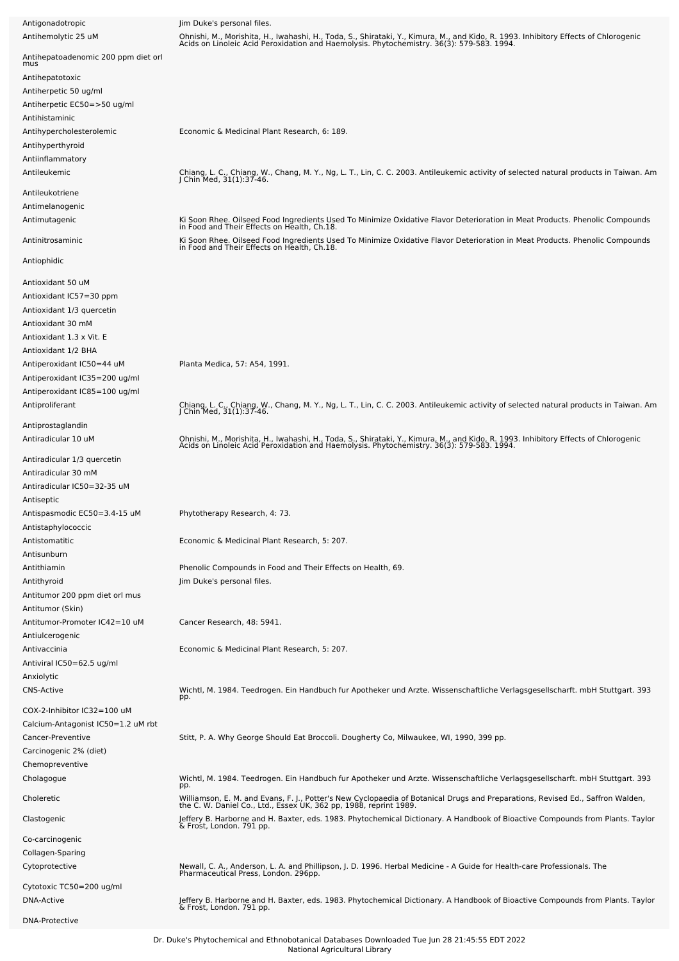| Antigonadotropic                                   | Jim Duke's personal files.                                                                                                                                                                                                       |
|----------------------------------------------------|----------------------------------------------------------------------------------------------------------------------------------------------------------------------------------------------------------------------------------|
| Antihemolytic 25 uM                                | Ohnishi, M., Morishita, H., Iwahashi, H., Toda, S., Shirataki, Y., Kimura, M., and Kido, R. 1993. Inhibitory Effects of Chlorogenic<br>Acids on Linoleic Acid Peroxidation and Haemolysis. Phytochemistry. 36(3): 579-583. 1994. |
| Antihepatoadenomic 200 ppm diet orl                |                                                                                                                                                                                                                                  |
| mus                                                |                                                                                                                                                                                                                                  |
| Antihepatotoxic                                    |                                                                                                                                                                                                                                  |
| Antiherpetic 50 ug/ml                              |                                                                                                                                                                                                                                  |
| Antiherpetic EC50=>50 ug/ml                        |                                                                                                                                                                                                                                  |
| Antihistaminic                                     |                                                                                                                                                                                                                                  |
| Antihypercholesterolemic                           | Economic & Medicinal Plant Research, 6: 189.                                                                                                                                                                                     |
| Antihyperthyroid                                   |                                                                                                                                                                                                                                  |
| Antiinflammatory                                   |                                                                                                                                                                                                                                  |
| Antileukemic                                       | Chiang, L. C., Chiang, W., Chang, M. Y., Ng, L. T., Lin, C. C. 2003. Antileukemic activity of selected natural products in Taiwan. Am<br>J Chin Med, 31(1):37-46.                                                                |
| Antileukotriene                                    |                                                                                                                                                                                                                                  |
| Antimelanogenic                                    |                                                                                                                                                                                                                                  |
| Antimutagenic                                      | Ki Soon Rhee. Oilseed Food Ingredients Used To Minimize Oxidative Flavor Deterioration in Meat Products. Phenolic Compounds<br>in Food and Their Effects on Health, Ch.18.                                                       |
|                                                    |                                                                                                                                                                                                                                  |
| Antinitrosaminic                                   | Ki Soon Rhee. Oilseed Food Ingredients Used To Minimize Oxidative Flavor Deterioration in Meat Products. Phenolic Compounds<br>in Food and Their Effects on Health, Ch.18.                                                       |
| Antiophidic                                        |                                                                                                                                                                                                                                  |
|                                                    |                                                                                                                                                                                                                                  |
| Antioxidant 50 uM                                  |                                                                                                                                                                                                                                  |
| Antioxidant IC57=30 ppm                            |                                                                                                                                                                                                                                  |
| Antioxidant 1/3 quercetin                          |                                                                                                                                                                                                                                  |
| Antioxidant 30 mM                                  |                                                                                                                                                                                                                                  |
| Antioxidant 1.3 x Vit. E                           |                                                                                                                                                                                                                                  |
| Antioxidant 1/2 BHA                                |                                                                                                                                                                                                                                  |
| Antiperoxidant IC50=44 uM                          | Planta Medica, 57: A54, 1991.                                                                                                                                                                                                    |
| Antiperoxidant IC35=200 ug/ml                      |                                                                                                                                                                                                                                  |
| Antiperoxidant IC85=100 ug/ml                      |                                                                                                                                                                                                                                  |
| Antiproliferant                                    | Chiang, L. C., Chiang, W., Chang, M. Y., Ng, L. T., Lin, C. C. 2003. Antileukemic activity of selected natural products in Taiwan. Am<br>J Chin Med, 31(1):37-46.                                                                |
| Antiprostaglandin                                  |                                                                                                                                                                                                                                  |
| Antiradicular 10 uM                                | Ohnishi, M., Morishita, H., Iwahashi, H., Toda, S., Shirataki, Y., Kimura, M., and Kido, R. 1993. Inhibitory Effects of Chlorogenic<br>Acids on Linoleic Acid Peroxidation and Haemolysis. Phytochemistry. 36(3): 579-583. 1994. |
|                                                    |                                                                                                                                                                                                                                  |
| Antiradicular 1/3 quercetin                        |                                                                                                                                                                                                                                  |
| Antiradicular 30 mM<br>Antiradicular IC50=32-35 uM |                                                                                                                                                                                                                                  |
|                                                    |                                                                                                                                                                                                                                  |
| Antiseptic<br>Antispasmodic EC50=3.4-15 uM         | Phytotherapy Research, 4: 73.                                                                                                                                                                                                    |
| Antistaphylococcic                                 |                                                                                                                                                                                                                                  |
| Antistomatitic                                     | Economic & Medicinal Plant Research, 5: 207.                                                                                                                                                                                     |
| Antisunburn                                        |                                                                                                                                                                                                                                  |
| Antithiamin                                        | Phenolic Compounds in Food and Their Effects on Health, 69.                                                                                                                                                                      |
| Antithyroid                                        | Jim Duke's personal files.                                                                                                                                                                                                       |
| Antitumor 200 ppm diet orl mus                     |                                                                                                                                                                                                                                  |
| Antitumor (Skin)                                   |                                                                                                                                                                                                                                  |
| Antitumor-Promoter IC42=10 uM                      | Cancer Research, 48: 5941.                                                                                                                                                                                                       |
| Antiulcerogenic                                    |                                                                                                                                                                                                                                  |
| Antivaccinia                                       | Economic & Medicinal Plant Research, 5: 207.                                                                                                                                                                                     |
| Antiviral IC50=62.5 ug/ml                          |                                                                                                                                                                                                                                  |
| Anxiolytic                                         |                                                                                                                                                                                                                                  |
| <b>CNS-Active</b>                                  | Wichtl, M. 1984. Teedrogen. Ein Handbuch fur Apotheker und Arzte. Wissenschaftliche Verlagsgesellscharft. mbH Stuttgart. 393                                                                                                     |
|                                                    | pp.                                                                                                                                                                                                                              |
| COX-2-Inhibitor IC32=100 uM                        |                                                                                                                                                                                                                                  |
| Calcium-Antagonist IC50=1.2 uM rbt                 |                                                                                                                                                                                                                                  |
| Cancer-Preventive                                  | Stitt, P. A. Why George Should Eat Broccoli. Dougherty Co, Milwaukee, WI, 1990, 399 pp.                                                                                                                                          |
| Carcinogenic 2% (diet)                             |                                                                                                                                                                                                                                  |
| Chemopreventive                                    | Wichtl, M. 1984. Teedrogen. Ein Handbuch fur Apotheker und Arzte. Wissenschaftliche Verlagsgesellscharft. mbH Stuttgart. 393                                                                                                     |
| Cholagogue                                         | pp.                                                                                                                                                                                                                              |
| Choleretic                                         | Williamson, E. M. and Evans, F. J., Potter's New Cyclopaedia of Botanical Drugs and Preparations, Revised Ed., Saffron Walden,<br>the C. W. Daniel Co., Ltd., Essex UK, 362 pp, 1988, reprint 1989.                              |
| Clastogenic                                        |                                                                                                                                                                                                                                  |
|                                                    | Jeffery B. Harborne and H. Baxter, eds. 1983. Phytochemical Dictionary. A Handbook of Bioactive Compounds from Plants. Taylor<br>& Frost, London. 791 pp.                                                                        |
| Co-carcinogenic                                    |                                                                                                                                                                                                                                  |
| Collagen-Sparing                                   |                                                                                                                                                                                                                                  |
| Cytoprotective                                     | Newall, C. A., Anderson, L. A. and Phillipson, J. D. 1996. Herbal Medicine - A Guide for Health-care Professionals. The<br>Pharmaceutical Press, London. 296pp.                                                                  |
| Cytotoxic TC50=200 ug/ml                           |                                                                                                                                                                                                                                  |
| DNA-Active                                         |                                                                                                                                                                                                                                  |
|                                                    | Jeffery B. Harborne and H. Baxter, eds. 1983. Phytochemical Dictionary. A Handbook of Bioactive Compounds from Plants. Taylor<br>& Frost, London. 791 pp.                                                                        |
| <b>DNA-Protective</b>                              |                                                                                                                                                                                                                                  |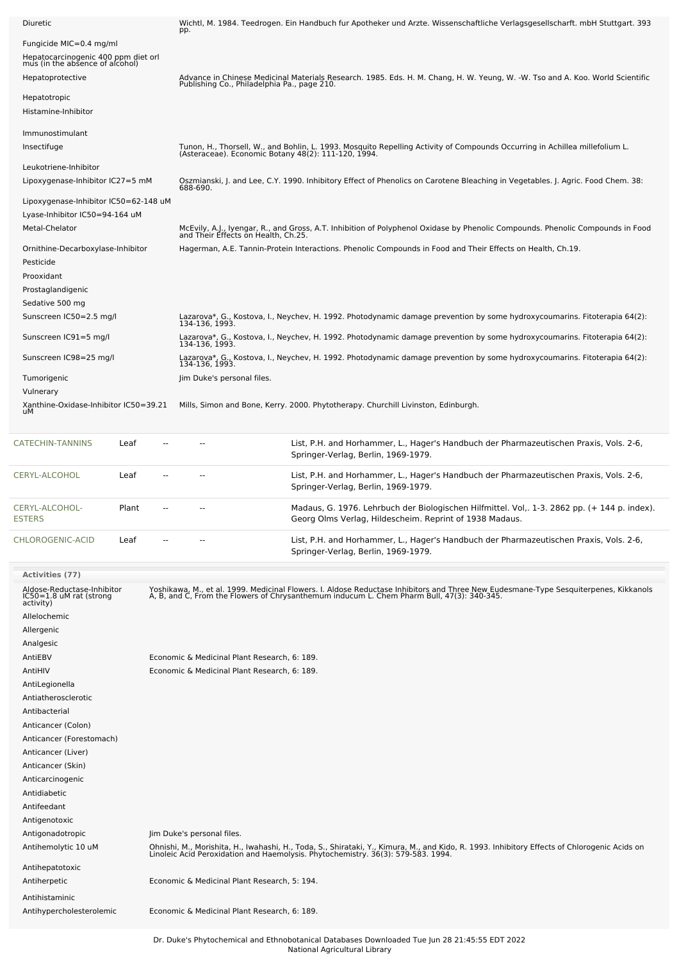| <b>Diuretic</b>                                                                                   | Wichtl, M. 1984. Teedrogen. Ein Handbuch fur Apotheker und Arzte. Wissenschaftliche Verlagsgesellscharft. mbH Stuttgart. 393<br>pp.                                                                                               |
|---------------------------------------------------------------------------------------------------|-----------------------------------------------------------------------------------------------------------------------------------------------------------------------------------------------------------------------------------|
| Fungicide MIC=0.4 mg/ml<br>Hepatocarcinogenic 400 ppm diet orl<br>mus (in the absence of alcohol) |                                                                                                                                                                                                                                   |
| Hepatoprotective                                                                                  | Advance in Chinese Medicinal Materials Research. 1985. Eds. H. M. Chang, H. W. Yeung, W. -W. Tso and A. Koo. World Scientific<br>Publishing Co., Philadelphia Pa., page 210.                                                      |
| Hepatotropic<br>Histamine-Inhibitor                                                               |                                                                                                                                                                                                                                   |
| Immunostimulant<br>Insectifuge                                                                    | Tunon, H., Thorsell, W., and Bohlin, L. 1993. Mosquito Repelling Activity of Compounds Occurring in Achillea millefolium L.<br>(Asteraceae). Economic Botany 48(2): 111-120, 1994.                                                |
| Leukotriene-Inhibitor<br>Lipoxygenase-Inhibitor IC27=5 mM                                         | Oszmianski, J. and Lee, C.Y. 1990. Inhibitory Effect of Phenolics on Carotene Bleaching in Vegetables. J. Agric. Food Chem. 38:<br>688-690.                                                                                       |
| Lipoxygenase-Inhibitor IC50=62-148 uM<br>Lyase-Inhibitor IC50=94-164 uM                           |                                                                                                                                                                                                                                   |
| Metal-Chelator                                                                                    | McEvily, A.J., Iyengar, R., and Gross, A.T. Inhibition of Polyphenol Oxidase by Phenolic Compounds. Phenolic Compounds in Food<br>and Their Effects on Health, Ch.25.                                                             |
| Ornithine-Decarboxylase-Inhibitor<br>Pesticide<br>Prooxidant                                      | Hagerman, A.E. Tannin-Protein Interactions. Phenolic Compounds in Food and Their Effects on Health, Ch.19.                                                                                                                        |
| Prostaglandigenic<br>Sedative 500 mg<br>Sunscreen IC50=2.5 mg/l                                   |                                                                                                                                                                                                                                   |
|                                                                                                   | Lazarova*, G., Kostova, I., Neychev, H. 1992. Photodynamic damage prevention by some hydroxycoumarins. Fitoterapia 64(2):<br>134-136, 1993.                                                                                       |
| Sunscreen IC91=5 mg/l                                                                             | Lazarova*, G., Kostova, I., Neychev, H. 1992. Photodynamic damage prevention by some hydroxycoumarins. Fitoterapia 64(2):<br>134-136, 1993.                                                                                       |
| Sunscreen IC98=25 mg/l                                                                            | Lazarova*, G., Kostova, I., Neychev, H. 1992. Photodynamic damage prevention by some hydroxycoumarins. Fitoterapia 64(2):<br>134-136, 1993.                                                                                       |
| Tumorigenic                                                                                       | Jim Duke's personal files.                                                                                                                                                                                                        |
| Vulnerary<br>Xanthine-Oxidase-Inhibitor IC50=39.21<br>uМ                                          | Mills, Simon and Bone, Kerry. 2000. Phytotherapy. Churchill Livinston, Edinburgh.                                                                                                                                                 |
| <b>CATECHIN-TANNINS</b><br>Leaf                                                                   | List, P.H. and Horhammer, L., Hager's Handbuch der Pharmazeutischen Praxis, Vols. 2-6,<br>Springer-Verlag, Berlin, 1969-1979.                                                                                                     |
| CERYL-ALCOHOL<br>Leaf                                                                             | List, P.H. and Horhammer, L., Hager's Handbuch der Pharmazeutischen Praxis, Vols. 2-6,<br>Springer-Verlag, Berlin, 1969-1979.                                                                                                     |
| CERYL-ALCOHOL-<br>Plant<br><b>ESTERS</b>                                                          | Madaus, G. 1976. Lehrbuch der Biologischen Hilfmittel. Vol,. 1-3. 2862 pp. (+ 144 p. index).<br>Georg Olms Verlag, Hildescheim. Reprint of 1938 Madaus.                                                                           |
| CHLOROGENIC-ACID<br>Leaf                                                                          | List, P.H. and Horhammer, L., Hager's Handbuch der Pharmazeutischen Praxis, Vols. 2-6,<br>Springer-Verlag, Berlin, 1969-1979.                                                                                                     |
| Activities (77)                                                                                   |                                                                                                                                                                                                                                   |
| Aldose-Reductase-Inhibitor<br>IC50=1.8 uM rat (strong<br>activity)                                | Yoshikawa, M., et al. 1999. Medicinal Flowers. I. Aldose Reductase Inhibitors and Three New Eudesmane-Type Sesquiterpenes, Kikkanols<br>A, B, and C, From the Flowers of Chrysanthemum inducum L. Chem Pharm Bull, 47(3): 340-345 |
| Allelochemic                                                                                      |                                                                                                                                                                                                                                   |
| Allergenic                                                                                        |                                                                                                                                                                                                                                   |
| Analgesic                                                                                         |                                                                                                                                                                                                                                   |
| AntiEBV                                                                                           | Economic & Medicinal Plant Research, 6: 189.                                                                                                                                                                                      |
| AntiHIV                                                                                           | Economic & Medicinal Plant Research, 6: 189.                                                                                                                                                                                      |
| AntiLegionella<br>Antiatherosclerotic                                                             |                                                                                                                                                                                                                                   |
| Antibacterial                                                                                     |                                                                                                                                                                                                                                   |
| Anticancer (Colon)                                                                                |                                                                                                                                                                                                                                   |
| Anticancer (Forestomach)                                                                          |                                                                                                                                                                                                                                   |
| Anticancer (Liver)                                                                                |                                                                                                                                                                                                                                   |
| Anticancer (Skin)                                                                                 |                                                                                                                                                                                                                                   |
| Anticarcinogenic                                                                                  |                                                                                                                                                                                                                                   |
| Antidiabetic                                                                                      |                                                                                                                                                                                                                                   |
| Antifeedant                                                                                       |                                                                                                                                                                                                                                   |
| Antigenotoxic<br>Antigonadotropic                                                                 | Jim Duke's personal files.                                                                                                                                                                                                        |
| Antihemolytic 10 uM                                                                               | Ohnishi, M., Morishita, H., Iwahashi, H., Toda, S., Shirataki, Y., Kimura, M., and Kido, R. 1993. Inhibitory Effects of Chlorogenic Acids on<br>Linoleic Acid Peroxidation and Haemolysis. Phytochemistry. 36(3): 579-583. 1994.  |
| Antihepatotoxic                                                                                   |                                                                                                                                                                                                                                   |
| Antiherpetic                                                                                      | Economic & Medicinal Plant Research, 5: 194.                                                                                                                                                                                      |
| Antihistaminic                                                                                    |                                                                                                                                                                                                                                   |
| Antihypercholesterolemic                                                                          | Economic & Medicinal Plant Research, 6: 189.                                                                                                                                                                                      |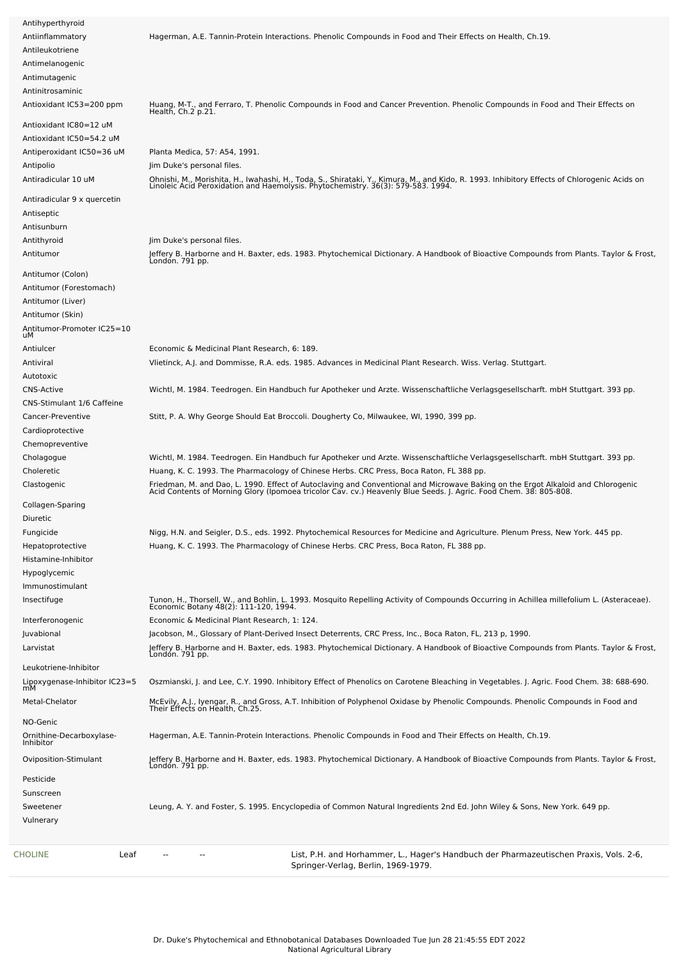| Antihyperthyroid<br>Antiinflammatory<br>Antileukotriene           | Hagerman, A.E. Tannin-Protein Interactions. Phenolic Compounds in Food and Their Effects on Health, Ch.19.                                                                                                                                                                                      |
|-------------------------------------------------------------------|-------------------------------------------------------------------------------------------------------------------------------------------------------------------------------------------------------------------------------------------------------------------------------------------------|
| Antimelanogenic<br>Antimutagenic<br>Antinitrosaminic              |                                                                                                                                                                                                                                                                                                 |
| Antioxidant IC53=200 ppm<br>Antioxidant IC80=12 uM                | Huang, M-T., and Ferraro, T. Phenolic Compounds in Food and Cancer Prevention. Phenolic Compounds in Food and Their Effects on<br>Health, Ch.2 p.21.                                                                                                                                            |
| Antioxidant IC50=54.2 uM                                          |                                                                                                                                                                                                                                                                                                 |
| Antiperoxidant IC50=36 uM<br>Antipolio<br>Antiradicular 10 uM     | Planta Medica, 57: A54, 1991.<br>Jim Duke's personal files.<br>Ohnishi, M., Morishita, H., Iwahashi, H., Toda, S., Shirataki, Y., Kimura, M., and Kido, R. 1993. Inhibitory Effects of Chlorogenic Acids on<br>Linoleic Acid Peroxidation and Haemolysis. Phytochemistry. 36(3): 579-583. 1994. |
| Antiradicular 9 x quercetin<br>Antiseptic<br>Antisunburn          |                                                                                                                                                                                                                                                                                                 |
| Antithyroid                                                       | Jim Duke's personal files.                                                                                                                                                                                                                                                                      |
| Antitumor                                                         | Jeffery B. Harborne and H. Baxter, eds. 1983. Phytochemical Dictionary. A Handbook of Bioactive Compounds from Plants. Taylor & Frost,<br>London. 791 pp.                                                                                                                                       |
| Antitumor (Colon)<br>Antitumor (Forestomach)<br>Antitumor (Liver) |                                                                                                                                                                                                                                                                                                 |
| Antitumor (Skin)<br>Antitumor-Promoter IC25=10<br>иM              |                                                                                                                                                                                                                                                                                                 |
| Antiulcer                                                         | Economic & Medicinal Plant Research, 6: 189.                                                                                                                                                                                                                                                    |
| Antiviral                                                         | Vlietinck, A.J. and Dommisse, R.A. eds. 1985. Advances in Medicinal Plant Research. Wiss. Verlag. Stuttgart.                                                                                                                                                                                    |
| Autotoxic                                                         |                                                                                                                                                                                                                                                                                                 |
| <b>CNS-Active</b><br>CNS-Stimulant 1/6 Caffeine                   | Wichtl, M. 1984. Teedrogen. Ein Handbuch fur Apotheker und Arzte. Wissenschaftliche Verlagsgesellscharft. mbH Stuttgart. 393 pp.                                                                                                                                                                |
| Cancer-Preventive                                                 | Stitt, P. A. Why George Should Eat Broccoli. Dougherty Co, Milwaukee, WI, 1990, 399 pp.                                                                                                                                                                                                         |
| Cardioprotective                                                  |                                                                                                                                                                                                                                                                                                 |
| Chemopreventive                                                   |                                                                                                                                                                                                                                                                                                 |
| Cholagogue                                                        | Wichtl, M. 1984. Teedrogen. Ein Handbuch fur Apotheker und Arzte. Wissenschaftliche Verlagsgesellscharft. mbH Stuttgart. 393 pp.                                                                                                                                                                |
| Choleretic                                                        | Huang, K. C. 1993. The Pharmacology of Chinese Herbs. CRC Press, Boca Raton, FL 388 pp.                                                                                                                                                                                                         |
| Clastogenic                                                       | Friedman, M. and Dao, L. 1990. Effect of Autoclaving and Conventional and Microwave Baking on the Ergot Alkaloid and Chlorogenic<br>Acid Contents of Morning Glory (Ipomoea tricolor Cav. cv.) Heavenly Blue Seeds. J. Agric. Foo                                                               |
| Collagen-Sparing                                                  |                                                                                                                                                                                                                                                                                                 |
| Diuretic                                                          |                                                                                                                                                                                                                                                                                                 |
| Fungicide                                                         | Nigg, H.N. and Seigler, D.S., eds. 1992. Phytochemical Resources for Medicine and Agriculture. Plenum Press, New York. 445 pp.                                                                                                                                                                  |
| Hepatoprotective                                                  | Huang, K. C. 1993. The Pharmacology of Chinese Herbs. CRC Press, Boca Raton, FL 388 pp.                                                                                                                                                                                                         |
| Histamine-Inhibitor                                               |                                                                                                                                                                                                                                                                                                 |
| Hypoglycemic                                                      |                                                                                                                                                                                                                                                                                                 |
| Immunostimulant                                                   |                                                                                                                                                                                                                                                                                                 |
| Insectifuge                                                       | Tunon, H., Thorsell, W., and Bohlin, L. 1993. Mosquito Repelling Activity of Compounds Occurring in Achillea millefolium L. (Asteraceae).<br>Economic Botany 48(2): 111-120, 1994.                                                                                                              |
| Interferonogenic<br>Juvabional                                    | Economic & Medicinal Plant Research, 1: 124.<br>Jacobson, M., Glossary of Plant-Derived Insect Deterrents, CRC Press, Inc., Boca Raton, FL, 213 p, 1990.                                                                                                                                        |
| Larvistat                                                         | Jeffery B. Harborne and H. Baxter, eds. 1983. Phytochemical Dictionary. A Handbook of Bioactive Compounds from Plants. Taylor & Frost,<br>London. 791 pp.                                                                                                                                       |
| Leukotriene-Inhibitor                                             |                                                                                                                                                                                                                                                                                                 |
| Lipoxygenase-Inhibitor IC23=5<br>mM                               | Oszmianski, J. and Lee, C.Y. 1990. Inhibitory Effect of Phenolics on Carotene Bleaching in Vegetables. J. Agric. Food Chem. 38: 688-690.                                                                                                                                                        |
| Metal-Chelator                                                    | McEvily, A.J., Iyengar, R., and Gross, A.T. Inhibition of Polyphenol Oxidase by Phenolic Compounds. Phenolic Compounds in Food and<br>Their Effects on Health, Ch.25.                                                                                                                           |
| NO-Genic<br>Ornithine-Decarboxylase-<br>Inhibitor                 | Hagerman, A.E. Tannin-Protein Interactions. Phenolic Compounds in Food and Their Effects on Health, Ch.19.                                                                                                                                                                                      |
| Oviposition-Stimulant                                             | Jeffery B. Harborne and H. Baxter, eds. 1983. Phytochemical Dictionary. A Handbook of Bioactive Compounds from Plants. Taylor & Frost,<br>London. 791 pp.                                                                                                                                       |
| Pesticide<br>Sunscreen                                            |                                                                                                                                                                                                                                                                                                 |
| Sweetener                                                         | Leung, A. Y. and Foster, S. 1995. Encyclopedia of Common Natural Ingredients 2nd Ed. John Wiley & Sons, New York. 649 pp.                                                                                                                                                                       |
| Vulnerary                                                         |                                                                                                                                                                                                                                                                                                 |
|                                                                   |                                                                                                                                                                                                                                                                                                 |
| CHOLINE<br>Leaf                                                   | List, P.H. and Horhammer, L., Hager's Handbuch der Pharmazeutischen Praxis, Vols. 2-6,<br>Springer-Verlag, Berlin, 1969-1979.                                                                                                                                                                   |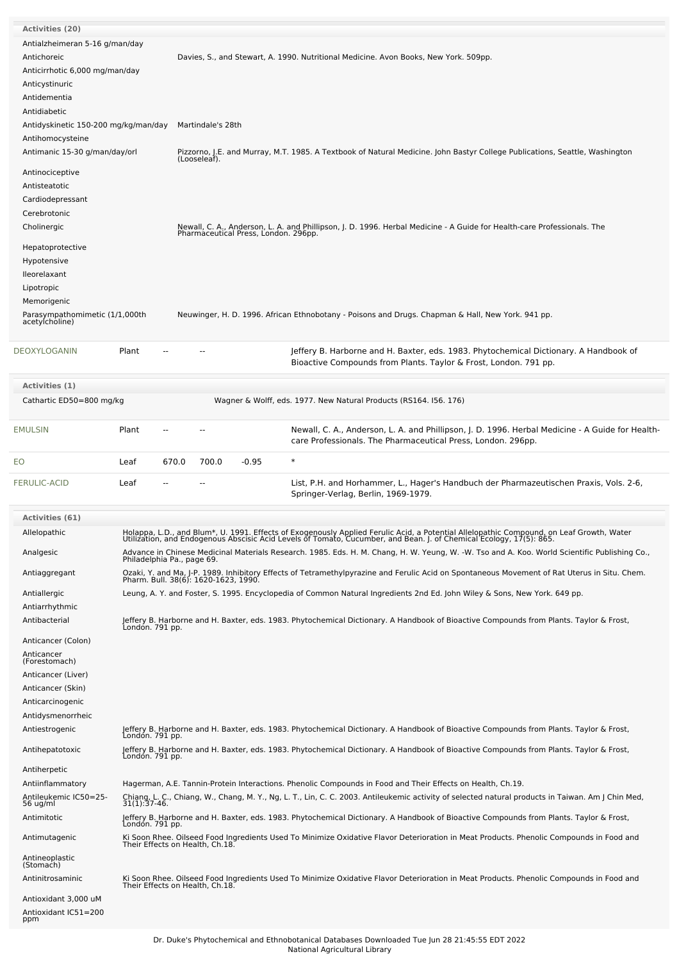| <b>Activities (20)</b><br>Antialzheimeran 5-16 g/man/day |                            |       |                                 |                                      |                                                                                                                                                                                                                                                               |  |  |  |  |  |
|----------------------------------------------------------|----------------------------|-------|---------------------------------|--------------------------------------|---------------------------------------------------------------------------------------------------------------------------------------------------------------------------------------------------------------------------------------------------------------|--|--|--|--|--|
| Antichoreic                                              |                            |       |                                 |                                      | Davies, S., and Stewart, A. 1990. Nutritional Medicine. Avon Books, New York. 509pp.                                                                                                                                                                          |  |  |  |  |  |
| Anticirrhotic 6,000 mg/man/day                           |                            |       |                                 |                                      |                                                                                                                                                                                                                                                               |  |  |  |  |  |
| Anticystinuric                                           |                            |       |                                 |                                      |                                                                                                                                                                                                                                                               |  |  |  |  |  |
| Antidementia                                             |                            |       |                                 |                                      |                                                                                                                                                                                                                                                               |  |  |  |  |  |
| Antidiabetic                                             |                            |       |                                 |                                      |                                                                                                                                                                                                                                                               |  |  |  |  |  |
| Antidyskinetic 150-200 mg/kg/man/day                     |                            |       | Martindale's 28th               |                                      |                                                                                                                                                                                                                                                               |  |  |  |  |  |
| Antihomocysteine                                         |                            |       |                                 |                                      |                                                                                                                                                                                                                                                               |  |  |  |  |  |
| Antimanic 15-30 g/man/day/orl                            |                            |       |                                 |                                      | Pizzorno, J.E. and Murray, M.T. 1985. A Textbook of Natural Medicine. John Bastyr College Publications, Seattle, Washington<br>(Looseleaf).                                                                                                                   |  |  |  |  |  |
| Antinociceptive                                          |                            |       |                                 |                                      |                                                                                                                                                                                                                                                               |  |  |  |  |  |
| Antisteatotic                                            |                            |       |                                 |                                      |                                                                                                                                                                                                                                                               |  |  |  |  |  |
| Cardiodepressant                                         |                            |       |                                 |                                      |                                                                                                                                                                                                                                                               |  |  |  |  |  |
| Cerebrotonic                                             |                            |       |                                 |                                      |                                                                                                                                                                                                                                                               |  |  |  |  |  |
| Cholinergic                                              |                            |       |                                 | Pharmaceutical Press, London. 296pp. | Newall, C. A., Anderson, L. A. and Phillipson, J. D. 1996. Herbal Medicine - A Guide for Health-care Professionals. The                                                                                                                                       |  |  |  |  |  |
| Hepatoprotective                                         |                            |       |                                 |                                      |                                                                                                                                                                                                                                                               |  |  |  |  |  |
| Hypotensive                                              |                            |       |                                 |                                      |                                                                                                                                                                                                                                                               |  |  |  |  |  |
| lleorelaxant                                             |                            |       |                                 |                                      |                                                                                                                                                                                                                                                               |  |  |  |  |  |
| Lipotropic                                               |                            |       |                                 |                                      |                                                                                                                                                                                                                                                               |  |  |  |  |  |
| Memorigenic                                              |                            |       |                                 |                                      |                                                                                                                                                                                                                                                               |  |  |  |  |  |
| Parasympathomimetic (1/1,000th                           |                            |       |                                 |                                      | Neuwinger, H. D. 1996. African Ethnobotany - Poisons and Drugs. Chapman & Hall, New York. 941 pp.                                                                                                                                                             |  |  |  |  |  |
| acetylcholine)                                           |                            |       |                                 |                                      |                                                                                                                                                                                                                                                               |  |  |  |  |  |
|                                                          |                            |       |                                 |                                      |                                                                                                                                                                                                                                                               |  |  |  |  |  |
| DEOXYLOGANIN                                             | Plant                      |       |                                 |                                      | Jeffery B. Harborne and H. Baxter, eds. 1983. Phytochemical Dictionary. A Handbook of<br>Bioactive Compounds from Plants. Taylor & Frost, London. 791 pp.                                                                                                     |  |  |  |  |  |
|                                                          |                            |       |                                 |                                      |                                                                                                                                                                                                                                                               |  |  |  |  |  |
| Activities (1)                                           |                            |       |                                 |                                      |                                                                                                                                                                                                                                                               |  |  |  |  |  |
| Cathartic ED50=800 mg/kg                                 |                            |       |                                 |                                      | Wagner & Wolff, eds. 1977. New Natural Products (RS164. 156. 176)                                                                                                                                                                                             |  |  |  |  |  |
|                                                          |                            |       |                                 |                                      |                                                                                                                                                                                                                                                               |  |  |  |  |  |
| <b>EMULSIN</b>                                           | Plant                      |       |                                 |                                      | Newall, C. A., Anderson, L. A. and Phillipson, J. D. 1996. Herbal Medicine - A Guide for Health-                                                                                                                                                              |  |  |  |  |  |
|                                                          |                            |       |                                 |                                      | care Professionals. The Pharmaceutical Press, London. 296pp.                                                                                                                                                                                                  |  |  |  |  |  |
| EO                                                       | Leaf                       | 670.0 | 700.0                           | $-0.95$                              | $\ast$                                                                                                                                                                                                                                                        |  |  |  |  |  |
|                                                          |                            |       |                                 |                                      |                                                                                                                                                                                                                                                               |  |  |  |  |  |
|                                                          |                            |       |                                 |                                      |                                                                                                                                                                                                                                                               |  |  |  |  |  |
| <b>FERULIC-ACID</b>                                      | Leaf                       |       |                                 |                                      | List, P.H. and Horhammer, L., Hager's Handbuch der Pharmazeutischen Praxis, Vols. 2-6,<br>Springer-Verlag, Berlin, 1969-1979.                                                                                                                                 |  |  |  |  |  |
|                                                          |                            |       |                                 |                                      |                                                                                                                                                                                                                                                               |  |  |  |  |  |
| <b>Activities (61)</b>                                   |                            |       |                                 |                                      |                                                                                                                                                                                                                                                               |  |  |  |  |  |
| Allelopathic                                             |                            |       |                                 |                                      | Holappa. L.D and Blum*, U. 1991. Effects of Exogenously Applied Ferulic Acid, a Potential Allelopathic Compound, on Leaf Growth, Water<br>Utilization, and Endogenous Abscisic Acid Levels of Tomato, Cucumber, and Bean. J. of Chemical Ecology, 17(5): 865. |  |  |  |  |  |
| Analgesic                                                |                            |       |                                 |                                      | Advance in Chinese Medicinal Materials Research. 1985. Eds. H. M. Chang, H. W. Yeung, W. -W. Tso and A. Koo. World Scientific Publishing Co.,                                                                                                                 |  |  |  |  |  |
|                                                          | Philadelphia Pa., page 69. |       |                                 |                                      |                                                                                                                                                                                                                                                               |  |  |  |  |  |
| Antiaggregant                                            |                            |       |                                 |                                      | Ozaki, Y. and Ma, J-P. 1989. Inhibitory Effects of Tetramethylpyrazine and Ferulic Acid on Spontaneous Movement of Rat Uterus in Situ. Chem.<br>Pharm. Bull. 38(6): 1620-1623, 1990.                                                                          |  |  |  |  |  |
| Antiallergic                                             |                            |       |                                 |                                      | Leung, A. Y. and Foster, S. 1995. Encyclopedia of Common Natural Ingredients 2nd Ed. John Wiley & Sons, New York. 649 pp.                                                                                                                                     |  |  |  |  |  |
| Antiarrhythmic                                           |                            |       |                                 |                                      |                                                                                                                                                                                                                                                               |  |  |  |  |  |
| Antibacterial                                            |                            |       |                                 |                                      |                                                                                                                                                                                                                                                               |  |  |  |  |  |
| Anticancer (Colon)                                       |                            |       |                                 |                                      | Jeffery B. Harborne and H. Baxter, eds. 1983. Phytochemical Dictionary. A Handbook of Bioactive Compounds from Plants. Taylor & Frost,<br>London. 791 pp.                                                                                                     |  |  |  |  |  |
| Anticancer                                               |                            |       |                                 |                                      |                                                                                                                                                                                                                                                               |  |  |  |  |  |
| (Forestomach)                                            |                            |       |                                 |                                      |                                                                                                                                                                                                                                                               |  |  |  |  |  |
| Anticancer (Liver)                                       |                            |       |                                 |                                      |                                                                                                                                                                                                                                                               |  |  |  |  |  |
| Anticancer (Skin)                                        |                            |       |                                 |                                      |                                                                                                                                                                                                                                                               |  |  |  |  |  |
| Anticarcinogenic                                         |                            |       |                                 |                                      |                                                                                                                                                                                                                                                               |  |  |  |  |  |
| Antidysmenorrheic                                        |                            |       |                                 |                                      |                                                                                                                                                                                                                                                               |  |  |  |  |  |
| Antiestrogenic                                           | Londón. 791 pp.            |       |                                 |                                      | Jeffery B. Harborne and H. Baxter, eds. 1983. Phytochemical Dictionary. A Handbook of Bioactive Compounds from Plants. Taylor & Frost,                                                                                                                        |  |  |  |  |  |
| Antihepatotoxic                                          | London. 791 pp.            |       |                                 |                                      | Jeffery B. Harborne and H. Baxter, eds. 1983. Phytochemical Dictionary. A Handbook of Bioactive Compounds from Plants. Taylor & Frost,                                                                                                                        |  |  |  |  |  |
| Antiherpetic                                             |                            |       |                                 |                                      |                                                                                                                                                                                                                                                               |  |  |  |  |  |
| Antiinflammatory                                         |                            |       |                                 |                                      | Hagerman, A.E. Tannin-Protein Interactions. Phenolic Compounds in Food and Their Effects on Health, Ch.19.                                                                                                                                                    |  |  |  |  |  |
| Antileukemic IC50=25-<br>56 ug/ml                        |                            |       |                                 |                                      | Chiang, L. C., Chiang, W., Chang, M. Y., Ng, L. T., Lin, C. C. 2003. Antileukemic activity of selected natural products in Taiwan. Am J Chin Med,<br>31(1):37-46.                                                                                             |  |  |  |  |  |
| Antimitotic                                              | Londón. 791 pp.            |       |                                 |                                      | Jeffery B. Harborne and H. Baxter, eds. 1983. Phytochemical Dictionary. A Handbook of Bioactive Compounds from Plants. Taylor & Frost,                                                                                                                        |  |  |  |  |  |
| Antimutagenic                                            |                            |       | Their Effects on Health, Ch.18. |                                      | Ki Soon Rhee. Oilseed Food Ingredients Used To Minimize Oxidative Flavor Deterioration in Meat Products. Phenolic Compounds in Food and                                                                                                                       |  |  |  |  |  |
| Antineoplastic                                           |                            |       |                                 |                                      |                                                                                                                                                                                                                                                               |  |  |  |  |  |
| (Stomach)                                                |                            |       |                                 |                                      |                                                                                                                                                                                                                                                               |  |  |  |  |  |
| Antinitrosaminic<br>Antioxidant 3,000 uM                 |                            |       |                                 |                                      | Ki Soon Rhee. Oilseed Food Ingredients Used To Minimize Oxidative Flavor Deterioration in Meat Products. Phenolic Compounds in Food and<br>Their Effects on Health, Ch.18.                                                                                    |  |  |  |  |  |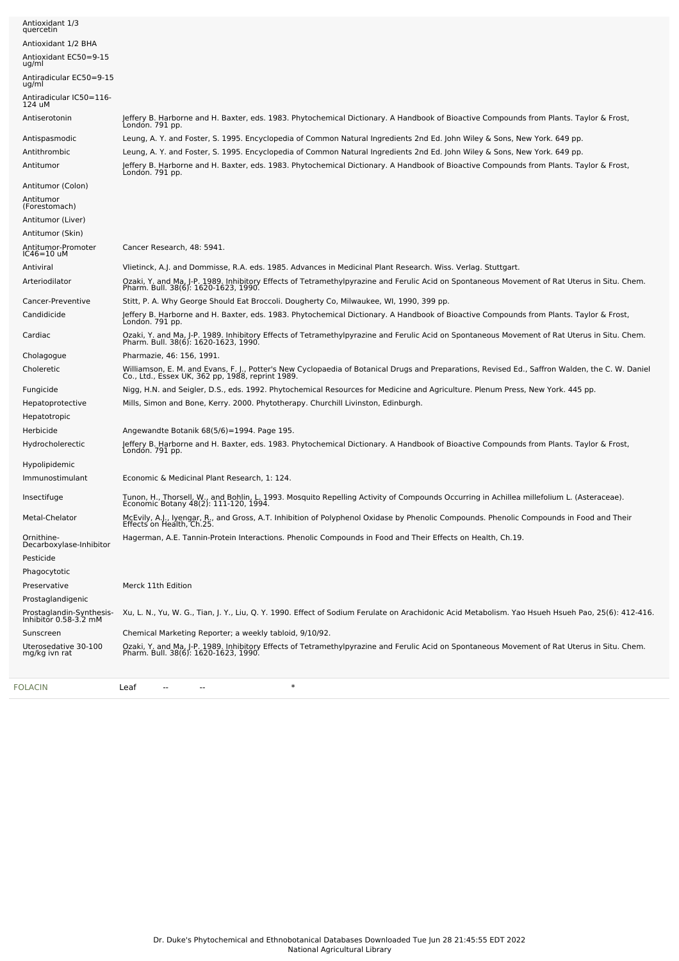| FOLACIN                                           | $\ast$<br>Leaf                                                                                                                                                                                                                    |
|---------------------------------------------------|-----------------------------------------------------------------------------------------------------------------------------------------------------------------------------------------------------------------------------------|
| Uterosedative 30-100<br>mg/kg ivn rat             | Ozaki, Y. and Ma, J-P. 1989. Inhibitory Effects of Tetramethylpyrazine and Ferulic Acid on Spontaneous Movement of Rat Uterus in Situ. Chem.<br>Pharm. Bull. 38(6): 1620-1623, 1990.                                              |
| Sunscreen                                         | Chemical Marketing Reporter; a weekly tabloid, 9/10/92.                                                                                                                                                                           |
| Prostaglandin-Synthesis-<br>Inhibitor 0.58-3.2 mM | Xu, L. N., Yu, W. G., Tian, J. Y., Liu, Q. Y. 1990. Effect of Sodium Ferulate on Arachidonic Acid Metabolism. Yao Hsueh Hsueh Pao, 25(6): 412-416.                                                                                |
| Prostaglandigenic                                 |                                                                                                                                                                                                                                   |
| Preservative                                      | Merck 11th Edition                                                                                                                                                                                                                |
| Phagocytotic                                      |                                                                                                                                                                                                                                   |
| Decarboxylase-Inhibitor<br>Pesticide              |                                                                                                                                                                                                                                   |
| Ornithine-                                        | Effects on Health, Ch.25.<br>Hagerman, A.E. Tannin-Protein Interactions. Phenolic Compounds in Food and Their Effects on Health, Ch.19.                                                                                           |
| Metal-Chelator                                    | McEvily, A.J., Iyengar, R., and Gross, A.T. Inhibition of Polyphenol Oxidase by Phenolic Compounds. Phenolic Compounds in Food and Their                                                                                          |
| Insectifuge                                       | Tunon, H., Thorsell, W., and Bohlin, L. 1993. Mosquito Repelling Activity of Compounds Occurring in Achillea millefolium L. (Asteraceae).<br>Economic Botany 48(2): 111-120, 1994.                                                |
| Immunostimulant                                   | Economic & Medicinal Plant Research, 1: 124.                                                                                                                                                                                      |
| Hypolipidemic                                     |                                                                                                                                                                                                                                   |
| Hydrocholerectic                                  | Jeffery B. Harborne and H. Baxter, eds. 1983. Phytochemical Dictionary. A Handbook of Bioactive Compounds from Plants. Taylor & Frost,<br>Londón. 791 pp.                                                                         |
| Herbicide                                         | Angewandte Botanik 68(5/6)=1994. Page 195.                                                                                                                                                                                        |
| Hepatoprotective<br>Hepatotropic                  | Mills, Simon and Bone, Kerry. 2000. Phytotherapy. Churchill Livinston, Edinburgh.                                                                                                                                                 |
| Fungicide                                         | Nigg, H.N. and Seigler, D.S., eds. 1992. Phytochemical Resources for Medicine and Agriculture. Plenum Press, New York. 445 pp.                                                                                                    |
|                                                   | Williamson, E. M. and Evans, F. J., Potter's New Cyclopaedia of Botanical Drugs and Preparations, Revised Ed., Saffron Walden, the C. W. Daniel<br>Co., Ltd., Essex UK, 362 pp, 1988, reprint 1989.                               |
| Cholagogue<br>Choleretic                          | Pharmazie, 46: 156, 1991.                                                                                                                                                                                                         |
|                                                   | Ozaki, Y. and Ma, J-P. 1989. Inhibitory Effects of Tetramethylpyrazine and Ferulic Acid on Spontaneous Movement of Rat Uterus in Situ. Chem.<br>Pharm. Bull. 38(6): 1620-1623, 1990.                                              |
| Cardiac                                           | Londón. 791 pp.                                                                                                                                                                                                                   |
| Cancer-Preventive<br>Candidicide                  | Stitt, P. A. Why George Should Eat Broccoli. Dougherty Co, Milwaukee, WI, 1990, 399 pp.<br>Jeffery B. Harborne and H. Baxter, eds. 1983. Phytochemical Dictionary. A Handbook of Bioactive Compounds from Plants. Taylor & Frost, |
|                                                   |                                                                                                                                                                                                                                   |
| Arteriodilator                                    | Ozaki, Y. and Ma, J-P. 1989. Inhibitory Effects of Tetramethylpyrazine and Ferulic Acid on Spontaneous Movement of Rat Uterus in Situ. Chem.<br>Pharm. Bull. 38(6): 1620-1623, 1990.                                              |
| IC46=10 uM<br>Antiviral                           | Vlietinck, A.J. and Dommisse, R.A. eds. 1985. Advances in Medicinal Plant Research. Wiss. Verlag. Stuttgart.                                                                                                                      |
| Antitumor-Promoter                                | Cancer Research, 48: 5941.                                                                                                                                                                                                        |
| Antitumor (Skin)                                  |                                                                                                                                                                                                                                   |
| (Forestomach)<br>Antitumor (Liver)                |                                                                                                                                                                                                                                   |
| Antitumor                                         |                                                                                                                                                                                                                                   |
| Antitumor (Colon)                                 |                                                                                                                                                                                                                                   |
| Antitumor                                         | Jeffery B. Harborne and H. Baxter, eds. 1983. Phytochemical Dictionary. A Handbook of Bioactive Compounds from Plants. Taylor & Frost,<br>Londón. 791 pp.                                                                         |
| Antithrombic                                      | Leung, A. Y. and Foster, S. 1995. Encyclopedia of Common Natural Ingredients 2nd Ed. John Wiley & Sons, New York. 649 pp.                                                                                                         |
| Antispasmodic                                     | Leung, A. Y. and Foster, S. 1995. Encyclopedia of Common Natural Ingredients 2nd Ed. John Wiley & Sons, New York. 649 pp.                                                                                                         |
| Antiserotonin                                     | Jeffery B. Harborne and H. Baxter, eds. 1983. Phytochemical Dictionary. A Handbook of Bioactive Compounds from Plants. Taylor & Frost,<br>London. 791 pp.                                                                         |
| Antiradicular IC50=116-<br>124 uM                 |                                                                                                                                                                                                                                   |
| Antiradicular EC50=9-15<br>ug/ml                  |                                                                                                                                                                                                                                   |
| Antioxidant EC50=9-15<br>ug/ml                    |                                                                                                                                                                                                                                   |
| Antioxidant 1/2 BHA                               |                                                                                                                                                                                                                                   |
| quercetin                                         |                                                                                                                                                                                                                                   |
| Antioxidant 1/3                                   |                                                                                                                                                                                                                                   |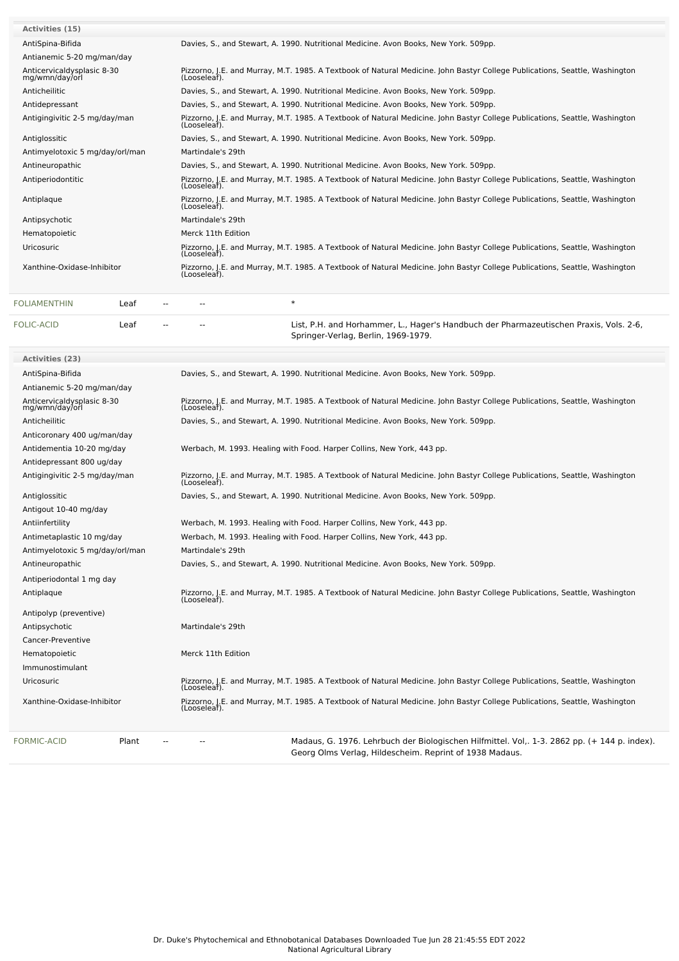| <b>Activities (15)</b>                       |                                                                                                                                             |
|----------------------------------------------|---------------------------------------------------------------------------------------------------------------------------------------------|
| AntiSpina-Bifida                             | Davies, S., and Stewart, A. 1990. Nutritional Medicine. Avon Books, New York. 509pp.                                                        |
| Antianemic 5-20 mg/man/day                   |                                                                                                                                             |
| Anticervicaldysplasic 8-30<br>mg/wmn/day/orl | Pizzorno, J.E. and Murray, M.T. 1985. A Textbook of Natural Medicine. John Bastyr College Publications, Seattle, Washington<br>(Looseleaf). |
| Anticheilitic                                | Davies, S., and Stewart, A. 1990. Nutritional Medicine. Avon Books, New York. 509pp.                                                        |
| Antidepressant                               | Davies, S., and Stewart, A. 1990. Nutritional Medicine. Avon Books, New York. 509pp.                                                        |
| Antigingivitic 2-5 mg/day/man                | Pizzorno, J.E. and Murray, M.T. 1985. A Textbook of Natural Medicine. John Bastyr College Publications, Seattle, Washington<br>(Looseleaf). |
| Antiglossitic                                | Davies, S., and Stewart, A. 1990. Nutritional Medicine. Avon Books, New York. 509pp.                                                        |
| Antimyelotoxic 5 mg/day/orl/man              | Martindale's 29th                                                                                                                           |
| Antineuropathic                              | Davies, S., and Stewart, A. 1990. Nutritional Medicine. Avon Books, New York, 509pp.                                                        |
| Antiperiodontitic                            | Pizzorno, J.E. and Murray, M.T. 1985. A Textbook of Natural Medicine. John Bastyr College Publications, Seattle, Washington<br>(Looseleaf). |
| Antiplaque                                   | Pizzorno, J.E. and Murray, M.T. 1985. A Textbook of Natural Medicine. John Bastyr College Publications, Seattle, Washington<br>(Looseleaf). |
| Antipsychotic                                | Martindale's 29th                                                                                                                           |
| Hematopoietic                                | Merck 11th Edition                                                                                                                          |
| <b>Uricosuric</b>                            | Pizzorno, J.E. and Murray, M.T. 1985. A Textbook of Natural Medicine. John Bastyr College Publications, Seattle, Washington<br>(Looseleaf). |
| Xanthine-Oxidase-Inhibitor                   | Pizzorno, J.E. and Murray, M.T. 1985. A Textbook of Natural Medicine. John Bastyr College Publications, Seattle, Washington<br>(Looseleaf). |
|                                              |                                                                                                                                             |

| <b>FOLIAMENTHIN</b> | ∟eaf | $\sim$ $-$ | $\sim$ |                                                                                                                               |
|---------------------|------|------------|--------|-------------------------------------------------------------------------------------------------------------------------------|
| FOLIC-ACID          | ∟eaf | $\sim$     | $\sim$ | List, P.H. and Horhammer, L., Hager's Handbuch der Pharmazeutischen Praxis, Vols. 2-6,<br>Springer-Verlag, Berlin, 1969-1979. |

| Activities (23)                              |                                                                                                                                                         |
|----------------------------------------------|---------------------------------------------------------------------------------------------------------------------------------------------------------|
| AntiSpina-Bifida                             | Davies, S., and Stewart, A. 1990. Nutritional Medicine. Avon Books, New York. 509pp.                                                                    |
| Antianemic 5-20 mg/man/day                   |                                                                                                                                                         |
| Anticervicaldysplasic 8-30<br>mg/wmn/day/orl | Pizzorno, J.E. and Murray, M.T. 1985. A Textbook of Natural Medicine. John Bastyr College Publications, Seattle, Washington<br>(Looseleaf).             |
| Anticheilitic                                | Davies, S., and Stewart, A. 1990. Nutritional Medicine. Avon Books, New York. 509pp.                                                                    |
| Anticoronary 400 ug/man/day                  |                                                                                                                                                         |
| Antidementia 10-20 mg/day                    | Werbach, M. 1993. Healing with Food. Harper Collins, New York, 443 pp.                                                                                  |
| Antidepressant 800 ug/day                    |                                                                                                                                                         |
| Antigingivitic 2-5 mg/day/man                | Pizzorno, J.E. and Murray, M.T. 1985. A Textbook of Natural Medicine. John Bastyr College Publications, Seattle, Washington<br>(Looseleaf).             |
| Antiglossitic                                | Davies, S., and Stewart, A. 1990. Nutritional Medicine. Avon Books, New York. 509pp.                                                                    |
| Antigout 10-40 mg/day                        |                                                                                                                                                         |
| Antiinfertility                              | Werbach, M. 1993. Healing with Food. Harper Collins, New York, 443 pp.                                                                                  |
| Antimetaplastic 10 mg/day                    | Werbach, M. 1993. Healing with Food. Harper Collins, New York, 443 pp.                                                                                  |
| Antimyelotoxic 5 mg/day/orl/man              | Martindale's 29th                                                                                                                                       |
| Antineuropathic                              | Davies, S., and Stewart, A. 1990. Nutritional Medicine. Avon Books, New York. 509pp.                                                                    |
| Antiperiodontal 1 mg day                     |                                                                                                                                                         |
| Antiplaque                                   | Pizzorno, J.E. and Murray, M.T. 1985. A Textbook of Natural Medicine. John Bastyr College Publications, Seattle, Washington<br>(Looseleaf).             |
| Antipolyp (preventive)                       |                                                                                                                                                         |
| Antipsychotic                                | Martindale's 29th                                                                                                                                       |
| Cancer-Preventive                            |                                                                                                                                                         |
| Hematopoietic                                | Merck 11th Edition                                                                                                                                      |
| Immunostimulant                              |                                                                                                                                                         |
| Uricosuric                                   | Pizzorno, J.E. and Murray, M.T. 1985. A Textbook of Natural Medicine. John Bastyr College Publications, Seattle, Washington<br>(Looseleaf).             |
| Xanthine-Oxidase-Inhibitor                   | Pizzorno, J.E. and Murray, M.T. 1985. A Textbook of Natural Medicine. John Bastyr College Publications, Seattle, Washington<br>(Looseleaf).             |
| <b>FORMIC-ACID</b><br>Plant                  | Madaus, G. 1976. Lehrbuch der Biologischen Hilfmittel. Vol., 1-3. 2862 pp. (+ 144 p. index).<br>Georg Olms Verlag, Hildescheim. Reprint of 1938 Madaus. |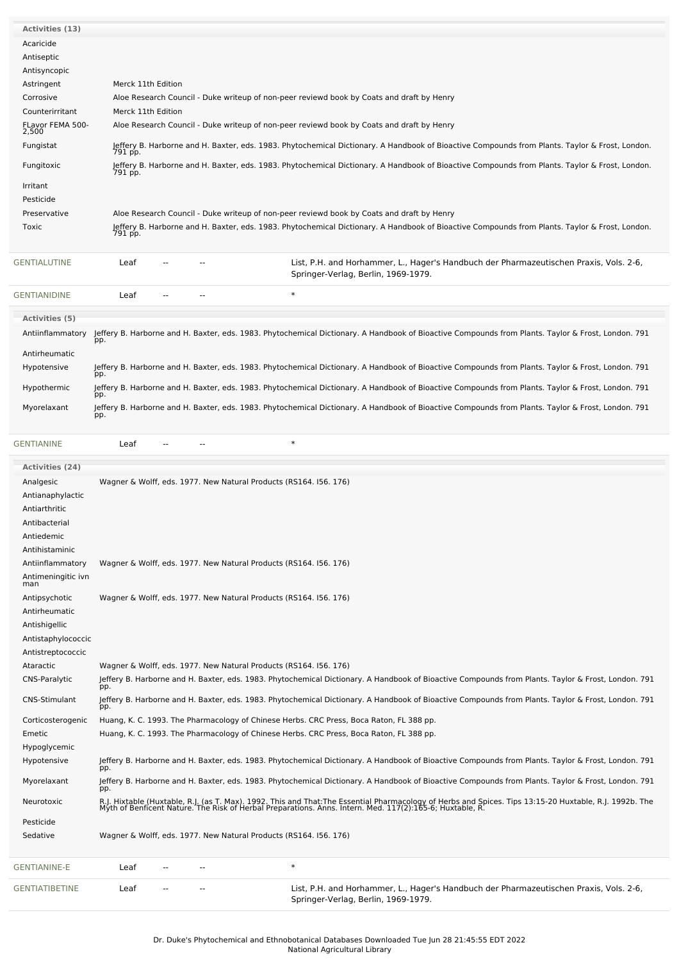| Activities (13)           |                    |  |        |                                                                                                                                                    |
|---------------------------|--------------------|--|--------|----------------------------------------------------------------------------------------------------------------------------------------------------|
| Acaricide                 |                    |  |        |                                                                                                                                                    |
| Antiseptic                |                    |  |        |                                                                                                                                                    |
| Antisyncopic              |                    |  |        |                                                                                                                                                    |
| Astringent                | Merck 11th Edition |  |        |                                                                                                                                                    |
| Corrosive                 |                    |  |        | Aloe Research Council - Duke writeup of non-peer reviewd book by Coats and draft by Henry                                                          |
| Counterirritant           | Merck 11th Edition |  |        |                                                                                                                                                    |
| FLavor FEMA 500-<br>2,500 |                    |  |        | Aloe Research Council - Duke writeup of non-peer reviewd book by Coats and draft by Henry                                                          |
| Fungistat                 | 791 pp.            |  |        | Jeffery B. Harborne and H. Baxter, eds. 1983. Phytochemical Dictionary. A Handbook of Bioactive Compounds from Plants. Taylor & Frost, London.     |
| Fungitoxic                | 791 pp.            |  |        | Jeffery B. Harborne and H. Baxter, eds. 1983. Phytochemical Dictionary. A Handbook of Bioactive Compounds from Plants. Taylor & Frost, London.     |
| Irritant                  |                    |  |        |                                                                                                                                                    |
| Pesticide                 |                    |  |        |                                                                                                                                                    |
| Preservative              |                    |  |        | Aloe Research Council - Duke writeup of non-peer reviewd book by Coats and draft by Henry                                                          |
| Toxic                     | 791 pp.            |  |        | Jeffery B. Harborne and H. Baxter, eds. 1983. Phytochemical Dictionary. A Handbook of Bioactive Compounds from Plants. Taylor & Frost, London.     |
| GENTIALUTINE              | Leaf               |  |        | List, P.H. and Horhammer, L., Hager's Handbuch der Pharmazeutischen Praxis, Vols. 2-6,<br>Springer-Verlag, Berlin, 1969-1979.                      |
| <b>GENTIANIDINE</b>       | Leaf               |  | $\ast$ |                                                                                                                                                    |
| <b>Activities (5)</b>     |                    |  |        |                                                                                                                                                    |
| Antiinflammatory          | pp.                |  |        | Jeffery B. Harborne and H. Baxter, eds. 1983. Phytochemical Dictionary. A Handbook of Bioactive Compounds from Plants. Taylor & Frost, London. 791 |
| Antirheumatic             |                    |  |        |                                                                                                                                                    |
| Hypotensive               | pp.                |  |        | Jeffery B. Harborne and H. Baxter, eds. 1983. Phytochemical Dictionary. A Handbook of Bioactive Compounds from Plants. Taylor & Frost, London. 791 |
| Hypothermic               | pp.                |  |        | Jeffery B. Harborne and H. Baxter, eds. 1983. Phytochemical Dictionary. A Handbook of Bioactive Compounds from Plants. Taylor & Frost, London. 791 |
| Myorelaxant               | pp.                |  |        | Jeffery B. Harborne and H. Baxter, eds. 1983. Phytochemical Dictionary. A Handbook of Bioactive Compounds from Plants. Taylor & Frost, London. 791 |
| <b>GENTIANINE</b>         | Leaf               |  | $\ast$ |                                                                                                                                                    |
| <b>Activities (24)</b>    |                    |  |        |                                                                                                                                                    |

| <b>Activities (24)</b>    |      |  |                                                                   |                                                                                                                                                                                                                                   |
|---------------------------|------|--|-------------------------------------------------------------------|-----------------------------------------------------------------------------------------------------------------------------------------------------------------------------------------------------------------------------------|
| Analgesic                 |      |  | Wagner & Wolff, eds. 1977. New Natural Products (RS164. 156. 176) |                                                                                                                                                                                                                                   |
| Antianaphylactic          |      |  |                                                                   |                                                                                                                                                                                                                                   |
| Antiarthritic             |      |  |                                                                   |                                                                                                                                                                                                                                   |
| Antibacterial             |      |  |                                                                   |                                                                                                                                                                                                                                   |
| Antiedemic                |      |  |                                                                   |                                                                                                                                                                                                                                   |
| Antihistaminic            |      |  |                                                                   |                                                                                                                                                                                                                                   |
| Antiinflammatory          |      |  | Wagner & Wolff, eds. 1977. New Natural Products (RS164. 156. 176) |                                                                                                                                                                                                                                   |
| Antimeningitic ivn<br>man |      |  |                                                                   |                                                                                                                                                                                                                                   |
| Antipsychotic             |      |  | Wagner & Wolff, eds. 1977. New Natural Products (RS164. 156. 176) |                                                                                                                                                                                                                                   |
| Antirheumatic             |      |  |                                                                   |                                                                                                                                                                                                                                   |
| Antishigellic             |      |  |                                                                   |                                                                                                                                                                                                                                   |
| Antistaphylococcic        |      |  |                                                                   |                                                                                                                                                                                                                                   |
| Antistreptococcic         |      |  |                                                                   |                                                                                                                                                                                                                                   |
| Ataractic                 |      |  | Wagner & Wolff, eds. 1977. New Natural Products (RS164. 156. 176) |                                                                                                                                                                                                                                   |
| CNS-Paralytic             | pp.  |  |                                                                   | Jeffery B. Harborne and H. Baxter, eds. 1983. Phytochemical Dictionary. A Handbook of Bioactive Compounds from Plants. Taylor & Frost, London. 791                                                                                |
| <b>CNS-Stimulant</b>      | pp.  |  |                                                                   | Jeffery B. Harborne and H. Baxter, eds. 1983. Phytochemical Dictionary. A Handbook of Bioactive Compounds from Plants. Taylor & Frost, London. 791                                                                                |
| Corticosterogenic         |      |  |                                                                   | Huang, K. C. 1993. The Pharmacology of Chinese Herbs. CRC Press, Boca Raton, FL 388 pp.                                                                                                                                           |
| Emetic                    |      |  |                                                                   | Huang, K. C. 1993. The Pharmacology of Chinese Herbs. CRC Press, Boca Raton, FL 388 pp.                                                                                                                                           |
| Hypoglycemic              |      |  |                                                                   |                                                                                                                                                                                                                                   |
| Hypotensive               | pp.  |  |                                                                   | Jeffery B. Harborne and H. Baxter, eds. 1983. Phytochemical Dictionary. A Handbook of Bioactive Compounds from Plants. Taylor & Frost, London. 791                                                                                |
| Myorelaxant               | pp.  |  |                                                                   | Jeffery B. Harborne and H. Baxter, eds. 1983. Phytochemical Dictionary. A Handbook of Bioactive Compounds from Plants. Taylor & Frost, London. 791                                                                                |
| Neurotoxic                |      |  |                                                                   | R.J. Hixtable (Huxtable, R.J. (as T. Max). 1992. This and That:The Essential Pharmacology of Herbs and Spices. Tips 13:15-20 Huxtable, R.J. 1992b. The<br>Myth of Benficent Nature. The Risk of Herbal Preparations. Anns. Intern |
| Pesticide                 |      |  |                                                                   |                                                                                                                                                                                                                                   |
| Sedative                  |      |  | Wagner & Wolff, eds. 1977. New Natural Products (RS164. I56. 176) |                                                                                                                                                                                                                                   |
| <b>GENTIANINE-E</b>       | Leaf |  | $\ast$                                                            |                                                                                                                                                                                                                                   |
| <b>GENTIATIBETINE</b>     | Leaf |  |                                                                   | List, P.H. and Horhammer, L., Hager's Handbuch der Pharmazeutischen Praxis, Vols. 2-6,<br>Springer-Verlag, Berlin, 1969-1979.                                                                                                     |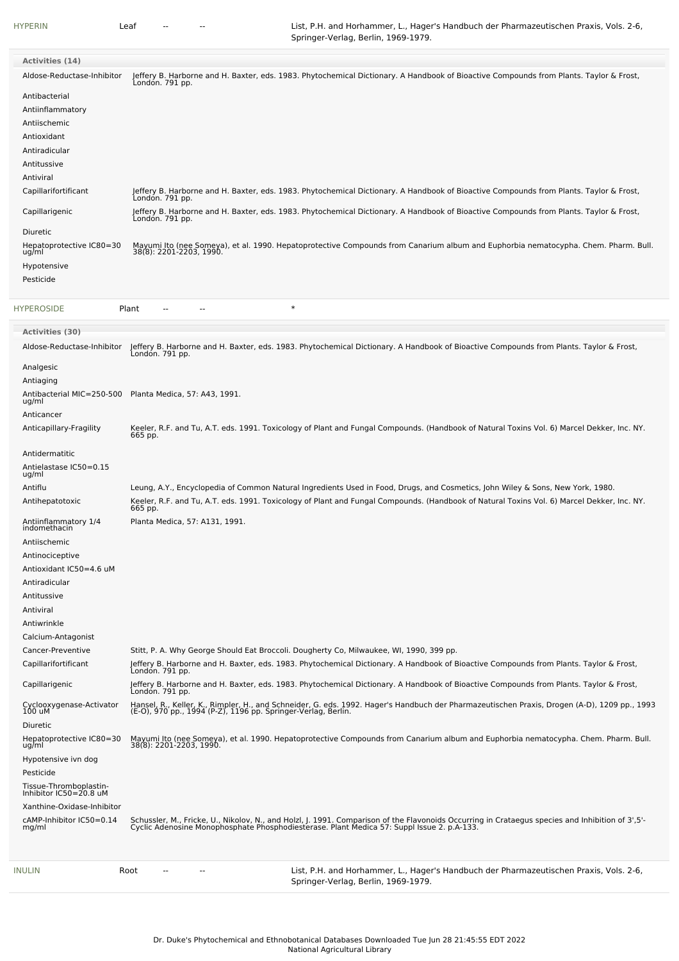[HYPERIN](file:///phytochem/chemicals/show/10041) Leaf -- -- -- List, P.H. and Horhammer, L., Hager's Handbuch der Pharmazeutischen Praxis, Vols. 2-6, Springer-Verlag, Berlin, 1969-1979.

| Activities (14)<br>Jeffery B. Harborne and H. Baxter, eds. 1983. Phytochemical Dictionary. A Handbook of Bioactive Compounds from Plants. Taylor & Frost,<br>London. 791 pp.<br>Aldose-Reductase-Inhibitor<br>Antibacterial<br>Antiinflammatory<br>Antiischemic<br>Antioxidant<br>Antiradicular<br>Antitussive<br>Antiviral<br>Jeffery B. Harborne and H. Baxter, eds. 1983. Phytochemical Dictionary. A Handbook of Bioactive Compounds from Plants. Taylor & Frost,<br>Capillarifortificant<br>Londón. 791 pp.<br>Jeffery B. Harborne and H. Baxter, eds. 1983. Phytochemical Dictionary. A Handbook of Bioactive Compounds from Plants. Taylor & Frost,<br>Capillarigenic<br>Londón. 791 pp.<br><b>Diuretic</b><br>Hepatoprotective IC80=30<br>Mayumi Ito (nee Someya), et al. 1990. Hepatoprotective Compounds from Canarium album and Euphorbia nematocypha. Chem. Pharm. Bull.<br>38(8): 2201-2203, 1990.<br>ug/ml<br>Hypotensive<br>Pesticide<br>$\ast$<br><b>HYPEROSIDE</b><br>Plant<br>Activities (30)<br>Jeffery B. Harborne and H. Baxter, eds. 1983. Phytochemical Dictionary. A Handbook of Bioactive Compounds from Plants. Taylor & Frost,<br>London. 791 pp.<br>Aldose-Reductase-Inhibitor<br>Analgesic<br>Antiaging<br>Antibacterial MIC=250-500<br>Planta Medica, 57: A43, 1991.<br>ug/ml<br>Anticancer<br>Keeler, R.F. and Tu, A.T. eds. 1991. Toxicology of Plant and Fungal Compounds. (Handbook of Natural Toxins Vol. 6) Marcel Dekker, Inc. NY.<br>Anticapillary-Fragility<br>665 pp.<br>Antidermatitic<br>Antielastase IC50=0.15<br>ug/ml<br>Antiflu<br>Leung, A.Y., Encyclopedia of Common Natural Ingredients Used in Food, Drugs, and Cosmetics, John Wiley & Sons, New York, 1980.<br>Keeler, R.F. and Tu, A.T. eds. 1991. Toxicology of Plant and Fungal Compounds. (Handbook of Natural Toxins Vol. 6) Marcel Dekker, Inc. NY.<br>665 pp.<br>Antihepatotoxic<br>Antiinflammatory 1/4<br>Planta Medica, 57: A131, 1991.<br>indomethacin<br>Antiischemic<br>Antinociceptive<br>Antioxidant IC50=4.6 uM<br>Antiradicular<br>Antitussive<br>Antiviral<br>Antiwrinkle<br>Calcium-Antagonist<br>Stitt, P. A. Why George Should Eat Broccoli. Dougherty Co, Milwaukee, WI, 1990, 399 pp.<br>Cancer-Preventive<br>Jeffery B. Harborne and H. Baxter, eds. 1983. Phytochemical Dictionary. A Handbook of Bioactive Compounds from Plants. Taylor & Frost,<br>Capillarifortificant<br>Londón. 791 pp.<br>Jeffery B. Harborne and H. Baxter, eds. 1983. Phytochemical Dictionary. A Handbook of Bioactive Compounds from Plants. Taylor & Frost,<br>Capillarigenic<br>Londón. 791 pp.<br>Hansel, R., Keller, K., Rimpler, H., and Schneider, G. eds. 1992. Hager's Handbuch der Pharmazeutischen Praxis, Drogen (A-D), 1209 pp., 1993<br>(E-O), 970 pp., 1994 (P-Z), 1196 pp. Springer-Verlag, Berlin.<br>Cyclooxygenase-Activator<br>100 uM<br>Diuretic<br>Hepatoprotective IC80=30<br>Mayumi Ito (nee Someya), et al. 1990. Hepatoprotective Compounds from Canarium album and Euphorbia nematocypha. Chem. Pharm. Bull.<br>38(8): 2201-2203, 1990.<br>ug/ml<br>Hypotensive ivn dog<br>Pesticide<br>Tissue-Thromboplastin-<br>Inhibitor IC50=20.8 uM<br>Xanthine-Oxidase-Inhibitor<br>Schussler, M., Fricke, U., Nikolov, N., and Holzl, J. 1991. Comparison of the Flavonoids Occurring in Crataegus species and Inhibition of 3',5'-<br>Cyclic Adenosine Monophosphate Phosphodiesterase. Plant Medica 57: Suppl Issu<br>cAMP-Inhibitor IC50=0.14<br>mg/ml |  |
|------------------------------------------------------------------------------------------------------------------------------------------------------------------------------------------------------------------------------------------------------------------------------------------------------------------------------------------------------------------------------------------------------------------------------------------------------------------------------------------------------------------------------------------------------------------------------------------------------------------------------------------------------------------------------------------------------------------------------------------------------------------------------------------------------------------------------------------------------------------------------------------------------------------------------------------------------------------------------------------------------------------------------------------------------------------------------------------------------------------------------------------------------------------------------------------------------------------------------------------------------------------------------------------------------------------------------------------------------------------------------------------------------------------------------------------------------------------------------------------------------------------------------------------------------------------------------------------------------------------------------------------------------------------------------------------------------------------------------------------------------------------------------------------------------------------------------------------------------------------------------------------------------------------------------------------------------------------------------------------------------------------------------------------------------------------------------------------------------------------------------------------------------------------------------------------------------------------------------------------------------------------------------------------------------------------------------------------------------------------------------------------------------------------------------------------------------------------------------------------------------------------------------------------------------------------------------------------------------------------------------------------------------------------------------------------------------------------------------------------------------------------------------------------------------------------------------------------------------------------------------------------------------------------------------------------------------------------------------------------------------------------------------------------------------------------------------------------------------------------------------------------------------------------------------------------------------------------------------------------------------------------------------------------------------------------------------------------------------------------------------------------------------------------------------------------------------------------------------------|--|
|                                                                                                                                                                                                                                                                                                                                                                                                                                                                                                                                                                                                                                                                                                                                                                                                                                                                                                                                                                                                                                                                                                                                                                                                                                                                                                                                                                                                                                                                                                                                                                                                                                                                                                                                                                                                                                                                                                                                                                                                                                                                                                                                                                                                                                                                                                                                                                                                                                                                                                                                                                                                                                                                                                                                                                                                                                                                                                                                                                                                                                                                                                                                                                                                                                                                                                                                                                                                                                                                                    |  |
|                                                                                                                                                                                                                                                                                                                                                                                                                                                                                                                                                                                                                                                                                                                                                                                                                                                                                                                                                                                                                                                                                                                                                                                                                                                                                                                                                                                                                                                                                                                                                                                                                                                                                                                                                                                                                                                                                                                                                                                                                                                                                                                                                                                                                                                                                                                                                                                                                                                                                                                                                                                                                                                                                                                                                                                                                                                                                                                                                                                                                                                                                                                                                                                                                                                                                                                                                                                                                                                                                    |  |
|                                                                                                                                                                                                                                                                                                                                                                                                                                                                                                                                                                                                                                                                                                                                                                                                                                                                                                                                                                                                                                                                                                                                                                                                                                                                                                                                                                                                                                                                                                                                                                                                                                                                                                                                                                                                                                                                                                                                                                                                                                                                                                                                                                                                                                                                                                                                                                                                                                                                                                                                                                                                                                                                                                                                                                                                                                                                                                                                                                                                                                                                                                                                                                                                                                                                                                                                                                                                                                                                                    |  |
|                                                                                                                                                                                                                                                                                                                                                                                                                                                                                                                                                                                                                                                                                                                                                                                                                                                                                                                                                                                                                                                                                                                                                                                                                                                                                                                                                                                                                                                                                                                                                                                                                                                                                                                                                                                                                                                                                                                                                                                                                                                                                                                                                                                                                                                                                                                                                                                                                                                                                                                                                                                                                                                                                                                                                                                                                                                                                                                                                                                                                                                                                                                                                                                                                                                                                                                                                                                                                                                                                    |  |
|                                                                                                                                                                                                                                                                                                                                                                                                                                                                                                                                                                                                                                                                                                                                                                                                                                                                                                                                                                                                                                                                                                                                                                                                                                                                                                                                                                                                                                                                                                                                                                                                                                                                                                                                                                                                                                                                                                                                                                                                                                                                                                                                                                                                                                                                                                                                                                                                                                                                                                                                                                                                                                                                                                                                                                                                                                                                                                                                                                                                                                                                                                                                                                                                                                                                                                                                                                                                                                                                                    |  |
|                                                                                                                                                                                                                                                                                                                                                                                                                                                                                                                                                                                                                                                                                                                                                                                                                                                                                                                                                                                                                                                                                                                                                                                                                                                                                                                                                                                                                                                                                                                                                                                                                                                                                                                                                                                                                                                                                                                                                                                                                                                                                                                                                                                                                                                                                                                                                                                                                                                                                                                                                                                                                                                                                                                                                                                                                                                                                                                                                                                                                                                                                                                                                                                                                                                                                                                                                                                                                                                                                    |  |
|                                                                                                                                                                                                                                                                                                                                                                                                                                                                                                                                                                                                                                                                                                                                                                                                                                                                                                                                                                                                                                                                                                                                                                                                                                                                                                                                                                                                                                                                                                                                                                                                                                                                                                                                                                                                                                                                                                                                                                                                                                                                                                                                                                                                                                                                                                                                                                                                                                                                                                                                                                                                                                                                                                                                                                                                                                                                                                                                                                                                                                                                                                                                                                                                                                                                                                                                                                                                                                                                                    |  |
|                                                                                                                                                                                                                                                                                                                                                                                                                                                                                                                                                                                                                                                                                                                                                                                                                                                                                                                                                                                                                                                                                                                                                                                                                                                                                                                                                                                                                                                                                                                                                                                                                                                                                                                                                                                                                                                                                                                                                                                                                                                                                                                                                                                                                                                                                                                                                                                                                                                                                                                                                                                                                                                                                                                                                                                                                                                                                                                                                                                                                                                                                                                                                                                                                                                                                                                                                                                                                                                                                    |  |
|                                                                                                                                                                                                                                                                                                                                                                                                                                                                                                                                                                                                                                                                                                                                                                                                                                                                                                                                                                                                                                                                                                                                                                                                                                                                                                                                                                                                                                                                                                                                                                                                                                                                                                                                                                                                                                                                                                                                                                                                                                                                                                                                                                                                                                                                                                                                                                                                                                                                                                                                                                                                                                                                                                                                                                                                                                                                                                                                                                                                                                                                                                                                                                                                                                                                                                                                                                                                                                                                                    |  |
|                                                                                                                                                                                                                                                                                                                                                                                                                                                                                                                                                                                                                                                                                                                                                                                                                                                                                                                                                                                                                                                                                                                                                                                                                                                                                                                                                                                                                                                                                                                                                                                                                                                                                                                                                                                                                                                                                                                                                                                                                                                                                                                                                                                                                                                                                                                                                                                                                                                                                                                                                                                                                                                                                                                                                                                                                                                                                                                                                                                                                                                                                                                                                                                                                                                                                                                                                                                                                                                                                    |  |
|                                                                                                                                                                                                                                                                                                                                                                                                                                                                                                                                                                                                                                                                                                                                                                                                                                                                                                                                                                                                                                                                                                                                                                                                                                                                                                                                                                                                                                                                                                                                                                                                                                                                                                                                                                                                                                                                                                                                                                                                                                                                                                                                                                                                                                                                                                                                                                                                                                                                                                                                                                                                                                                                                                                                                                                                                                                                                                                                                                                                                                                                                                                                                                                                                                                                                                                                                                                                                                                                                    |  |
|                                                                                                                                                                                                                                                                                                                                                                                                                                                                                                                                                                                                                                                                                                                                                                                                                                                                                                                                                                                                                                                                                                                                                                                                                                                                                                                                                                                                                                                                                                                                                                                                                                                                                                                                                                                                                                                                                                                                                                                                                                                                                                                                                                                                                                                                                                                                                                                                                                                                                                                                                                                                                                                                                                                                                                                                                                                                                                                                                                                                                                                                                                                                                                                                                                                                                                                                                                                                                                                                                    |  |
|                                                                                                                                                                                                                                                                                                                                                                                                                                                                                                                                                                                                                                                                                                                                                                                                                                                                                                                                                                                                                                                                                                                                                                                                                                                                                                                                                                                                                                                                                                                                                                                                                                                                                                                                                                                                                                                                                                                                                                                                                                                                                                                                                                                                                                                                                                                                                                                                                                                                                                                                                                                                                                                                                                                                                                                                                                                                                                                                                                                                                                                                                                                                                                                                                                                                                                                                                                                                                                                                                    |  |
|                                                                                                                                                                                                                                                                                                                                                                                                                                                                                                                                                                                                                                                                                                                                                                                                                                                                                                                                                                                                                                                                                                                                                                                                                                                                                                                                                                                                                                                                                                                                                                                                                                                                                                                                                                                                                                                                                                                                                                                                                                                                                                                                                                                                                                                                                                                                                                                                                                                                                                                                                                                                                                                                                                                                                                                                                                                                                                                                                                                                                                                                                                                                                                                                                                                                                                                                                                                                                                                                                    |  |
|                                                                                                                                                                                                                                                                                                                                                                                                                                                                                                                                                                                                                                                                                                                                                                                                                                                                                                                                                                                                                                                                                                                                                                                                                                                                                                                                                                                                                                                                                                                                                                                                                                                                                                                                                                                                                                                                                                                                                                                                                                                                                                                                                                                                                                                                                                                                                                                                                                                                                                                                                                                                                                                                                                                                                                                                                                                                                                                                                                                                                                                                                                                                                                                                                                                                                                                                                                                                                                                                                    |  |
|                                                                                                                                                                                                                                                                                                                                                                                                                                                                                                                                                                                                                                                                                                                                                                                                                                                                                                                                                                                                                                                                                                                                                                                                                                                                                                                                                                                                                                                                                                                                                                                                                                                                                                                                                                                                                                                                                                                                                                                                                                                                                                                                                                                                                                                                                                                                                                                                                                                                                                                                                                                                                                                                                                                                                                                                                                                                                                                                                                                                                                                                                                                                                                                                                                                                                                                                                                                                                                                                                    |  |
|                                                                                                                                                                                                                                                                                                                                                                                                                                                                                                                                                                                                                                                                                                                                                                                                                                                                                                                                                                                                                                                                                                                                                                                                                                                                                                                                                                                                                                                                                                                                                                                                                                                                                                                                                                                                                                                                                                                                                                                                                                                                                                                                                                                                                                                                                                                                                                                                                                                                                                                                                                                                                                                                                                                                                                                                                                                                                                                                                                                                                                                                                                                                                                                                                                                                                                                                                                                                                                                                                    |  |
|                                                                                                                                                                                                                                                                                                                                                                                                                                                                                                                                                                                                                                                                                                                                                                                                                                                                                                                                                                                                                                                                                                                                                                                                                                                                                                                                                                                                                                                                                                                                                                                                                                                                                                                                                                                                                                                                                                                                                                                                                                                                                                                                                                                                                                                                                                                                                                                                                                                                                                                                                                                                                                                                                                                                                                                                                                                                                                                                                                                                                                                                                                                                                                                                                                                                                                                                                                                                                                                                                    |  |
|                                                                                                                                                                                                                                                                                                                                                                                                                                                                                                                                                                                                                                                                                                                                                                                                                                                                                                                                                                                                                                                                                                                                                                                                                                                                                                                                                                                                                                                                                                                                                                                                                                                                                                                                                                                                                                                                                                                                                                                                                                                                                                                                                                                                                                                                                                                                                                                                                                                                                                                                                                                                                                                                                                                                                                                                                                                                                                                                                                                                                                                                                                                                                                                                                                                                                                                                                                                                                                                                                    |  |
|                                                                                                                                                                                                                                                                                                                                                                                                                                                                                                                                                                                                                                                                                                                                                                                                                                                                                                                                                                                                                                                                                                                                                                                                                                                                                                                                                                                                                                                                                                                                                                                                                                                                                                                                                                                                                                                                                                                                                                                                                                                                                                                                                                                                                                                                                                                                                                                                                                                                                                                                                                                                                                                                                                                                                                                                                                                                                                                                                                                                                                                                                                                                                                                                                                                                                                                                                                                                                                                                                    |  |
|                                                                                                                                                                                                                                                                                                                                                                                                                                                                                                                                                                                                                                                                                                                                                                                                                                                                                                                                                                                                                                                                                                                                                                                                                                                                                                                                                                                                                                                                                                                                                                                                                                                                                                                                                                                                                                                                                                                                                                                                                                                                                                                                                                                                                                                                                                                                                                                                                                                                                                                                                                                                                                                                                                                                                                                                                                                                                                                                                                                                                                                                                                                                                                                                                                                                                                                                                                                                                                                                                    |  |
|                                                                                                                                                                                                                                                                                                                                                                                                                                                                                                                                                                                                                                                                                                                                                                                                                                                                                                                                                                                                                                                                                                                                                                                                                                                                                                                                                                                                                                                                                                                                                                                                                                                                                                                                                                                                                                                                                                                                                                                                                                                                                                                                                                                                                                                                                                                                                                                                                                                                                                                                                                                                                                                                                                                                                                                                                                                                                                                                                                                                                                                                                                                                                                                                                                                                                                                                                                                                                                                                                    |  |
|                                                                                                                                                                                                                                                                                                                                                                                                                                                                                                                                                                                                                                                                                                                                                                                                                                                                                                                                                                                                                                                                                                                                                                                                                                                                                                                                                                                                                                                                                                                                                                                                                                                                                                                                                                                                                                                                                                                                                                                                                                                                                                                                                                                                                                                                                                                                                                                                                                                                                                                                                                                                                                                                                                                                                                                                                                                                                                                                                                                                                                                                                                                                                                                                                                                                                                                                                                                                                                                                                    |  |
|                                                                                                                                                                                                                                                                                                                                                                                                                                                                                                                                                                                                                                                                                                                                                                                                                                                                                                                                                                                                                                                                                                                                                                                                                                                                                                                                                                                                                                                                                                                                                                                                                                                                                                                                                                                                                                                                                                                                                                                                                                                                                                                                                                                                                                                                                                                                                                                                                                                                                                                                                                                                                                                                                                                                                                                                                                                                                                                                                                                                                                                                                                                                                                                                                                                                                                                                                                                                                                                                                    |  |
|                                                                                                                                                                                                                                                                                                                                                                                                                                                                                                                                                                                                                                                                                                                                                                                                                                                                                                                                                                                                                                                                                                                                                                                                                                                                                                                                                                                                                                                                                                                                                                                                                                                                                                                                                                                                                                                                                                                                                                                                                                                                                                                                                                                                                                                                                                                                                                                                                                                                                                                                                                                                                                                                                                                                                                                                                                                                                                                                                                                                                                                                                                                                                                                                                                                                                                                                                                                                                                                                                    |  |
|                                                                                                                                                                                                                                                                                                                                                                                                                                                                                                                                                                                                                                                                                                                                                                                                                                                                                                                                                                                                                                                                                                                                                                                                                                                                                                                                                                                                                                                                                                                                                                                                                                                                                                                                                                                                                                                                                                                                                                                                                                                                                                                                                                                                                                                                                                                                                                                                                                                                                                                                                                                                                                                                                                                                                                                                                                                                                                                                                                                                                                                                                                                                                                                                                                                                                                                                                                                                                                                                                    |  |
|                                                                                                                                                                                                                                                                                                                                                                                                                                                                                                                                                                                                                                                                                                                                                                                                                                                                                                                                                                                                                                                                                                                                                                                                                                                                                                                                                                                                                                                                                                                                                                                                                                                                                                                                                                                                                                                                                                                                                                                                                                                                                                                                                                                                                                                                                                                                                                                                                                                                                                                                                                                                                                                                                                                                                                                                                                                                                                                                                                                                                                                                                                                                                                                                                                                                                                                                                                                                                                                                                    |  |
|                                                                                                                                                                                                                                                                                                                                                                                                                                                                                                                                                                                                                                                                                                                                                                                                                                                                                                                                                                                                                                                                                                                                                                                                                                                                                                                                                                                                                                                                                                                                                                                                                                                                                                                                                                                                                                                                                                                                                                                                                                                                                                                                                                                                                                                                                                                                                                                                                                                                                                                                                                                                                                                                                                                                                                                                                                                                                                                                                                                                                                                                                                                                                                                                                                                                                                                                                                                                                                                                                    |  |
|                                                                                                                                                                                                                                                                                                                                                                                                                                                                                                                                                                                                                                                                                                                                                                                                                                                                                                                                                                                                                                                                                                                                                                                                                                                                                                                                                                                                                                                                                                                                                                                                                                                                                                                                                                                                                                                                                                                                                                                                                                                                                                                                                                                                                                                                                                                                                                                                                                                                                                                                                                                                                                                                                                                                                                                                                                                                                                                                                                                                                                                                                                                                                                                                                                                                                                                                                                                                                                                                                    |  |
|                                                                                                                                                                                                                                                                                                                                                                                                                                                                                                                                                                                                                                                                                                                                                                                                                                                                                                                                                                                                                                                                                                                                                                                                                                                                                                                                                                                                                                                                                                                                                                                                                                                                                                                                                                                                                                                                                                                                                                                                                                                                                                                                                                                                                                                                                                                                                                                                                                                                                                                                                                                                                                                                                                                                                                                                                                                                                                                                                                                                                                                                                                                                                                                                                                                                                                                                                                                                                                                                                    |  |
|                                                                                                                                                                                                                                                                                                                                                                                                                                                                                                                                                                                                                                                                                                                                                                                                                                                                                                                                                                                                                                                                                                                                                                                                                                                                                                                                                                                                                                                                                                                                                                                                                                                                                                                                                                                                                                                                                                                                                                                                                                                                                                                                                                                                                                                                                                                                                                                                                                                                                                                                                                                                                                                                                                                                                                                                                                                                                                                                                                                                                                                                                                                                                                                                                                                                                                                                                                                                                                                                                    |  |
|                                                                                                                                                                                                                                                                                                                                                                                                                                                                                                                                                                                                                                                                                                                                                                                                                                                                                                                                                                                                                                                                                                                                                                                                                                                                                                                                                                                                                                                                                                                                                                                                                                                                                                                                                                                                                                                                                                                                                                                                                                                                                                                                                                                                                                                                                                                                                                                                                                                                                                                                                                                                                                                                                                                                                                                                                                                                                                                                                                                                                                                                                                                                                                                                                                                                                                                                                                                                                                                                                    |  |
|                                                                                                                                                                                                                                                                                                                                                                                                                                                                                                                                                                                                                                                                                                                                                                                                                                                                                                                                                                                                                                                                                                                                                                                                                                                                                                                                                                                                                                                                                                                                                                                                                                                                                                                                                                                                                                                                                                                                                                                                                                                                                                                                                                                                                                                                                                                                                                                                                                                                                                                                                                                                                                                                                                                                                                                                                                                                                                                                                                                                                                                                                                                                                                                                                                                                                                                                                                                                                                                                                    |  |
|                                                                                                                                                                                                                                                                                                                                                                                                                                                                                                                                                                                                                                                                                                                                                                                                                                                                                                                                                                                                                                                                                                                                                                                                                                                                                                                                                                                                                                                                                                                                                                                                                                                                                                                                                                                                                                                                                                                                                                                                                                                                                                                                                                                                                                                                                                                                                                                                                                                                                                                                                                                                                                                                                                                                                                                                                                                                                                                                                                                                                                                                                                                                                                                                                                                                                                                                                                                                                                                                                    |  |
|                                                                                                                                                                                                                                                                                                                                                                                                                                                                                                                                                                                                                                                                                                                                                                                                                                                                                                                                                                                                                                                                                                                                                                                                                                                                                                                                                                                                                                                                                                                                                                                                                                                                                                                                                                                                                                                                                                                                                                                                                                                                                                                                                                                                                                                                                                                                                                                                                                                                                                                                                                                                                                                                                                                                                                                                                                                                                                                                                                                                                                                                                                                                                                                                                                                                                                                                                                                                                                                                                    |  |
|                                                                                                                                                                                                                                                                                                                                                                                                                                                                                                                                                                                                                                                                                                                                                                                                                                                                                                                                                                                                                                                                                                                                                                                                                                                                                                                                                                                                                                                                                                                                                                                                                                                                                                                                                                                                                                                                                                                                                                                                                                                                                                                                                                                                                                                                                                                                                                                                                                                                                                                                                                                                                                                                                                                                                                                                                                                                                                                                                                                                                                                                                                                                                                                                                                                                                                                                                                                                                                                                                    |  |
|                                                                                                                                                                                                                                                                                                                                                                                                                                                                                                                                                                                                                                                                                                                                                                                                                                                                                                                                                                                                                                                                                                                                                                                                                                                                                                                                                                                                                                                                                                                                                                                                                                                                                                                                                                                                                                                                                                                                                                                                                                                                                                                                                                                                                                                                                                                                                                                                                                                                                                                                                                                                                                                                                                                                                                                                                                                                                                                                                                                                                                                                                                                                                                                                                                                                                                                                                                                                                                                                                    |  |
|                                                                                                                                                                                                                                                                                                                                                                                                                                                                                                                                                                                                                                                                                                                                                                                                                                                                                                                                                                                                                                                                                                                                                                                                                                                                                                                                                                                                                                                                                                                                                                                                                                                                                                                                                                                                                                                                                                                                                                                                                                                                                                                                                                                                                                                                                                                                                                                                                                                                                                                                                                                                                                                                                                                                                                                                                                                                                                                                                                                                                                                                                                                                                                                                                                                                                                                                                                                                                                                                                    |  |
|                                                                                                                                                                                                                                                                                                                                                                                                                                                                                                                                                                                                                                                                                                                                                                                                                                                                                                                                                                                                                                                                                                                                                                                                                                                                                                                                                                                                                                                                                                                                                                                                                                                                                                                                                                                                                                                                                                                                                                                                                                                                                                                                                                                                                                                                                                                                                                                                                                                                                                                                                                                                                                                                                                                                                                                                                                                                                                                                                                                                                                                                                                                                                                                                                                                                                                                                                                                                                                                                                    |  |
|                                                                                                                                                                                                                                                                                                                                                                                                                                                                                                                                                                                                                                                                                                                                                                                                                                                                                                                                                                                                                                                                                                                                                                                                                                                                                                                                                                                                                                                                                                                                                                                                                                                                                                                                                                                                                                                                                                                                                                                                                                                                                                                                                                                                                                                                                                                                                                                                                                                                                                                                                                                                                                                                                                                                                                                                                                                                                                                                                                                                                                                                                                                                                                                                                                                                                                                                                                                                                                                                                    |  |
|                                                                                                                                                                                                                                                                                                                                                                                                                                                                                                                                                                                                                                                                                                                                                                                                                                                                                                                                                                                                                                                                                                                                                                                                                                                                                                                                                                                                                                                                                                                                                                                                                                                                                                                                                                                                                                                                                                                                                                                                                                                                                                                                                                                                                                                                                                                                                                                                                                                                                                                                                                                                                                                                                                                                                                                                                                                                                                                                                                                                                                                                                                                                                                                                                                                                                                                                                                                                                                                                                    |  |
|                                                                                                                                                                                                                                                                                                                                                                                                                                                                                                                                                                                                                                                                                                                                                                                                                                                                                                                                                                                                                                                                                                                                                                                                                                                                                                                                                                                                                                                                                                                                                                                                                                                                                                                                                                                                                                                                                                                                                                                                                                                                                                                                                                                                                                                                                                                                                                                                                                                                                                                                                                                                                                                                                                                                                                                                                                                                                                                                                                                                                                                                                                                                                                                                                                                                                                                                                                                                                                                                                    |  |

[INULIN](file:///phytochem/chemicals/show/10152) Root -- - - - - List, P.H. and Horhammer, L., Hager's Handbuch der Pharmazeutischen Praxis, Vols. 2-6, Springer-Verlag, Berlin, 1969-1979.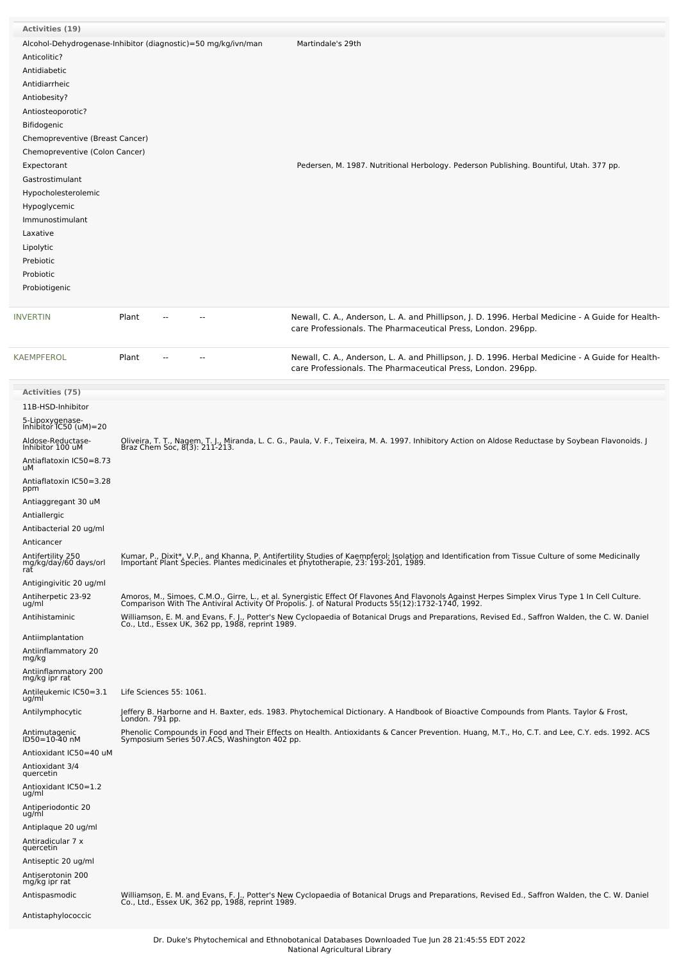| <b>Activities (19)</b>                    |                                                               |                                                                                                                                                                                                                                   |
|-------------------------------------------|---------------------------------------------------------------|-----------------------------------------------------------------------------------------------------------------------------------------------------------------------------------------------------------------------------------|
|                                           | Alcohol-Dehydrogenase-Inhibitor (diagnostic)=50 mg/kg/ivn/man | Martindale's 29th                                                                                                                                                                                                                 |
| Anticolitic?                              |                                                               |                                                                                                                                                                                                                                   |
| Antidiabetic                              |                                                               |                                                                                                                                                                                                                                   |
| Antidiarrheic                             |                                                               |                                                                                                                                                                                                                                   |
|                                           |                                                               |                                                                                                                                                                                                                                   |
| Antiobesity?                              |                                                               |                                                                                                                                                                                                                                   |
| Antiosteoporotic?                         |                                                               |                                                                                                                                                                                                                                   |
| Bifidogenic                               |                                                               |                                                                                                                                                                                                                                   |
| Chemopreventive (Breast Cancer)           |                                                               |                                                                                                                                                                                                                                   |
| Chemopreventive (Colon Cancer)            |                                                               |                                                                                                                                                                                                                                   |
|                                           |                                                               |                                                                                                                                                                                                                                   |
| Expectorant                               |                                                               | Pedersen, M. 1987. Nutritional Herbology. Pederson Publishing. Bountiful, Utah. 377 pp.                                                                                                                                           |
| Gastrostimulant                           |                                                               |                                                                                                                                                                                                                                   |
| Hypocholesterolemic                       |                                                               |                                                                                                                                                                                                                                   |
| Hypoglycemic                              |                                                               |                                                                                                                                                                                                                                   |
| Immunostimulant                           |                                                               |                                                                                                                                                                                                                                   |
| Laxative                                  |                                                               |                                                                                                                                                                                                                                   |
| Lipolytic                                 |                                                               |                                                                                                                                                                                                                                   |
|                                           |                                                               |                                                                                                                                                                                                                                   |
| Prebiotic                                 |                                                               |                                                                                                                                                                                                                                   |
| Probiotic                                 |                                                               |                                                                                                                                                                                                                                   |
| Probiotigenic                             |                                                               |                                                                                                                                                                                                                                   |
|                                           |                                                               |                                                                                                                                                                                                                                   |
| INVERTIN                                  | Plant<br>$\overline{a}$                                       | Newall, C. A., Anderson, L. A. and Phillipson, J. D. 1996. Herbal Medicine - A Guide for Health-<br>care Professionals. The Pharmaceutical Press, London. 296pp.                                                                  |
| KAEMPFEROL                                | Plant<br>$-$                                                  | Newall, C. A., Anderson, L. A. and Phillipson, J. D. 1996. Herbal Medicine - A Guide for Health-<br>care Professionals. The Pharmaceutical Press, London. 296pp.                                                                  |
| <b>Activities (75)</b>                    |                                                               |                                                                                                                                                                                                                                   |
| 11B-HSD-Inhibitor                         |                                                               |                                                                                                                                                                                                                                   |
|                                           |                                                               |                                                                                                                                                                                                                                   |
| 5-Lipoxygenase-<br>Inhibitor IC50 (uM)=20 |                                                               |                                                                                                                                                                                                                                   |
| Aldose-Reductase-                         |                                                               |                                                                                                                                                                                                                                   |
| Inhibitor 100 uM                          |                                                               | Oliveira, T. T., Nagem, T. J., Miranda, L. C. G., Paula, V. F., Teixeira, M. A. 1997. Inhibitory Action on Aldose Reductase by Soybean Flavonoids. J<br>Braz Chem Soc, 8(3): 211-213.                                             |
| Antiaflatoxin IC50=8.73                   |                                                               |                                                                                                                                                                                                                                   |
| uМ<br>Antiaflatoxin IC50=3.28             |                                                               |                                                                                                                                                                                                                                   |
| ppm                                       |                                                               |                                                                                                                                                                                                                                   |
| Antiaggregant 30 uM                       |                                                               |                                                                                                                                                                                                                                   |
| Antiallergic                              |                                                               |                                                                                                                                                                                                                                   |
| Antibacterial 20 ug/ml                    |                                                               |                                                                                                                                                                                                                                   |
| Anticancer                                |                                                               |                                                                                                                                                                                                                                   |
| Antifertility 250                         |                                                               | Kumar, P., Dixit*, V.P., and Khanna, P. Antifertility Studies of Kaempferol: Isolation and Identification from Tissue Culture of some Medicinally                                                                                 |
| mg/kg/daý/60 days/orl                     |                                                               | Important Plant Species. Plantes medicinales et phytotherapie, 23: 193-201, 1989.                                                                                                                                                 |
| rať                                       |                                                               |                                                                                                                                                                                                                                   |
| Antigingivitic 20 ug/ml                   |                                                               |                                                                                                                                                                                                                                   |
| Antiherpetic 23-92<br>ug/ml               |                                                               | Amoros, M., Simoes, C.M.O., Girre, L., et al. Synergistic Effect Of Flavones And Flavonols Against Herpes Simplex Virus Type 1 In Cell Culture.<br>Comparison With The Antiviral Activity Of Propolis. J. of Natural Products 55( |
|                                           |                                                               |                                                                                                                                                                                                                                   |
| Antihistaminic                            |                                                               | Williamson, E. M. and Evans, F. J., Potter's New Cyclopaedia of Botanical Drugs and Preparations, Revised Ed., Saffron Walden, the C. W. Daniel<br>Co., Ltd., Essex UK, 362 pp, 1988, reprint 1989.                               |
| Antiimplantation                          |                                                               |                                                                                                                                                                                                                                   |
|                                           |                                                               |                                                                                                                                                                                                                                   |
| Antiinflammatory 20<br>mg/kg              |                                                               |                                                                                                                                                                                                                                   |
| Antiinflammatory 200                      |                                                               |                                                                                                                                                                                                                                   |
| mg/kg ipr rat                             |                                                               |                                                                                                                                                                                                                                   |
| Antileukemic IC50=3.1<br>ug/ml            | Life Sciences 55: 1061.                                       |                                                                                                                                                                                                                                   |
|                                           |                                                               |                                                                                                                                                                                                                                   |
| Antilymphocytic                           | Londón. 791 pp.                                               | Jeffery B. Harborne and H. Baxter, eds. 1983. Phytochemical Dictionary. A Handbook of Bioactive Compounds from Plants. Taylor & Frost,                                                                                            |
| Antimutagenic                             |                                                               | Phenolic Compounds in Food and Their Effects on Health. Antioxidants & Cancer Prevention. Huang, M.T., Ho, C.T. and Lee, C.Y. eds. 1992. ACS                                                                                      |
| ID50=10-40 nM                             | Symposium Series 507.ACS, Washington 402 pp.                  |                                                                                                                                                                                                                                   |
| Antioxidant IC50=40 uM                    |                                                               |                                                                                                                                                                                                                                   |
| Antioxidant 3/4                           |                                                               |                                                                                                                                                                                                                                   |
| quercetin                                 |                                                               |                                                                                                                                                                                                                                   |
| Antioxidant IC50=1.2                      |                                                               |                                                                                                                                                                                                                                   |
| ug/ml                                     |                                                               |                                                                                                                                                                                                                                   |
| Antiperiodontic 20<br>ug/ml               |                                                               |                                                                                                                                                                                                                                   |
| Antiplaque 20 ug/ml                       |                                                               |                                                                                                                                                                                                                                   |
|                                           |                                                               |                                                                                                                                                                                                                                   |
| Antiradicular 7 x<br>quercetin            |                                                               |                                                                                                                                                                                                                                   |
| Antiseptic 20 ug/ml                       |                                                               |                                                                                                                                                                                                                                   |
| Antiserotonin 200                         |                                                               |                                                                                                                                                                                                                                   |
| mg/kg ipr rat                             |                                                               |                                                                                                                                                                                                                                   |
| Antispasmodic                             |                                                               | Williamson, E. M. and Evans, F. J., Potter's New Cyclopaedia of Botanical Drugs and Preparations, Revised Ed., Saffron Walden, the C. W. Daniel                                                                                   |
|                                           | Co., Ltd., Essex UK, 362 pp, 1988, reprint 1989.              |                                                                                                                                                                                                                                   |
| Antistaphylococcic                        |                                                               |                                                                                                                                                                                                                                   |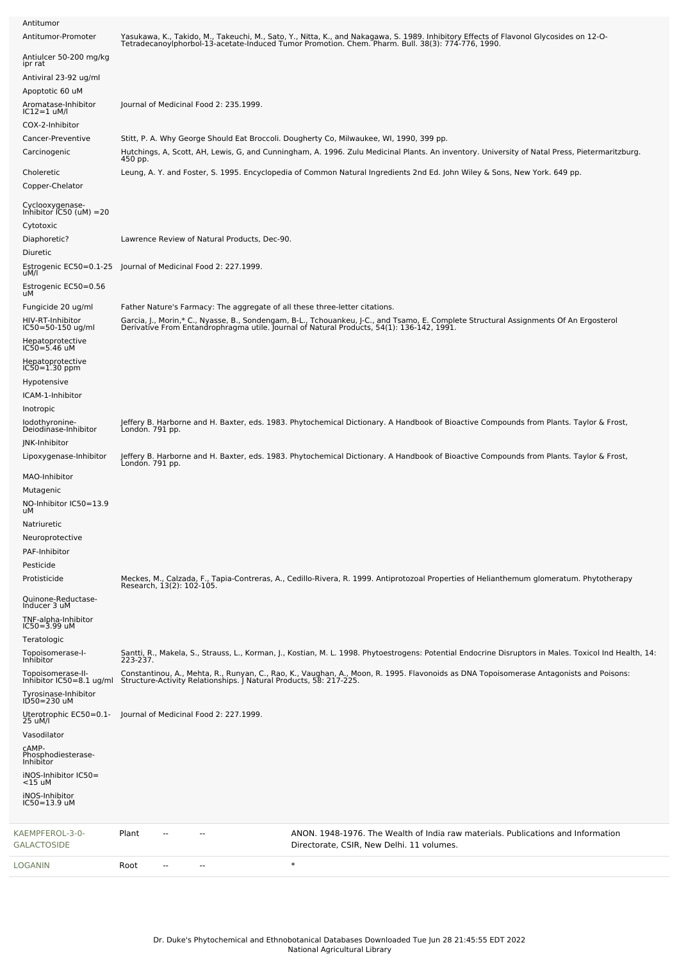| Antitumor                                                       |                           |    |                                              |                                                                                                                                                                                                                                   |
|-----------------------------------------------------------------|---------------------------|----|----------------------------------------------|-----------------------------------------------------------------------------------------------------------------------------------------------------------------------------------------------------------------------------------|
| Antitumor-Promoter                                              |                           |    |                                              | Yasukawa, K., Takido, M., Takeuchi, M., Sato, Y., Nitta, K., and Nakagawa, S. 1989. Inhibitory Effects of Flavonol Glycosides on 12-O-<br>TetradecanoyIphorbol-13-acetate-Induced Tumor Promotion. Chem. Pharm. Bull. 38(3): 774- |
| Antiulcer 50-200 mg/kg<br>ipr rat                               |                           |    |                                              |                                                                                                                                                                                                                                   |
| Antiviral 23-92 ug/ml                                           |                           |    |                                              |                                                                                                                                                                                                                                   |
| Apoptotic 60 uM<br>Aromatase-Inhibitor                          |                           |    | Journal of Medicinal Food 2: 235.1999.       |                                                                                                                                                                                                                                   |
| $IC12=1$ uM/l<br>COX-2-Inhibitor                                |                           |    |                                              |                                                                                                                                                                                                                                   |
| Cancer-Preventive                                               |                           |    |                                              | Stitt, P. A. Why George Should Eat Broccoli. Dougherty Co, Milwaukee, WI, 1990, 399 pp.                                                                                                                                           |
| Carcinogenic                                                    | 450 pp.                   |    |                                              | Hutchings, A, Scott, AH, Lewis, G, and Cunningham, A. 1996. Zulu Medicinal Plants. An inventory. University of Natal Press, Pietermaritzburg.                                                                                     |
| Choleretic<br>Copper-Chelator                                   |                           |    |                                              | Leung, A. Y. and Foster, S. 1995. Encyclopedia of Common Natural Ingredients 2nd Ed. John Wiley & Sons, New York. 649 pp.                                                                                                         |
| Cyclooxygenase-<br>Inhibitor IC50 (uM) =20<br>Cytotoxic         |                           |    |                                              |                                                                                                                                                                                                                                   |
| Diaphoretic?<br>Diuretic                                        |                           |    | Lawrence Review of Natural Products, Dec-90. |                                                                                                                                                                                                                                   |
| Estrogenic EC50=0.1-25<br>uM/l                                  |                           |    | Journal of Medicinal Food 2: 227.1999.       |                                                                                                                                                                                                                                   |
| Estrogenic EC50=0.56<br>uM                                      |                           |    |                                              |                                                                                                                                                                                                                                   |
| Fungicide 20 ug/ml                                              |                           |    |                                              | Father Nature's Farmacy: The aggregate of all these three-letter citations.                                                                                                                                                       |
| HIV-RT-Inhibitor<br>$IC50 = 50 - 150$ ug/ml<br>Hepatoprotective |                           |    |                                              | Garcia, J., Morin,* C., Nyasse, B., Sondengam, B-L., Tchouankeu, J-C., and Tsamo, E. Complete Structural Assignments Of An Ergosterol<br>Derivative From Entandrophragma utile. Journal of Natural Products, 54(1): 136-142, 1991 |
| $IC50 = 5.46$ uM<br>Hepatoprotective                            |                           |    |                                              |                                                                                                                                                                                                                                   |
| $IC50 = 1.30$ ppm<br>Hypotensive                                |                           |    |                                              |                                                                                                                                                                                                                                   |
| ICAM-1-Inhibitor                                                |                           |    |                                              |                                                                                                                                                                                                                                   |
| Inotropic<br>lodothyronine-                                     |                           |    |                                              | Jeffery B. Harborne and H. Baxter, eds. 1983. Phytochemical Dictionary. A Handbook of Bioactive Compounds from Plants. Taylor & Frost,                                                                                            |
| Deiodinase-Inhibitor<br>JNK-Inhibitor                           | Londón. 791 pp.           |    |                                              |                                                                                                                                                                                                                                   |
| Lipoxygenase-Inhibitor                                          | London. 791 pp.           |    |                                              | Jeffery B. Harborne and H. Baxter, eds. 1983. Phytochemical Dictionary. A Handbook of Bioactive Compounds from Plants. Taylor & Frost,                                                                                            |
| MAO-Inhibitor                                                   |                           |    |                                              |                                                                                                                                                                                                                                   |
| Mutagenic<br>NO-Inhibitor IC50=13.9                             |                           |    |                                              |                                                                                                                                                                                                                                   |
| uМ                                                              |                           |    |                                              |                                                                                                                                                                                                                                   |
| Natriuretic<br>Neuroprotective                                  |                           |    |                                              |                                                                                                                                                                                                                                   |
| PAF-Inhibitor                                                   |                           |    |                                              |                                                                                                                                                                                                                                   |
| Pesticide<br>Protisticide                                       |                           |    |                                              | Meckes, M., Calzada, F., Tapia-Contreras, A., Cedillo-Rivera, R. 1999. Antiprotozoal Properties of Helianthemum glomeratum. Phytotherapy                                                                                          |
| Quinone-Reductase-                                              | Research, 13(2): 102-105. |    |                                              |                                                                                                                                                                                                                                   |
| Inducer 3 uM<br>TNF-alpha-Inhibitor<br>IC50=3.99 uM             |                           |    |                                              |                                                                                                                                                                                                                                   |
| Teratologic                                                     |                           |    |                                              |                                                                                                                                                                                                                                   |
| Topoisomerase-I-<br><b>Inhibitor</b>                            | 223-237.                  |    |                                              | Santti, R., Makela, S., Strauss, L., Korman, J., Kostian, M. L. 1998. Phytoestrogens: Potential Endocrine Disruptors in Males. Toxicol Ind Health, 14:                                                                            |
| Topoisomerase-II-<br>Inhibitor IC50=8.1 ug/ml                   |                           |    |                                              | Constantinou, A., Mehta, R., Runyan, C., Rao, K., Vaughan, A., Moon, R. 1995. Flavonoids as DNA Topoisomerase Antagonists and Poisons:<br>Structure-Activity Relationships. J Natural Products, 58: 217-225.                      |
| Tyrosinase-Inhibitor<br>ID50=230 uM                             |                           |    |                                              |                                                                                                                                                                                                                                   |
| Uterotrophic EC50=0.1-<br>25 uM/l                               |                           |    | Journal of Medicinal Food 2: 227.1999.       |                                                                                                                                                                                                                                   |
| Vasodilator                                                     |                           |    |                                              |                                                                                                                                                                                                                                   |
| CAMP-<br>Phosphodiesterase-<br>Inhibitor                        |                           |    |                                              |                                                                                                                                                                                                                                   |
| iNOS-Inhibitor IC50=<br>$<$ 15 uM                               |                           |    |                                              |                                                                                                                                                                                                                                   |
| iNOS-Inhibitor<br>IC50=13.9 uM                                  |                           |    |                                              |                                                                                                                                                                                                                                   |
| KAEMPFEROL-3-0-<br><b>GALACTOSIDE</b>                           | Plant                     | -- |                                              | ANON. 1948-1976. The Wealth of India raw materials. Publications and Information<br>Directorate, CSIR, New Delhi. 11 volumes.                                                                                                     |
| LOGANIN                                                         | Root                      |    |                                              | $\ast$                                                                                                                                                                                                                            |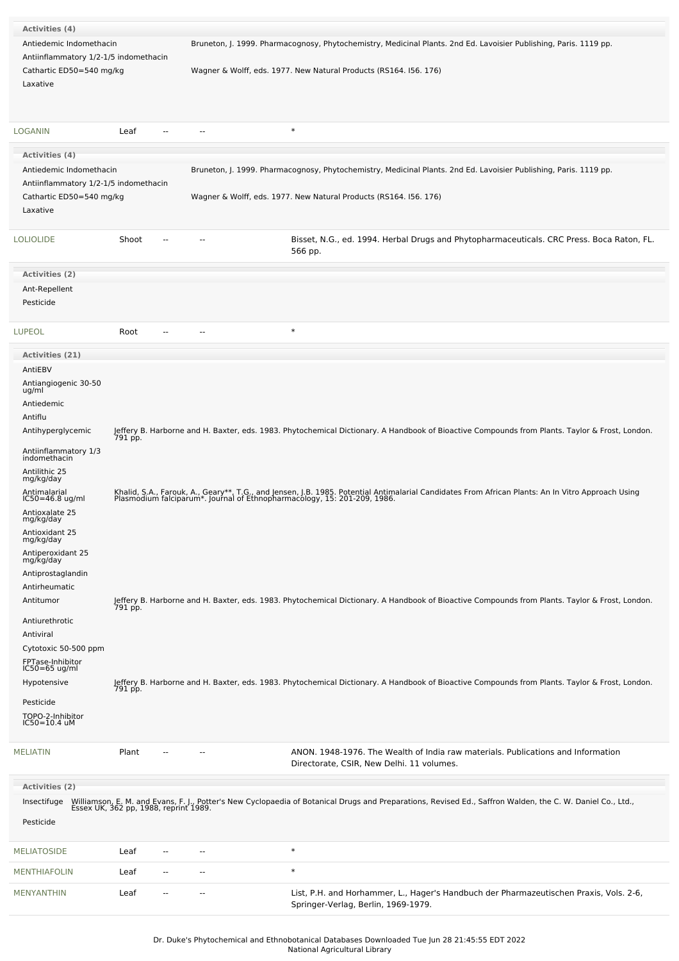| <b>Activities (4)</b>                            |                        |    |                                                                                                                                                                                                                               |
|--------------------------------------------------|------------------------|----|-------------------------------------------------------------------------------------------------------------------------------------------------------------------------------------------------------------------------------|
| Antiedemic Indomethacin                          |                        |    | Bruneton, J. 1999. Pharmacognosy, Phytochemistry, Medicinal Plants. 2nd Ed. Lavoisier Publishing, Paris. 1119 pp.                                                                                                             |
| Antiinflammatory 1/2-1/5 indomethacin            |                        |    |                                                                                                                                                                                                                               |
| Cathartic ED50=540 mg/kg                         |                        |    | Wagner & Wolff, eds. 1977. New Natural Products (RS164. 156. 176)                                                                                                                                                             |
| Laxative                                         |                        |    |                                                                                                                                                                                                                               |
|                                                  |                        |    |                                                                                                                                                                                                                               |
| LOGANIN                                          | Leaf                   | -- | $\ast$                                                                                                                                                                                                                        |
|                                                  |                        |    |                                                                                                                                                                                                                               |
| <b>Activities (4)</b><br>Antiedemic Indomethacin |                        |    | Bruneton, J. 1999. Pharmacognosy, Phytochemistry, Medicinal Plants. 2nd Ed. Lavoisier Publishing, Paris. 1119 pp.                                                                                                             |
| Antiinflammatory 1/2-1/5 indomethacin            |                        |    |                                                                                                                                                                                                                               |
| Cathartic ED50=540 mg/kg                         |                        |    | Wagner & Wolff, eds. 1977. New Natural Products (RS164. 156. 176)                                                                                                                                                             |
| Laxative                                         |                        |    |                                                                                                                                                                                                                               |
|                                                  |                        |    |                                                                                                                                                                                                                               |
| <b>LOLIOLIDE</b>                                 | Shoot<br>$\sim$ $\sim$ | -- | Bisset, N.G., ed. 1994. Herbal Drugs and Phytopharmaceuticals. CRC Press. Boca Raton, FL.<br>566 pp.                                                                                                                          |
| <b>Activities (2)</b>                            |                        |    |                                                                                                                                                                                                                               |
| Ant-Repellent                                    |                        |    |                                                                                                                                                                                                                               |
| Pesticide                                        |                        |    |                                                                                                                                                                                                                               |
| <b>LUPEOL</b>                                    | Root                   |    | $\ast$                                                                                                                                                                                                                        |
|                                                  |                        |    |                                                                                                                                                                                                                               |
| <b>Activities (21)</b>                           |                        |    |                                                                                                                                                                                                                               |
| AntiEBV                                          |                        |    |                                                                                                                                                                                                                               |
| Antiangiogenic 30-50<br>ug/ml                    |                        |    |                                                                                                                                                                                                                               |
| Antiedemic                                       |                        |    |                                                                                                                                                                                                                               |
| Antiflu                                          |                        |    |                                                                                                                                                                                                                               |
| Antihyperglycemic                                | 791 pp.                |    | Jeffery B. Harborne and H. Baxter, eds. 1983. Phytochemical Dictionary. A Handbook of Bioactive Compounds from Plants. Taylor & Frost, London.                                                                                |
| Antiinflammatory 1/3<br>indomethacin             |                        |    |                                                                                                                                                                                                                               |
| Antilithic 25                                    |                        |    |                                                                                                                                                                                                                               |
| mg/kg/day<br>Antimalarial                        |                        |    |                                                                                                                                                                                                                               |
| $IC50 = 46.8$ ug/ml                              |                        |    | Khalid, S.A., Farouk, A., Geary**, T.G., and Jensen, J.B. 1985. Potential Antimalarial Candidates From African Plants: An In Vitro Approach Using<br>Plasmodium falciparum*. Journal of Ethnopharmacology, 15: 201-209, 1986. |
| Antioxalate 25<br>mg/kg/day                      |                        |    |                                                                                                                                                                                                                               |
| Antioxidant 25                                   |                        |    |                                                                                                                                                                                                                               |
| mg/kg/day<br>Antiperoxidant 25                   |                        |    |                                                                                                                                                                                                                               |
| mg/kg/day                                        |                        |    |                                                                                                                                                                                                                               |
| Antiprostaglandin                                |                        |    |                                                                                                                                                                                                                               |
| Antirheumatic<br>Antitumor                       |                        |    |                                                                                                                                                                                                                               |
|                                                  |                        |    | Jeffery B. Harborne and H. Baxter, eds. 1983. Phytochemical Dictionary. A Handbook of Bioactive Compounds from Plants. Taylor & Frost, London.<br>791 pp.                                                                     |
| Antiurethrotic                                   |                        |    |                                                                                                                                                                                                                               |
| Antiviral<br>Cytotoxic 50-500 ppm                |                        |    |                                                                                                                                                                                                                               |
| FPTase-Inhibitor                                 |                        |    |                                                                                                                                                                                                                               |
| $IC50=65$ ug/ml                                  |                        |    |                                                                                                                                                                                                                               |
| Hypotensive                                      |                        |    | Jeffery B. Harborne and H. Baxter, eds. 1983. Phytochemical Dictionary. A Handbook of Bioactive Compounds from Plants. Taylor & Frost, London.<br>791 pp.                                                                     |
| Pesticide                                        |                        |    |                                                                                                                                                                                                                               |
| TOPO-2-Inhibitor<br>$IC50 = 10.4$ uM             |                        |    |                                                                                                                                                                                                                               |
|                                                  |                        |    |                                                                                                                                                                                                                               |
| <b>MELIATIN</b>                                  | Plant<br>$\sim$ $\sim$ | ٠. | ANON. 1948-1976. The Wealth of India raw materials. Publications and Information                                                                                                                                              |
|                                                  |                        |    | Directorate, CSIR, New Delhi. 11 volumes.                                                                                                                                                                                     |
| Activities (2)                                   |                        |    |                                                                                                                                                                                                                               |
| Insectifuge                                      |                        |    | Williamson, E. M. and Evans, F. J., Potter's New Cyclopaedia of Botanical Drugs and Preparations, Revised Ed., Saffron Walden, the C. W. Daniel Co., Ltd., Essex UK, 362 pp, 1988, reprint 1989.                              |
| Pesticide                                        |                        |    |                                                                                                                                                                                                                               |
|                                                  |                        |    |                                                                                                                                                                                                                               |
| <b>MELIATOSIDE</b>                               | Leaf<br>--             |    | $\ast$                                                                                                                                                                                                                        |

| MENYANTHIN | Leaf | $\sim$ | $-$ | List, P.H. and Horhammer, L., Hager's Handbuch der Pharmazeutischen Praxis, Vols. 2-6, |
|------------|------|--------|-----|----------------------------------------------------------------------------------------|
|            |      |        |     | Springer-Verlag, Berlin, 1969-1979.                                                    |
|            |      |        |     |                                                                                        |

[MENTHIAFOLIN](file:///phytochem/chemicals/show/12101) Leaf -- - - \*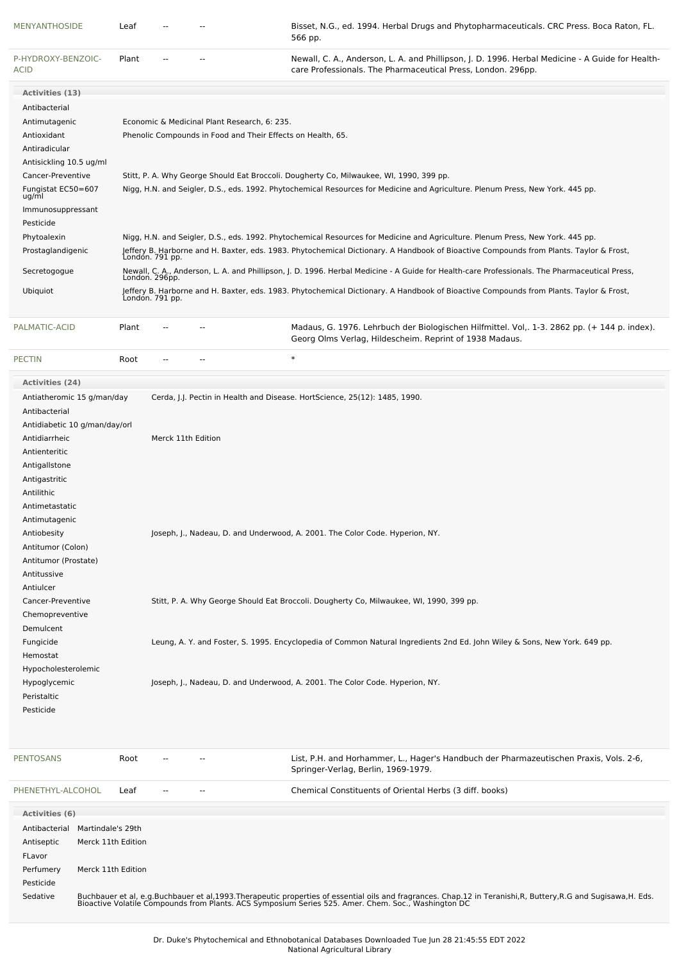| <b>MENYANTHOSIDE</b>                                                                                                                                                                                                                                                                                                                                                                                                                       |                                                               | Leaf            |                    |                                              | Bisset, N.G., ed. 1994. Herbal Drugs and Phytopharmaceuticals. CRC Press. Boca Raton, FL.<br>566 pp.                                                                                                                                                                                                                                                                                                                                                               |
|--------------------------------------------------------------------------------------------------------------------------------------------------------------------------------------------------------------------------------------------------------------------------------------------------------------------------------------------------------------------------------------------------------------------------------------------|---------------------------------------------------------------|-----------------|--------------------|----------------------------------------------|--------------------------------------------------------------------------------------------------------------------------------------------------------------------------------------------------------------------------------------------------------------------------------------------------------------------------------------------------------------------------------------------------------------------------------------------------------------------|
| P-HYDROXY-BENZOIC-<br>ACID                                                                                                                                                                                                                                                                                                                                                                                                                 |                                                               | Plant           |                    |                                              | Newall, C. A., Anderson, L. A. and Phillipson, J. D. 1996. Herbal Medicine - A Guide for Health-<br>care Professionals. The Pharmaceutical Press, London. 296pp.                                                                                                                                                                                                                                                                                                   |
| Activities (13)                                                                                                                                                                                                                                                                                                                                                                                                                            |                                                               |                 |                    |                                              |                                                                                                                                                                                                                                                                                                                                                                                                                                                                    |
| Antibacterial<br>Antimutagenic<br>Antioxidant<br>Antiradicular                                                                                                                                                                                                                                                                                                                                                                             |                                                               |                 |                    | Economic & Medicinal Plant Research, 6: 235. | Phenolic Compounds in Food and Their Effects on Health, 65.                                                                                                                                                                                                                                                                                                                                                                                                        |
| Antisickling 10.5 ug/ml<br>Cancer-Preventive<br>Fungistat EC50=607<br>ug/ml<br>Immunosuppressant                                                                                                                                                                                                                                                                                                                                           |                                                               |                 |                    |                                              | Stitt, P. A. Why George Should Eat Broccoli. Dougherty Co, Milwaukee, WI, 1990, 399 pp.<br>Nigg, H.N. and Seigler, D.S., eds. 1992. Phytochemical Resources for Medicine and Agriculture. Plenum Press, New York. 445 pp.                                                                                                                                                                                                                                          |
| Pesticide<br>Phytoalexin                                                                                                                                                                                                                                                                                                                                                                                                                   |                                                               |                 |                    |                                              | Nigg, H.N. and Seigler, D.S., eds. 1992. Phytochemical Resources for Medicine and Agriculture. Plenum Press, New York. 445 pp.                                                                                                                                                                                                                                                                                                                                     |
| Prostaglandigenic                                                                                                                                                                                                                                                                                                                                                                                                                          |                                                               | Londón. 791 pp. |                    |                                              | Jeffery B. Harborne and H. Baxter, eds. 1983. Phytochemical Dictionary. A Handbook of Bioactive Compounds from Plants. Taylor & Frost,                                                                                                                                                                                                                                                                                                                             |
| Secretogogue                                                                                                                                                                                                                                                                                                                                                                                                                               |                                                               | London. 296pp.  |                    |                                              | Newall, C. A., Anderson, L. A. and Phillipson, J. D. 1996. Herbal Medicine - A Guide for Health-care Professionals. The Pharmaceutical Press,                                                                                                                                                                                                                                                                                                                      |
| Ubiquiot                                                                                                                                                                                                                                                                                                                                                                                                                                   |                                                               | Londón. 791 pp. |                    |                                              | Jeffery B. Harborne and H. Baxter, eds. 1983. Phytochemical Dictionary. A Handbook of Bioactive Compounds from Plants. Taylor & Frost,                                                                                                                                                                                                                                                                                                                             |
| PALMATIC-ACID                                                                                                                                                                                                                                                                                                                                                                                                                              |                                                               | Plant           |                    |                                              | Madaus, G. 1976. Lehrbuch der Biologischen Hilfmittel. Vol., 1-3. 2862 pp. (+ 144 p. index).<br>Georg Olms Verlag, Hildescheim. Reprint of 1938 Madaus.                                                                                                                                                                                                                                                                                                            |
| <b>PECTIN</b>                                                                                                                                                                                                                                                                                                                                                                                                                              |                                                               | Root            |                    |                                              | $\ast$                                                                                                                                                                                                                                                                                                                                                                                                                                                             |
| <b>Activities (24)</b>                                                                                                                                                                                                                                                                                                                                                                                                                     |                                                               |                 |                    |                                              |                                                                                                                                                                                                                                                                                                                                                                                                                                                                    |
| Antiatheromic 15 g/man/day<br>Antibacterial<br>Antidiabetic 10 g/man/day/orl<br>Antidiarrheic<br>Antienteritic<br>Antigallstone<br>Antigastritic<br>Antilithic<br>Antimetastatic<br>Antimutagenic<br>Antiobesity<br>Antitumor (Colon)<br>Antitumor (Prostate)<br>Antitussive<br>Antiulcer<br>Cancer-Preventive<br>Chemopreventive<br>Demulcent<br>Fungicide<br>Hemostat<br>Hypocholesterolemic<br>Hypoglycemic<br>Peristaltic<br>Pesticide |                                                               |                 | Merck 11th Edition |                                              | Cerda, J.J. Pectin in Health and Disease. HortScience, 25(12): 1485, 1990.<br>Joseph, J., Nadeau, D. and Underwood, A. 2001. The Color Code. Hyperion, NY.<br>Stitt, P. A. Why George Should Eat Broccoli. Dougherty Co, Milwaukee, WI, 1990, 399 pp.<br>Leung, A. Y. and Foster, S. 1995. Encyclopedia of Common Natural Ingredients 2nd Ed. John Wiley & Sons, New York. 649 pp.<br>Joseph, J., Nadeau, D. and Underwood, A. 2001. The Color Code. Hyperion, NY. |
| <b>PENTOSANS</b>                                                                                                                                                                                                                                                                                                                                                                                                                           |                                                               | Root            |                    |                                              | List, P.H. and Horhammer, L., Hager's Handbuch der Pharmazeutischen Praxis, Vols. 2-6,<br>Springer-Verlag, Berlin, 1969-1979.                                                                                                                                                                                                                                                                                                                                      |
| PHENETHYL-ALCOHOL                                                                                                                                                                                                                                                                                                                                                                                                                          |                                                               | Leaf            |                    |                                              | Chemical Constituents of Oriental Herbs (3 diff. books)                                                                                                                                                                                                                                                                                                                                                                                                            |
| Activities (6)                                                                                                                                                                                                                                                                                                                                                                                                                             |                                                               |                 |                    |                                              |                                                                                                                                                                                                                                                                                                                                                                                                                                                                    |
| Antibacterial<br>Antiseptic<br>FLavor<br>Perfumery<br>Pesticide                                                                                                                                                                                                                                                                                                                                                                            | Martindale's 29th<br>Merck 11th Edition<br>Merck 11th Edition |                 |                    |                                              |                                                                                                                                                                                                                                                                                                                                                                                                                                                                    |
| Sedative                                                                                                                                                                                                                                                                                                                                                                                                                                   |                                                               |                 |                    |                                              | Buchbauer et al, e.g.Buchbauer et al,1993.Therapeutic properties of essential oils and fragrances. Chap.12 in Teranishi,R, Buttery,R.G and Sugisawa,H. Eds.<br>Bioactive Volatile Compounds from Plants. ACS Symposium Series 525                                                                                                                                                                                                                                  |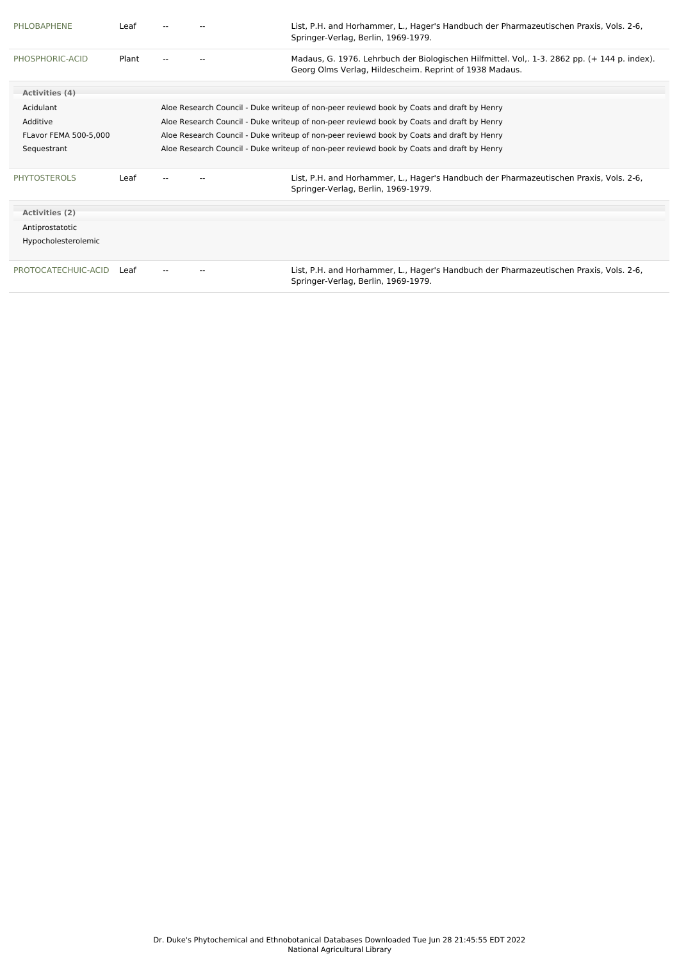| PHLOBAPHENE                  | Leaf  |                                                                                           | List, P.H. and Horhammer, L., Hager's Handbuch der Pharmazeutischen Praxis, Vols. 2-6,<br>Springer-Verlag, Berlin, 1969-1979.                           |
|------------------------------|-------|-------------------------------------------------------------------------------------------|---------------------------------------------------------------------------------------------------------------------------------------------------------|
| PHOSPHORIC-ACID              | Plant |                                                                                           | Madaus, G. 1976. Lehrbuch der Biologischen Hilfmittel. Vol., 1-3. 2862 pp. (+ 144 p. index).<br>Georg Olms Verlag, Hildescheim. Reprint of 1938 Madaus. |
| Activities (4)               |       |                                                                                           |                                                                                                                                                         |
| Acidulant                    |       |                                                                                           | Aloe Research Council - Duke writeup of non-peer reviewd book by Coats and draft by Henry                                                               |
| Additive                     |       |                                                                                           | Aloe Research Council - Duke writeup of non-peer reviewd book by Coats and draft by Henry                                                               |
| <b>FLavor FEMA 500-5.000</b> |       | Aloe Research Council - Duke writeup of non-peer reviewd book by Coats and draft by Henry |                                                                                                                                                         |
| Sequestrant                  |       |                                                                                           | Aloe Research Council - Duke writeup of non-peer reviewd book by Coats and draft by Henry                                                               |
| <b>PHYTOSTEROLS</b>          | Leaf  |                                                                                           | List, P.H. and Horhammer, L., Hager's Handbuch der Pharmazeutischen Praxis, Vols. 2-6,<br>Springer-Verlag, Berlin, 1969-1979.                           |
| Activities (2)               |       |                                                                                           |                                                                                                                                                         |
| Antiprostatotic              |       |                                                                                           |                                                                                                                                                         |
| Hypocholesterolemic          |       |                                                                                           |                                                                                                                                                         |
| PROTOCATECHUIC-ACID          | Leaf  |                                                                                           | List, P.H. and Horhammer, L., Hager's Handbuch der Pharmazeutischen Praxis, Vols. 2-6,<br>Springer-Verlag, Berlin, 1969-1979.                           |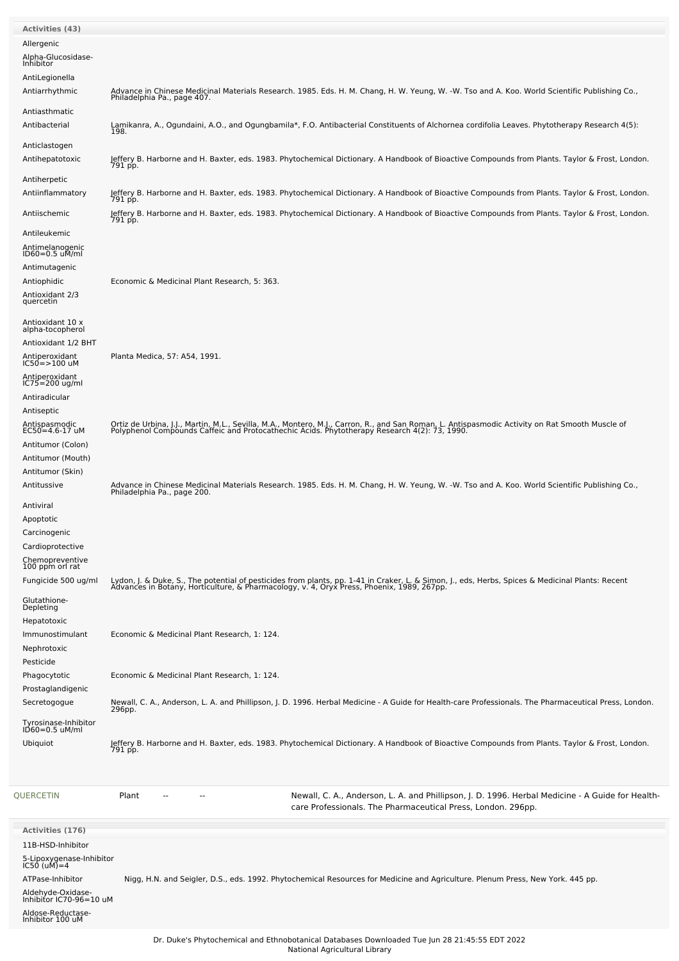| <b>Activities (43)</b>                       |                                                                                                                                                                                                                                   |
|----------------------------------------------|-----------------------------------------------------------------------------------------------------------------------------------------------------------------------------------------------------------------------------------|
| Allergenic                                   |                                                                                                                                                                                                                                   |
| Alpha-Glucosidase-<br>Inhibitor              |                                                                                                                                                                                                                                   |
| AntiLegionella                               |                                                                                                                                                                                                                                   |
| Antiarrhythmic                               | Advance in Chinese Medicinal Materials Research. 1985. Eds. H. M. Chang, H. W. Yeung, W. -W. Tso and A. Koo. World Scientific Publishing Co.,<br>Philadelphia Pa., page 407.                                                      |
| Antiasthmatic                                |                                                                                                                                                                                                                                   |
| Antibacterial                                | Lamikanra, A., Ogundaini, A.O., and Ogungbamila*, F.O. Antibacterial Constituents of Alchornea cordifolia Leaves. Phytotherapy Research 4(5):<br>198.                                                                             |
| Anticlastogen                                |                                                                                                                                                                                                                                   |
| Antihepatotoxic                              | Jeffery B. Harborne and H. Baxter, eds. 1983. Phytochemical Dictionary. A Handbook of Bioactive Compounds from Plants. Taylor & Frost, London.                                                                                    |
| Antiherpetic                                 | 791 pp.                                                                                                                                                                                                                           |
| Antiinflammatory                             | Jeffery B. Harborne and H. Baxter, eds. 1983. Phytochemical Dictionary. A Handbook of Bioactive Compounds from Plants. Taylor & Frost, London.                                                                                    |
| Antiischemic                                 | 791 pp.<br>Jeffery B. Harborne and H. Baxter, eds. 1983. Phytochemical Dictionary. A Handbook of Bioactive Compounds from Plants. Taylor & Frost, London.                                                                         |
|                                              | 791 pp.                                                                                                                                                                                                                           |
| Antileukemic                                 |                                                                                                                                                                                                                                   |
| Antimelanogenic<br>ID60=0.5 uM/ml            |                                                                                                                                                                                                                                   |
| Antimutagenic                                |                                                                                                                                                                                                                                   |
| Antiophidic                                  | Economic & Medicinal Plant Research, 5: 363.                                                                                                                                                                                      |
| Antioxidant 2/3<br>quercetin                 |                                                                                                                                                                                                                                   |
| Antioxidant 10 x                             |                                                                                                                                                                                                                                   |
| alpha-tocopherol                             |                                                                                                                                                                                                                                   |
| Antioxidant 1/2 BHT<br>Antiperoxidant        | Planta Medica, 57: A54, 1991.                                                                                                                                                                                                     |
| $IC50 = > 100$ uM                            |                                                                                                                                                                                                                                   |
| Antiperoxidant<br>$IC75 = 200$ ug/ml         |                                                                                                                                                                                                                                   |
| Antiradicular                                |                                                                                                                                                                                                                                   |
| Antiseptic                                   |                                                                                                                                                                                                                                   |
| Antispasmodic<br>$EC50 = 4.6 - 17$ uM        | Ortiz de Urbina, J.J., Martin, M.L., Sevilla, M.A., Montero, M.J., Carron, R., and San Roman, L. Antispasmodic Activity on Rat Smooth Muscle of<br>Polyphenol Compounds Caffeic and Protocathechic Acids. Phytotherapy Research 4 |
| Antitumor (Colon)                            |                                                                                                                                                                                                                                   |
| Antitumor (Mouth)                            |                                                                                                                                                                                                                                   |
| Antitumor (Skin)<br>Antitussive              |                                                                                                                                                                                                                                   |
|                                              | Advance in Chinese Medicinal Materials Research. 1985. Eds. H. M. Chang, H. W. Yeung, W. -W. Tso and A. Koo. World Scientific Publishing Co.,<br>Philadelphia Pa., page 200.                                                      |
| Antiviral                                    |                                                                                                                                                                                                                                   |
| Apoptotic<br>Carcinogenic                    |                                                                                                                                                                                                                                   |
| Cardioprotective                             |                                                                                                                                                                                                                                   |
| Chemopreventive<br>100 ppm orl rat           |                                                                                                                                                                                                                                   |
| Fungicide 500 ug/ml                          |                                                                                                                                                                                                                                   |
|                                              | Lydon, J. & Duke, S., The potential of pesticides from plants, pp. 1-41 in Craker, L. & Simon, J., eds, Herbs, Spices & Medicinal Plants: Recent<br>Advances in Botany, Horticulture, & Pharmacology, v. 4, Oryx Press, Phoenix,  |
| Glutathione-<br>Depleting                    |                                                                                                                                                                                                                                   |
| Hepatotoxic                                  |                                                                                                                                                                                                                                   |
| Immunostimulant                              | Economic & Medicinal Plant Research, 1: 124.                                                                                                                                                                                      |
| Nephrotoxic<br>Pesticide                     |                                                                                                                                                                                                                                   |
| Phagocytotic                                 | Economic & Medicinal Plant Research, 1: 124.                                                                                                                                                                                      |
| Prostaglandigenic                            |                                                                                                                                                                                                                                   |
| Secretogogue                                 | Newall, C. A., Anderson, L. A. and Phillipson, J. D. 1996. Herbal Medicine - A Guide for Health-care Professionals. The Pharmaceutical Press, London.<br>296pp.                                                                   |
| Tyrosinase-Inhibitor<br>ID60=0.5 uM/ml       |                                                                                                                                                                                                                                   |
| Ubiquiot                                     | Jeffery B. Harborne and H. Baxter, eds. 1983. Phytochemical Dictionary. A Handbook of Bioactive Compounds from Plants. Taylor & Frost, London.                                                                                    |
|                                              | 791 pp.                                                                                                                                                                                                                           |
|                                              |                                                                                                                                                                                                                                   |
|                                              |                                                                                                                                                                                                                                   |
| QUERCETIN                                    | Newall, C. A., Anderson, L. A. and Phillipson, J. D. 1996. Herbal Medicine - A Guide for Health-<br>Plant<br>care Professionals. The Pharmaceutical Press, London. 296pp.                                                         |
|                                              |                                                                                                                                                                                                                                   |
| <b>Activities (176)</b><br>11B-HSD-Inhibitor |                                                                                                                                                                                                                                   |
| 5-Lipoxygenase-Inhibitor<br>IC50 (uM)=4      |                                                                                                                                                                                                                                   |
|                                              |                                                                                                                                                                                                                                   |
| ATPase-Inhibitor                             | Nigg, H.N. and Seigler, D.S., eds. 1992. Phytochemical Resources for Medicine and Agriculture. Plenum Press, New York. 445 pp.                                                                                                    |
| Aldehyde-Oxidase-<br>Inhibitor IC70-96=10 uM |                                                                                                                                                                                                                                   |
| Aldose-Reductase-<br>Inhibitor 100 uM        |                                                                                                                                                                                                                                   |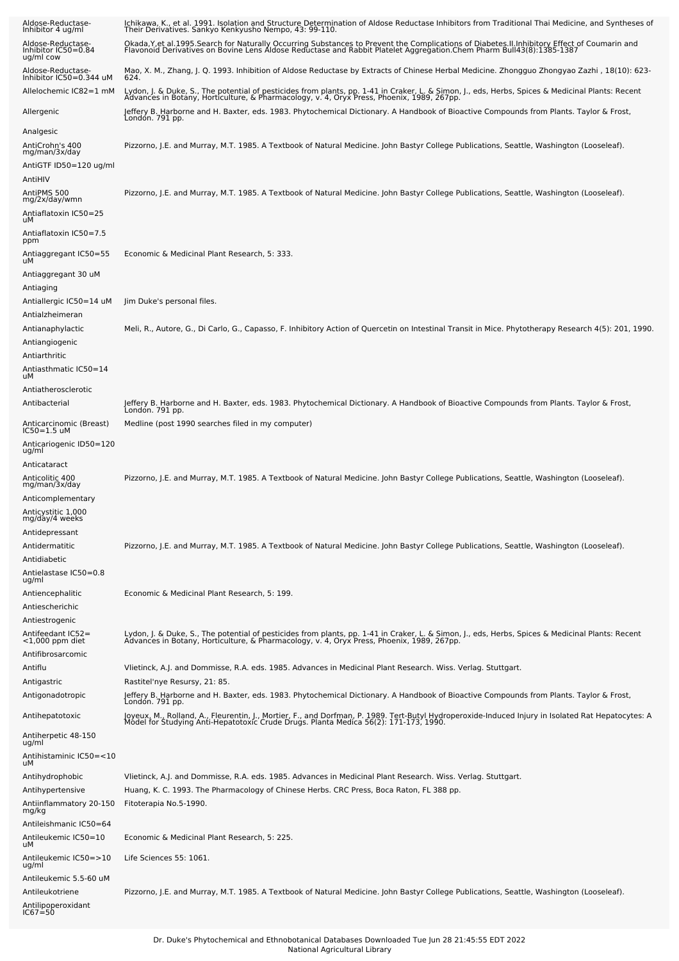| Aldose-Reductase-<br>Inhibitor 4 ug/ml                     | Ichikawa, K., et al. 1991. Isolation and Structure Determination of Aldose Reductase Inhibitors from Traditional Thai Medicine, and Syntheses of<br>Their Derivatives. Sankyo Kenkyusho Nempo, 43: 99-110.                                    |
|------------------------------------------------------------|-----------------------------------------------------------------------------------------------------------------------------------------------------------------------------------------------------------------------------------------------|
| Aldose-Reductase-<br>Inhibitor IC50=0.84<br>ug/ml cow      | Okada, Y, et al. 1995. Search for Naturally Occurring Substances to Prevent the Complications of Diabetes. II. Inhibitory Effect of Coumarin and<br>Flavonoid Derivatives on Bovine Lens Aldose Reductase and Rabbit Platelet Agg             |
| Aldose-Reductase-<br>Inhibitor IC50=0.344 uM               | Mao, X. M., Zhang, J. Q. 1993. Inhibition of Aldose Reductase by Extracts of Chinese Herbal Medicine. Zhongguo Zhongyao Zazhi , 18(10): 623-<br>624.                                                                                          |
| Allelochemic IC82=1 mM                                     | Lydon, J. & Duke, S., The potential of pesticides from plants, pp. 1-41 in Craker, L. & Simon, J., eds, Herbs, Spices & Medicinal Plants: Recent<br>Advances in Botany, Horticulture, & Pharmacology, v. 4, Oryx Press, Phoenix, 1989, 267pp. |
| Allergenic                                                 | Jeffery B. Harborne and H. Baxter, eds. 1983. Phytochemical Dictionary. A Handbook of Bioactive Compounds from Plants. Taylor & Frost,<br>London. 791 pp.                                                                                     |
| Analgesic                                                  |                                                                                                                                                                                                                                               |
| AntiCrohn's 400<br>mg/man/3x/day<br>AntiGTF ID50=120 ug/ml | Pizzorno, J.E. and Murray, M.T. 1985. A Textbook of Natural Medicine. John Bastyr College Publications, Seattle, Washington (Looseleaf).                                                                                                      |
| AntiHIV                                                    |                                                                                                                                                                                                                                               |
| AntiPMS 500<br>mg/2x/day/wmn                               | Pizzorno, J.E. and Murray, M.T. 1985. A Textbook of Natural Medicine. John Bastyr College Publications, Seattle, Washington (Looseleaf).                                                                                                      |
| Antiaflatoxin IC50=25<br>uМ                                |                                                                                                                                                                                                                                               |
| Antiaflatoxin IC50=7.5<br>ppm                              |                                                                                                                                                                                                                                               |
| Antiaggregant IC50=55<br>uМ                                | Economic & Medicinal Plant Research, 5: 333.                                                                                                                                                                                                  |
| Antiaggregant 30 uM                                        |                                                                                                                                                                                                                                               |
| Antiaging                                                  |                                                                                                                                                                                                                                               |
| Antiallergic IC50=14 uM<br>Antialzheimeran                 | Jim Duke's personal files.                                                                                                                                                                                                                    |
| Antianaphylactic                                           | Meli, R., Autore, G., Di Carlo, G., Capasso, F. Inhibitory Action of Quercetin on Intestinal Transit in Mice. Phytotherapy Research 4(5): 201, 1990                                                                                           |
| Antiangiogenic                                             |                                                                                                                                                                                                                                               |
| Antiarthritic                                              |                                                                                                                                                                                                                                               |
| Antiasthmatic IC50=14<br>uМ                                |                                                                                                                                                                                                                                               |
| Antiatherosclerotic                                        |                                                                                                                                                                                                                                               |
| Antibacterial                                              | Jeffery B. Harborne and H. Baxter, eds. 1983. Phytochemical Dictionary. A Handbook of Bioactive Compounds from Plants. Taylor & Frost,<br>London. 791 pp.                                                                                     |
| Anticarcinomic (Breast)<br>IC50=1.5 uM                     | Medline (post 1990 searches filed in my computer)                                                                                                                                                                                             |
| Anticariogenic ID50=120<br>ug/ml                           |                                                                                                                                                                                                                                               |
| Anticataract<br>Anticolitic 400                            | Pizzorno, J.E. and Murray, M.T. 1985. A Textbook of Natural Medicine. John Bastyr College Publications, Seattle, Washington (Looseleaf).                                                                                                      |
| mg/man/3x/day<br>Anticomplementary                         |                                                                                                                                                                                                                                               |
| Anticystitic 1,000                                         |                                                                                                                                                                                                                                               |
| mg/day/4 weeks<br>Antidepressant                           |                                                                                                                                                                                                                                               |
| Antidermatitic                                             | Pizzorno, J.E. and Murray, M.T. 1985. A Textbook of Natural Medicine. John Bastyr College Publications, Seattle, Washington (Looseleaf).                                                                                                      |
| Antidiabetic                                               |                                                                                                                                                                                                                                               |
| Antielastase IC50=0.8<br>ug/ml                             |                                                                                                                                                                                                                                               |
| Antiencephalitic                                           | Economic & Medicinal Plant Research, 5: 199.                                                                                                                                                                                                  |
| Antiescherichic                                            |                                                                                                                                                                                                                                               |
| Antiestrogenic                                             |                                                                                                                                                                                                                                               |
| Antifeedant IC52=<br><1,000 ppm diet                       | Lydon, J. & Duke, S., The potential of pesticides from plants, pp. 1-41 in Craker, L. & Simon, J., eds, Herbs, Spices & Medicinal Plants: Recent<br>Advances in Botany, Horticulture, & Pharmacology, v. 4, Oryx Press, Phoenix,              |
| Antifibrosarcomic                                          |                                                                                                                                                                                                                                               |
| Antiflu<br>Antigastric                                     | Viietinck, A.J. and Dommisse, R.A. eds. 1985. Advances in Medicinal Plant Research. Wiss. Verlag. Stuttgart.<br>Rastitel'nye Resursy, 21: 85.                                                                                                 |
| Antigonadotropic                                           | Jeffery B. Harborne and H. Baxter, eds. 1983. Phytochemical Dictionary. A Handbook of Bioactive Compounds from Plants. Taylor & Frost,<br>London. 791 pp.                                                                                     |
| Antihepatotoxic                                            | Joyeux, M., Rolland, A., Fleurentin, J., Mortier, F., and Dorfman, P. 1989. Tert-Butyl Hydroperoxide-Induced Injury in Isolated Rat Hepatocytes: A<br>Model for Studying Anti-Hepatotoxic Crude Drugs. Planta Medica 56(2): 171-1             |
| Antiherpetic 48-150<br>ug/ml                               |                                                                                                                                                                                                                                               |
| Antihistaminic IC50=<10<br>uМ                              |                                                                                                                                                                                                                                               |
| Antihydrophobic                                            | Viietinck, A.J. and Dommisse, R.A. eds. 1985. Advances in Medicinal Plant Research. Wiss. Verlag. Stuttgart.                                                                                                                                  |
| Antihypertensive                                           | Huang, K. C. 1993. The Pharmacology of Chinese Herbs. CRC Press, Boca Raton, FL 388 pp.                                                                                                                                                       |
| Antiinflammatory 20-150<br>mg/kg                           | Fitoterapia No.5-1990.                                                                                                                                                                                                                        |
| Antileishmanic IC50=64                                     |                                                                                                                                                                                                                                               |
| Antileukemic IC50=10<br>uМ                                 | Economic & Medicinal Plant Research, 5: 225.                                                                                                                                                                                                  |
| Antileukemic IC50=>10<br>ug/ml                             | Life Sciences 55: 1061.                                                                                                                                                                                                                       |
| Antileukemic 5.5-60 uM                                     |                                                                                                                                                                                                                                               |
| Antileukotriene<br>Antilipoperoxidant<br>IC67=50           | Pizzorno, J.E. and Murray, M.T. 1985. A Textbook of Natural Medicine. John Bastyr College Publications, Seattle, Washington (Looseleaf).                                                                                                      |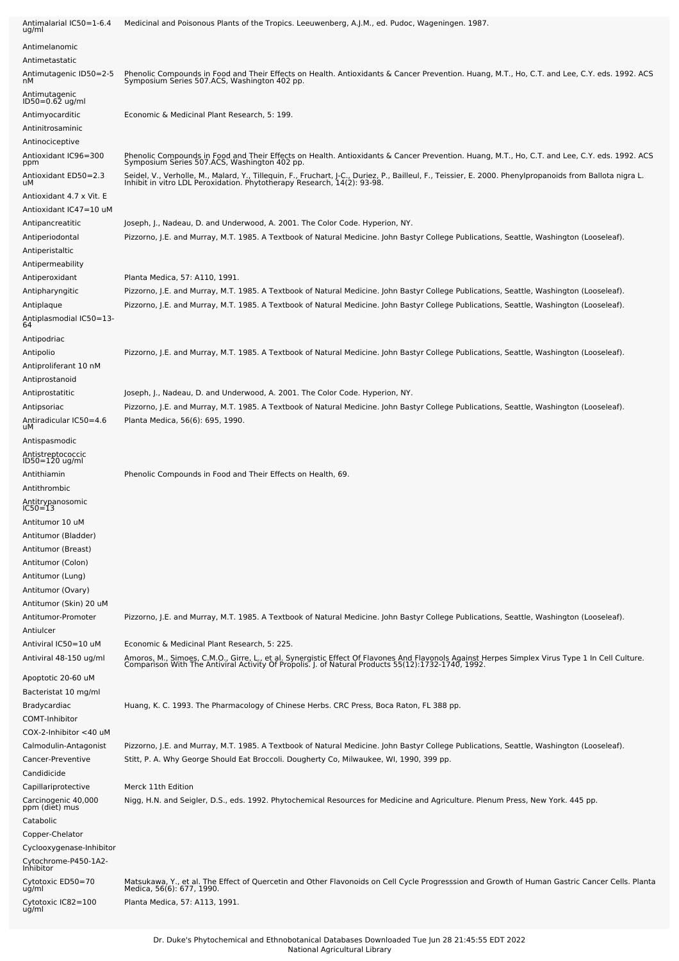| Antimalarial IC50=1-6.4<br>ug/ml      | Medicinal and Poisonous Plants of the Tropics. Leeuwenberg, A.J.M., ed. Pudoc, Wageningen. 1987.                                                                                                                                    |
|---------------------------------------|-------------------------------------------------------------------------------------------------------------------------------------------------------------------------------------------------------------------------------------|
| Antimelanomic                         |                                                                                                                                                                                                                                     |
| Antimetastatic                        |                                                                                                                                                                                                                                     |
| Antimutagenic ID50=2-5<br>nМ          | Phenolic Compounds in Food and Their Effects on Health. Antioxidants & Cancer Prevention. Huang, M.T., Ho, C.T. and Lee, C.Y. eds. 1992. ACS<br>Symposium Series 507.ACS, Washington 402 pp.                                        |
|                                       |                                                                                                                                                                                                                                     |
| Antimutagenic<br>ID50=0.62 ug/ml      |                                                                                                                                                                                                                                     |
| Antimyocarditic                       | Economic & Medicinal Plant Research, 5: 199.                                                                                                                                                                                        |
| Antinitrosaminic                      |                                                                                                                                                                                                                                     |
| Antinociceptive                       |                                                                                                                                                                                                                                     |
| Antioxidant IC96=300<br>ppm           | Phenolic Compounds in Food and Their Effects on Health. Antioxidants & Cancer Prevention. Huang, M.T., Ho, C.T. and Lee, C.Y. eds. 1992. ACS<br>Symposium Series 507.ACS, Washington 402 pp.                                        |
| Antioxidant ED50=2.3<br>uМ            | Seidel, V., Verholle, M., Malard, Y., Tillequin, F., Fruchart, J-C., Duriez, P., Bailleul, F., Teissier, E. 2000. Phenylpropanoids from Ballota nigra L.<br>Inhibit in vitro LDL Peroxidation. Phytotherapy Research, 14(2): 93-98. |
| Antioxidant 4.7 x Vit. E              |                                                                                                                                                                                                                                     |
| Antioxidant IC47=10 uM                |                                                                                                                                                                                                                                     |
| Antipancreatitic                      | Joseph, J., Nadeau, D. and Underwood, A. 2001. The Color Code. Hyperion, NY.                                                                                                                                                        |
| Antiperiodontal                       | Pizzorno, J.E. and Murray, M.T. 1985. A Textbook of Natural Medicine. John Bastyr College Publications, Seattle, Washington (Looseleaf).                                                                                            |
| Antiperistaltic                       |                                                                                                                                                                                                                                     |
| Antipermeability                      |                                                                                                                                                                                                                                     |
| Antiperoxidant                        | Planta Medica, 57: A110, 1991.                                                                                                                                                                                                      |
| Antipharyngitic                       | Pizzorno, J.E. and Murray, M.T. 1985. A Textbook of Natural Medicine. John Bastyr College Publications, Seattle, Washington (Looseleaf).                                                                                            |
| Antiplaque                            | Pizzorno, J.E. and Murray, M.T. 1985. A Textbook of Natural Medicine. John Bastyr College Publications, Seattle, Washington (Looseleaf).                                                                                            |
| Antiplasmodial IC50=13-<br>64         |                                                                                                                                                                                                                                     |
| Antipodriac                           |                                                                                                                                                                                                                                     |
| Antipolio                             | Pizzorno, J.E. and Murray, M.T. 1985. A Textbook of Natural Medicine. John Bastyr College Publications, Seattle, Washington (Looseleaf).                                                                                            |
| Antiproliferant 10 nM                 |                                                                                                                                                                                                                                     |
| Antiprostanoid                        |                                                                                                                                                                                                                                     |
| Antiprostatitic                       | Joseph, J., Nadeau, D. and Underwood, A. 2001. The Color Code. Hyperion, NY.                                                                                                                                                        |
| Antipsoriac                           | Pizzorno, J.E. and Murray, M.T. 1985. A Textbook of Natural Medicine. John Bastyr College Publications, Seattle, Washington (Looseleaf).                                                                                            |
| Antiradicular IC50=4.6<br>uМ          | Planta Medica, 56(6): 695, 1990.                                                                                                                                                                                                    |
| Antispasmodic                         |                                                                                                                                                                                                                                     |
| Antistreptococcic                     |                                                                                                                                                                                                                                     |
| ID50=120 ug/ml                        |                                                                                                                                                                                                                                     |
| Antithiamin<br>Antithrombic           | Phenolic Compounds in Food and Their Effects on Health, 69.                                                                                                                                                                         |
|                                       |                                                                                                                                                                                                                                     |
| Antitrypanosomic<br>IC50=13           |                                                                                                                                                                                                                                     |
| Antitumor 10 uM                       |                                                                                                                                                                                                                                     |
| Antitumor (Bladder)                   |                                                                                                                                                                                                                                     |
| Antitumor (Breast)                    |                                                                                                                                                                                                                                     |
| Antitumor (Colon)                     |                                                                                                                                                                                                                                     |
| Antitumor (Lung)                      |                                                                                                                                                                                                                                     |
| Antitumor (Ovary)                     |                                                                                                                                                                                                                                     |
| Antitumor (Skin) 20 uM                |                                                                                                                                                                                                                                     |
| Antitumor-Promoter                    | Pizzorno, J.E. and Murray, M.T. 1985. A Textbook of Natural Medicine. John Bastyr College Publications, Seattle, Washington (Looseleaf).                                                                                            |
| Antiulcer                             |                                                                                                                                                                                                                                     |
| Antiviral IC50=10 uM                  | Economic & Medicinal Plant Research, 5: 225.                                                                                                                                                                                        |
| Antiviral 48-150 ug/ml                | Amoros, M., Simoes, C.M.O., Girre, L., et al. Synergistic Effect Of Flavones And Flavonols Against Herpes Simplex Virus Type 1 In Cell Culture.<br>Comparison With The Antiviral Activity Of Propolis. J. of Natural Products 55(   |
| Apoptotic 20-60 uM                    |                                                                                                                                                                                                                                     |
| Bacteristat 10 mg/ml                  |                                                                                                                                                                                                                                     |
| Bradycardiac                          | Huang, K. C. 1993. The Pharmacology of Chinese Herbs. CRC Press, Boca Raton, FL 388 pp.                                                                                                                                             |
| COMT-Inhibitor                        |                                                                                                                                                                                                                                     |
| COX-2-Inhibitor <40 uM                |                                                                                                                                                                                                                                     |
| Calmodulin-Antagonist                 | Pizzorno, J.E. and Murray, M.T. 1985. A Textbook of Natural Medicine. John Bastyr College Publications, Seattle, Washington (Looseleaf).                                                                                            |
| Cancer-Preventive                     | Stitt, P. A. Why George Should Eat Broccoli. Dougherty Co, Milwaukee, WI, 1990, 399 pp.                                                                                                                                             |
| Candidicide                           |                                                                                                                                                                                                                                     |
| Capillariprotective                   | Merck 11th Edition                                                                                                                                                                                                                  |
| Carcinogenic 40,000<br>ppm (diet) mus | Nigg, H.N. and Seigler, D.S., eds. 1992. Phytochemical Resources for Medicine and Agriculture. Plenum Press, New York. 445 pp.                                                                                                      |
| Catabolic                             |                                                                                                                                                                                                                                     |
| Copper-Chelator                       |                                                                                                                                                                                                                                     |
| Cyclooxygenase-Inhibitor              |                                                                                                                                                                                                                                     |
| Cytochrome-P450-1A2-<br>Inhibitor     |                                                                                                                                                                                                                                     |
| Cytotoxic ED50=70                     | Matsukawa, Y., et al. The Effect of Quercetin and Other Flavonoids on Cell Cycle Progresssion and Growth of Human Gastric Cancer Cells. Planta                                                                                      |
| ug/ml                                 | Medica, 56(6): 677, 1990.                                                                                                                                                                                                           |
| Cytotoxic IC82=100<br>ug/ml           | Planta Medica, 57: A113, 1991.                                                                                                                                                                                                      |
|                                       |                                                                                                                                                                                                                                     |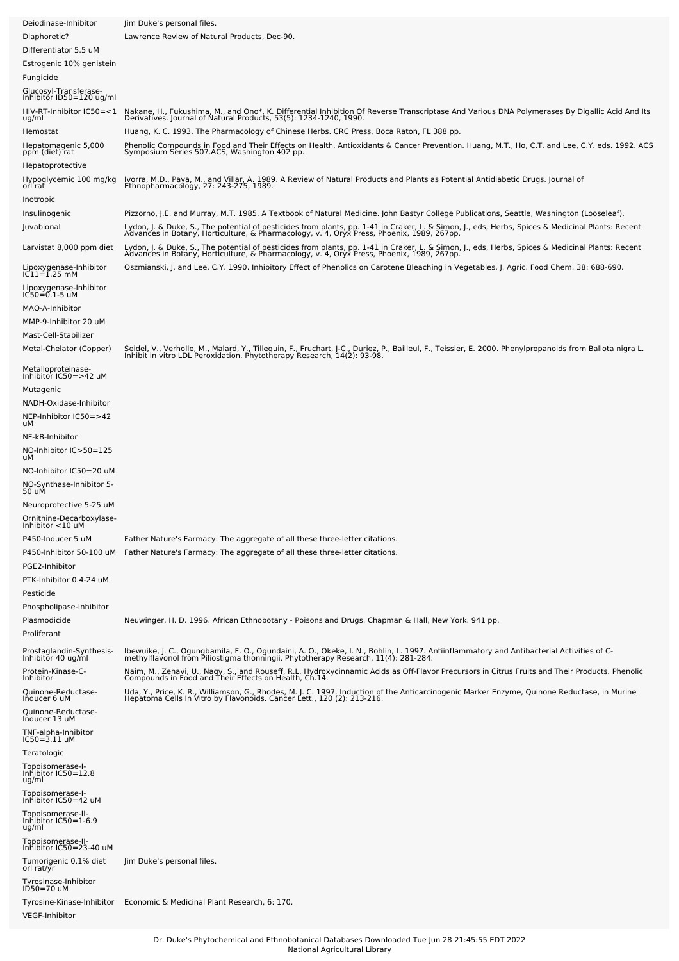| Deiodinase-Inhibitor                                              | Jim Duke's personal files.                                                                                                                                                                                                                                                                                                                                                   |
|-------------------------------------------------------------------|------------------------------------------------------------------------------------------------------------------------------------------------------------------------------------------------------------------------------------------------------------------------------------------------------------------------------------------------------------------------------|
| Diaphoretic?<br>Differentiator 5.5 uM<br>Estrogenic 10% genistein | Lawrence Review of Natural Products, Dec-90.                                                                                                                                                                                                                                                                                                                                 |
| Fungicide                                                         |                                                                                                                                                                                                                                                                                                                                                                              |
| Glucosyl-Transferase-<br>Inhibitor ID50=120 ug/ml                 |                                                                                                                                                                                                                                                                                                                                                                              |
| HIV-RT-Inhibitor IC50=<1<br>ug/ml<br>Hemostat                     | Nakane, H., Fukushima, M., and Ono*, K. Differential Inhibition Of Reverse Transcriptase And Various DNA Polymerases By Digallic Acid And Its Derivatives. Journal of Natural Products, 53(5): 1234-1240, 1990.<br>Huang, K. C. 1993. The Pharmacology of Chinese Herbs. CRC Press, Boca Raton, FL 388 pp.                                                                   |
| Hepatomagenic 5,000                                               | Phenolic Compounds in Food and Their Effects on Health. Antioxidants & Cancer Prevention. Huang, M.T., Ho, C.T. and Lee, C.Y. eds. 1992. ACS<br>Symposium Series 507.ACS, Washington 402 pp.                                                                                                                                                                                 |
| ppm (diet) rat<br>Hepatoprotective                                |                                                                                                                                                                                                                                                                                                                                                                              |
| Hypoglycemic 100 mg/kg<br>orl rat                                 | Ivorra, M.D., Paya, M., and Villar, A. 1989. A Review of Natural Products and Plants as Potential Antidiabetic Drugs. Journal of<br>Ethnopharmacology, 27: 243-275, 1989.                                                                                                                                                                                                    |
| Inotropic                                                         |                                                                                                                                                                                                                                                                                                                                                                              |
| Insulinogenic<br>Juvabional                                       | Pizzorno, J.E. and Murray, M.T. 1985. A Textbook of Natural Medicine. John Bastyr College Publications, Seattle, Washington (Looseleaf).<br>Lydon, J. & Duke, S., The potential of pesticides from plants, pp. 1-41 in Craker, L. & Simon, J., eds, Herbs, Spices & Medicinal Plants: Recent<br>Advances in Botany, Horticulture, & Pharmacology, v. 4, Oryx Press, Phoenix, |
| Larvistat 8,000 ppm diet                                          | Lydon, J. & Duke, S., The potential of pesticides from plants, pp. 1-41 in Craker, L. & Simon, J., eds, Herbs, Spices & Medicinal Plants: Recent<br>Advances in Botany, Horticulture, & Pharmacology, v. 4, Oryx Press, Phoenix, 1989, 267pp.                                                                                                                                |
| Lipoxygenase-Inhibitor<br>IC11=1.25 mM                            | Oszmianski, J. and Lee, C.Y. 1990. Inhibitory Effect of Phenolics on Carotene Bleaching in Vegetables. J. Agric. Food Chem. 38: 688-690.                                                                                                                                                                                                                                     |
| Lipoxygenase-Inhibitor<br>IC50=0.1-5 uM                           |                                                                                                                                                                                                                                                                                                                                                                              |
| MAO-A-Inhibitor                                                   |                                                                                                                                                                                                                                                                                                                                                                              |
| MMP-9-Inhibitor 20 uM<br>Mast-Cell-Stabilizer                     |                                                                                                                                                                                                                                                                                                                                                                              |
| Metal-Chelator (Copper)                                           | Seidel, V., Verholle, M., Malard, Y., Tillequin, F., Fruchart, J-C., Duriez, P., Bailleul, F., Teissier, E. 2000. Phenylpropanoids from Ballota nigra L.<br>Inhibit in vitro LDL Peroxidation. Phytotherapy Research, 14(2): 93-9                                                                                                                                            |
| Metalloproteinase-<br>Inhibitor IC50=>42 uM<br>Mutagenic          |                                                                                                                                                                                                                                                                                                                                                                              |
| NADH-Oxidase-Inhibitor<br>NEP-Inhibitor IC50=>42                  |                                                                                                                                                                                                                                                                                                                                                                              |
| uМ                                                                |                                                                                                                                                                                                                                                                                                                                                                              |
| NF-kB-Inhibitor<br>NO-Inhibitor IC>50=125<br>uМ                   |                                                                                                                                                                                                                                                                                                                                                                              |
| NO-Inhibitor IC50=20 uM<br>NO-Synthase-Inhibitor 5-<br>50 uM      |                                                                                                                                                                                                                                                                                                                                                                              |
| Neuroprotective 5-25 uM                                           |                                                                                                                                                                                                                                                                                                                                                                              |
| Ornithine-Decarboxylase-<br>Inhibitor <10 uM                      |                                                                                                                                                                                                                                                                                                                                                                              |
| P450-Inducer 5 uM                                                 | Father Nature's Farmacy: The aggregate of all these three-letter citations.                                                                                                                                                                                                                                                                                                  |
| P450-Inhibitor 50-100 uM<br>PGE2-Inhibitor                        | Father Nature's Farmacy: The aggregate of all these three-letter citations.                                                                                                                                                                                                                                                                                                  |
| PTK-Inhibitor 0.4-24 uM                                           |                                                                                                                                                                                                                                                                                                                                                                              |
| Pesticide                                                         |                                                                                                                                                                                                                                                                                                                                                                              |
| Phospholipase-Inhibitor                                           |                                                                                                                                                                                                                                                                                                                                                                              |
| Plasmodicide<br>Proliferant                                       | Neuwinger, H. D. 1996. African Ethnobotany - Poisons and Drugs. Chapman & Hall, New York. 941 pp.                                                                                                                                                                                                                                                                            |
| Prostaglandin-Synthesis-<br>Inhibitor 40 ug/ml                    | Ibewuike, J. C., Ogungbamila, F. O., Ogundaini, A. O., Okeke, I. N., Bohlin, L. 1997. Antiinflammatory and Antibacterial Activities of C-<br>methylflavonol from Piliostigma thonningii. Phytotherapy Research, 11(4): 281-284.                                                                                                                                              |
| Protein-Kinase-C-<br>Inhibitor                                    | Naim, M., Zehavi, U., Nagy, S., and Rouseff, R.L. Hydroxycinnamic Acids as Off-Flavor Precursors in Citrus Fruits and Their Products. Phenolic<br>Compounds in Food and Their Effects on Health, Ch.14.                                                                                                                                                                      |
| Quinone-Reductase-<br>Inducer 6 uM                                | Uda, Y., Price, K. R., Williamson, G., Rhodes, M. J. C. 1997. Induction of the Anticarcinogenic Marker Enzyme, Quinone Reductase, in Murine<br>Hepatoma Cells In Vitro by Flavonoids. Cancer Lett., 120 (2): 213-216.                                                                                                                                                        |
| Quinone-Reductase-<br>Inducer 13 uM                               |                                                                                                                                                                                                                                                                                                                                                                              |
| TNF-alpha-Inhibitor                                               |                                                                                                                                                                                                                                                                                                                                                                              |
| $IC50 = 3.11$ uM<br>Teratologic                                   |                                                                                                                                                                                                                                                                                                                                                                              |
| Topoisomerase-I-<br>Inhibitor IC50=12.8<br>ug/ml                  |                                                                                                                                                                                                                                                                                                                                                                              |
| Topoisomerase-I-<br>Inhibitor IC50=42 uM                          |                                                                                                                                                                                                                                                                                                                                                                              |
| Topoisomerase-II-<br>Inhibitor IC50=1-6.9<br>ug/ml                |                                                                                                                                                                                                                                                                                                                                                                              |
| Topoisomerase-II-<br>Inhibitor IC50=23-40 uM                      |                                                                                                                                                                                                                                                                                                                                                                              |
| Tumorigenic 0.1% diet<br>orl rat/yr                               | Jim Duke's personal files.                                                                                                                                                                                                                                                                                                                                                   |
| Tyrosinase-Inhibitor<br>ID50=70 uM                                |                                                                                                                                                                                                                                                                                                                                                                              |
| Tyrosine-Kinase-Inhibitor<br>VEGF-Inhibitor                       | Economic & Medicinal Plant Research, 6: 170.                                                                                                                                                                                                                                                                                                                                 |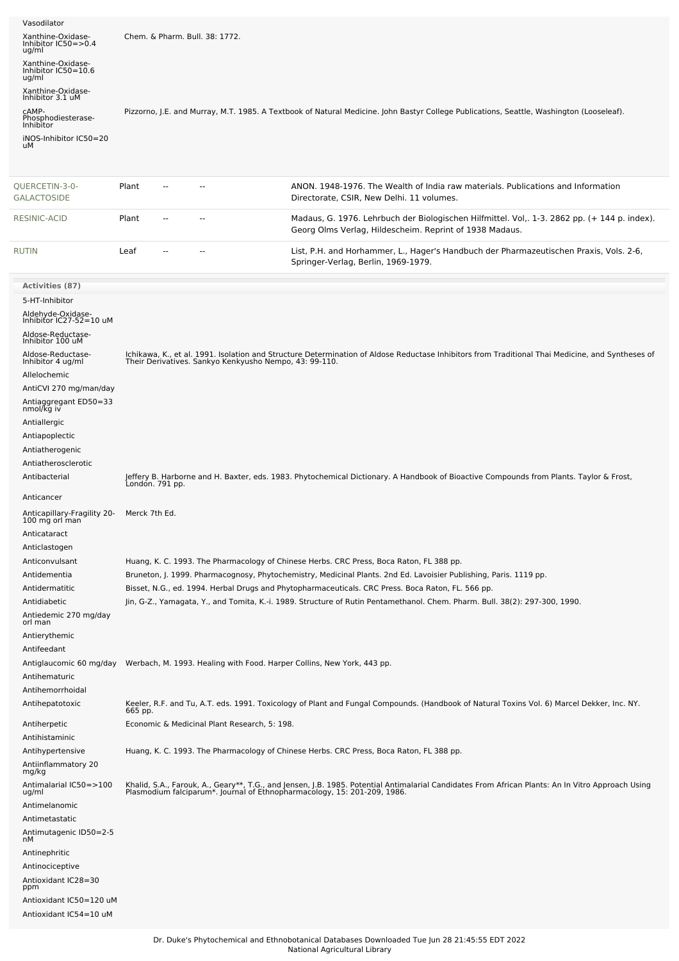| Vasodilator                                       |                                                                        |                                                                                                                                                                                                                               |
|---------------------------------------------------|------------------------------------------------------------------------|-------------------------------------------------------------------------------------------------------------------------------------------------------------------------------------------------------------------------------|
| Xanthine-Oxidase-<br>Inhibitor IC50=>0.4<br>ug/ml | Chem. & Pharm. Bull. 38: 1772.                                         |                                                                                                                                                                                                                               |
| Xanthine-Oxidase-<br>Inhibitor IC50=10.6<br>ug/ml |                                                                        |                                                                                                                                                                                                                               |
| Xanthine-Oxidase-<br>Inhibitor 3.1 uM             |                                                                        |                                                                                                                                                                                                                               |
| CAMP-<br>Phosphodiesterase-                       |                                                                        | Pizzorno, J.E. and Murray, M.T. 1985. A Textbook of Natural Medicine. John Bastyr College Publications, Seattle, Washington (Looseleaf).                                                                                      |
| Inhibitor<br>iNOS-Inhibitor IC50=20               |                                                                        |                                                                                                                                                                                                                               |
| uМ                                                |                                                                        |                                                                                                                                                                                                                               |
| QUERCETIN-3-0-<br><b>GALACTOSIDE</b>              | Plant<br>--                                                            | ANON, 1948-1976. The Wealth of India raw materials. Publications and Information<br>Directorate, CSIR, New Delhi. 11 volumes.                                                                                                 |
| RESINIC-ACID                                      | Plant<br>۵.                                                            | Madaus, G. 1976. Lehrbuch der Biologischen Hilfmittel. Vol., 1-3. 2862 pp. (+ 144 p. index).<br>Georg Olms Verlag, Hildescheim. Reprint of 1938 Madaus.                                                                       |
| <b>RUTIN</b>                                      | Leaf                                                                   | List, P.H. and Horhammer, L., Hager's Handbuch der Pharmazeutischen Praxis, Vols. 2-6,<br>Springer-Verlag, Berlin, 1969-1979.                                                                                                 |
| Activities (87)                                   |                                                                        |                                                                                                                                                                                                                               |
| 5-HT-Inhibitor                                    |                                                                        |                                                                                                                                                                                                                               |
| Aldehyde-Oxidase-<br>Inhibitor IC27-52=10 uM      |                                                                        |                                                                                                                                                                                                                               |
| Aldose-Reductase-<br>Inhibitor 100 uM             |                                                                        |                                                                                                                                                                                                                               |
| Aldose-Reductase-<br>Inhibitor 4 ug/ml            | Their Derivatives. Sankyo Kenkyusho Nempo, 43: 99-110.                 | Ichikawa, K., et al. 1991. Isolation and Structure Determination of Aldose Reductase Inhibitors from Traditional Thai Medicine, and Syntheses of                                                                              |
| Allelochemic                                      |                                                                        |                                                                                                                                                                                                                               |
| AntiCVI 270 mg/man/day<br>Antiaggregant ED50=33   |                                                                        |                                                                                                                                                                                                                               |
| nmol/kg iv                                        |                                                                        |                                                                                                                                                                                                                               |
| Antiallergic<br>Antiapoplectic                    |                                                                        |                                                                                                                                                                                                                               |
| Antiatherogenic                                   |                                                                        |                                                                                                                                                                                                                               |
| Antiatherosclerotic                               |                                                                        |                                                                                                                                                                                                                               |
| Antibacterial                                     | London. 791 pp.                                                        | Jeffery B. Harborne and H. Baxter, eds. 1983. Phytochemical Dictionary. A Handbook of Bioactive Compounds from Plants. Taylor & Frost,                                                                                        |
| Anticancer                                        |                                                                        |                                                                                                                                                                                                                               |
| Anticapillary-Fragility 20-<br>100 mg orl man     | Merck 7th Ed.                                                          |                                                                                                                                                                                                                               |
| Anticataract                                      |                                                                        |                                                                                                                                                                                                                               |
| Anticlastogen                                     |                                                                        |                                                                                                                                                                                                                               |
| Anticonvulsant<br>Antidementia                    |                                                                        | Huang, K. C. 1993. The Pharmacology of Chinese Herbs. CRC Press, Boca Raton, FL 388 pp.<br>Bruneton, J. 1999. Pharmacognosy, Phytochemistry, Medicinal Plants. 2nd Ed. Lavoisier Publishing, Paris. 1119 pp.                  |
| Antidermatitic                                    |                                                                        | Bisset, N.G., ed. 1994. Herbal Drugs and Phytopharmaceuticals. CRC Press. Boca Raton, FL. 566 pp.                                                                                                                             |
| Antidiabetic                                      |                                                                        | Jin, G-Z., Yamagata, Y., and Tomita, K.-i. 1989. Structure of Rutin Pentamethanol. Chem. Pharm. Bull. 38(2): 297-300, 1990.                                                                                                   |
| Antiedemic 270 mg/day<br>orl man                  |                                                                        |                                                                                                                                                                                                                               |
| Antierythemic                                     |                                                                        |                                                                                                                                                                                                                               |
| Antifeedant<br>Antiglaucomic 60 mg/day            | Werbach, M. 1993. Healing with Food. Harper Collins, New York, 443 pp. |                                                                                                                                                                                                                               |
| Antihematuric                                     |                                                                        |                                                                                                                                                                                                                               |
| Antihemorrhoidal                                  |                                                                        |                                                                                                                                                                                                                               |
| Antihepatotoxic                                   | 665 pp.                                                                | Keeler, R.F. and Tu, A.T. eds. 1991. Toxicology of Plant and Fungal Compounds. (Handbook of Natural Toxins Vol. 6) Marcel Dekker, Inc. NY.                                                                                    |
| Antiherpetic<br>Antihistaminic                    | Economic & Medicinal Plant Research, 5: 198.                           |                                                                                                                                                                                                                               |
| Antihypertensive                                  |                                                                        | Huang, K. C. 1993. The Pharmacology of Chinese Herbs. CRC Press, Boca Raton, FL 388 pp.                                                                                                                                       |
| Antiinflammatory 20<br>mg/kg                      |                                                                        |                                                                                                                                                                                                                               |
| Antimalarial IC50=>100<br>ug/ml                   |                                                                        | Khalid, S.A., Farouk, A., Geary**, T.G., and Jensen, J.B. 1985. Potential Antimalarial Candidates From African Plants: An In Vitro Approach Using<br>Plasmodium falciparum*. Journal of Ethnopharmacology, 15: 201-209, 1986. |
| Antimelanomic                                     |                                                                        |                                                                                                                                                                                                                               |
| Antimetastatic                                    |                                                                        |                                                                                                                                                                                                                               |
| Antimutagenic ID50=2-5<br>nМ                      |                                                                        |                                                                                                                                                                                                                               |
| Antinephritic                                     |                                                                        |                                                                                                                                                                                                                               |
| Antinociceptive                                   |                                                                        |                                                                                                                                                                                                                               |
| Antioxidant IC28=30<br>ppm                        |                                                                        |                                                                                                                                                                                                                               |
| Antioxidant IC50=120 uM<br>Antioxidant IC54=10 uM |                                                                        |                                                                                                                                                                                                                               |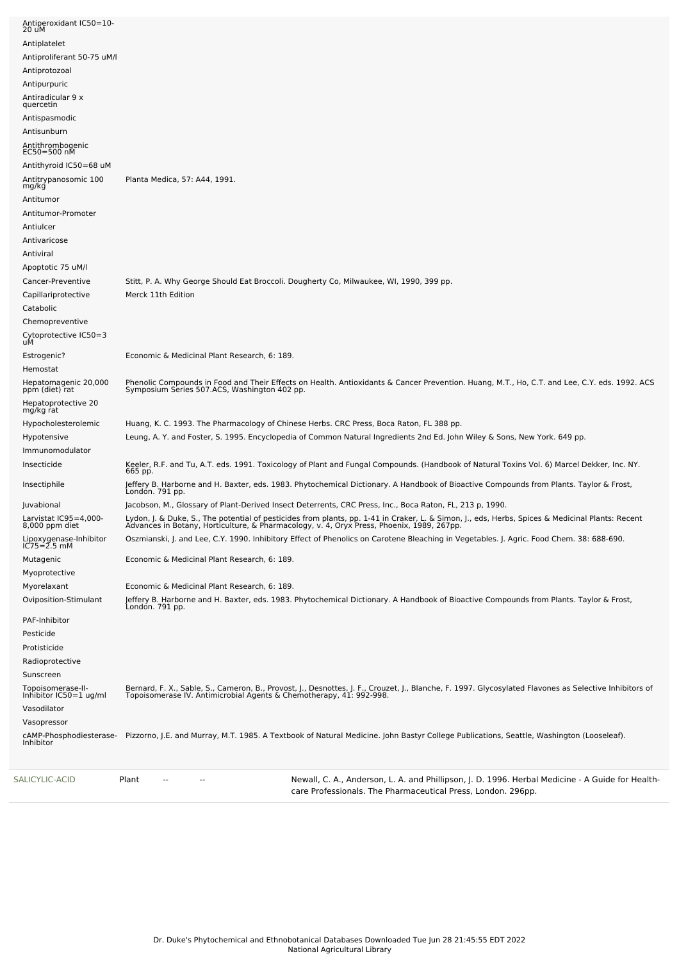| SALICYLIC-ACID                  |                                             | Plant<br>Newall, C. A., Anderson, L. A. and Phillipson, J. D. 1996. Herbal Medicine - A Guide for Health-<br>--<br>care Professionals. The Pharmaceutical Press, London. 296pp.                                                  |
|---------------------------------|---------------------------------------------|----------------------------------------------------------------------------------------------------------------------------------------------------------------------------------------------------------------------------------|
|                                 | cAMP-Phosphodiesterase-<br>Inhibitor        | Pizzorno, J.E. and Murray, M.T. 1985. A Textbook of Natural Medicine. John Bastyr College Publications, Seattle, Washington (Looseleaf).                                                                                         |
| Vasopressor                     |                                             |                                                                                                                                                                                                                                  |
| Vasodilator                     |                                             |                                                                                                                                                                                                                                  |
|                                 | Topoisomerase-II-<br>Inhibitor IC50=1 ug/ml | Bernard, F. X., Sable, S., Cameron, B., Provost, J., Desnottes, J. F., Crouzet, J., Blanche, F. 1997. Glycosylated Flavones as Selective Inhibitors of<br>Topoisomerase IV. Antimicrobial Agents & Chemotherapy, 41: 992-998.    |
|                                 |                                             |                                                                                                                                                                                                                                  |
| Radioprotective<br>Sunscreen    |                                             |                                                                                                                                                                                                                                  |
| Protisticide                    |                                             |                                                                                                                                                                                                                                  |
| Pesticide                       |                                             |                                                                                                                                                                                                                                  |
| PAF-Inhibitor                   |                                             |                                                                                                                                                                                                                                  |
|                                 |                                             | Jeffery B. Harborne and H. Baxter, eds. 1983. Phytochemical Dictionary. A Handbook of Bioactive Compounds from Plants. Taylor & Frost,<br>London. 791 pp.                                                                        |
|                                 | Oviposition-Stimulant                       |                                                                                                                                                                                                                                  |
| Myoprotective<br>Myorelaxant    |                                             | Economic & Medicinal Plant Research, 6: 189.                                                                                                                                                                                     |
| Mutagenic                       |                                             | Economic & Medicinal Plant Research, 6: 189.                                                                                                                                                                                     |
|                                 |                                             |                                                                                                                                                                                                                                  |
|                                 | Lipoxygenase-Inhibitor<br>IC75=2.5 mM       | Oszmianski, J. and Lee, C.Y. 1990. Inhibitory Effect of Phenolics on Carotene Bleaching in Vegetables. J. Agric. Food Chem. 38: 688-690.                                                                                         |
| 8,000 ppm diet                  | Larvistat IC95=4,000-                       | Lydon, J. & Duke, S., The potential of pesticides from plants, pp. 1-41 in Craker, L. & Simon, J., eds, Herbs, Spices & Medicinal Plants: Recent<br>Advances in Botany, Horticulture, & Pharmacology, v. 4, Oryx Press, Phoenix, |
| Juvabional                      |                                             | Jacobson, M., Glossary of Plant-Derived Insect Deterrents, CRC Press, Inc., Boca Raton, FL, 213 p, 1990.                                                                                                                         |
| Insectiphile                    |                                             | Jeffery B. Harborne and H. Baxter, eds. 1983. Phytochemical Dictionary. A Handbook of Bioactive Compounds from Plants. Taylor & Frost,<br>London. 791 pp.                                                                        |
| Insecticide                     |                                             | Keeler, R.F. and Tu, A.T. eds. 1991. Toxicology of Plant and Fungal Compounds. (Handbook of Natural Toxins Vol. 6) Marcel Dekker, Inc. NY.<br>665 pp.                                                                            |
| Immunomodulator                 |                                             |                                                                                                                                                                                                                                  |
| Hypotensive                     |                                             | Leung, A. Y. and Foster, S. 1995. Encyclopedia of Common Natural Ingredients 2nd Ed. John Wiley & Sons, New York. 649 pp.                                                                                                        |
|                                 | Hypocholesterolemic                         | Huang, K. C. 1993. The Pharmacology of Chinese Herbs. CRC Press, Boca Raton, FL 388 pp.                                                                                                                                          |
| mg/kg rat                       | Hepatoprotective 20                         |                                                                                                                                                                                                                                  |
| ppm (diet) rat                  |                                             | Phenolic Compounds in Food and Their Effects on Health. Antioxidants & Cancer Prevention. Huang, M.T., Ho, C.T. and Lee, C.Y. eds. 1992. ACS<br>Symposium Series 507.ACS, Washington 402 pp.                                     |
| Hemostat                        | Hepatomagenic 20,000                        |                                                                                                                                                                                                                                  |
| Estrogenic?                     |                                             | Economic & Medicinal Plant Research, 6: 189.                                                                                                                                                                                     |
|                                 | Cytoprotective IC50=3<br>uM                 |                                                                                                                                                                                                                                  |
| Chemopreventive                 |                                             |                                                                                                                                                                                                                                  |
| Catabolic                       |                                             |                                                                                                                                                                                                                                  |
| Capillariprotective             |                                             | Merck 11th Edition                                                                                                                                                                                                               |
| Cancer-Preventive               |                                             | Stitt, P. A. Why George Should Eat Broccoli. Dougherty Co, Milwaukee, WI, 1990, 399 pp.                                                                                                                                          |
| Apoptotic 75 uM/l               |                                             |                                                                                                                                                                                                                                  |
| Antiviral                       |                                             |                                                                                                                                                                                                                                  |
| Antivaricose                    |                                             |                                                                                                                                                                                                                                  |
| Antiulcer                       |                                             |                                                                                                                                                                                                                                  |
|                                 | Antitumor-Promoter                          |                                                                                                                                                                                                                                  |
| Antitumor                       |                                             |                                                                                                                                                                                                                                  |
| mg/kg                           | Antitrypanosomic 100                        | Planta Medica, 57: A44, 1991.                                                                                                                                                                                                    |
|                                 | Antithyroid IC50=68 uM                      |                                                                                                                                                                                                                                  |
| Antithrombogenic<br>EC50=500 nM |                                             |                                                                                                                                                                                                                                  |
| Antisunburn                     |                                             |                                                                                                                                                                                                                                  |
| Antispasmodic                   |                                             |                                                                                                                                                                                                                                  |
| quercetin                       |                                             |                                                                                                                                                                                                                                  |
| Antiradicular 9 x               |                                             |                                                                                                                                                                                                                                  |
| Antipurpuric                    |                                             |                                                                                                                                                                                                                                  |
| Antiprotozoal                   | Antiproliferant 50-75 uM/l                  |                                                                                                                                                                                                                                  |
| Antiplatelet                    |                                             |                                                                                                                                                                                                                                  |
| 20 uM                           |                                             |                                                                                                                                                                                                                                  |
|                                 | Antiperoxidant IC50=10-                     |                                                                                                                                                                                                                                  |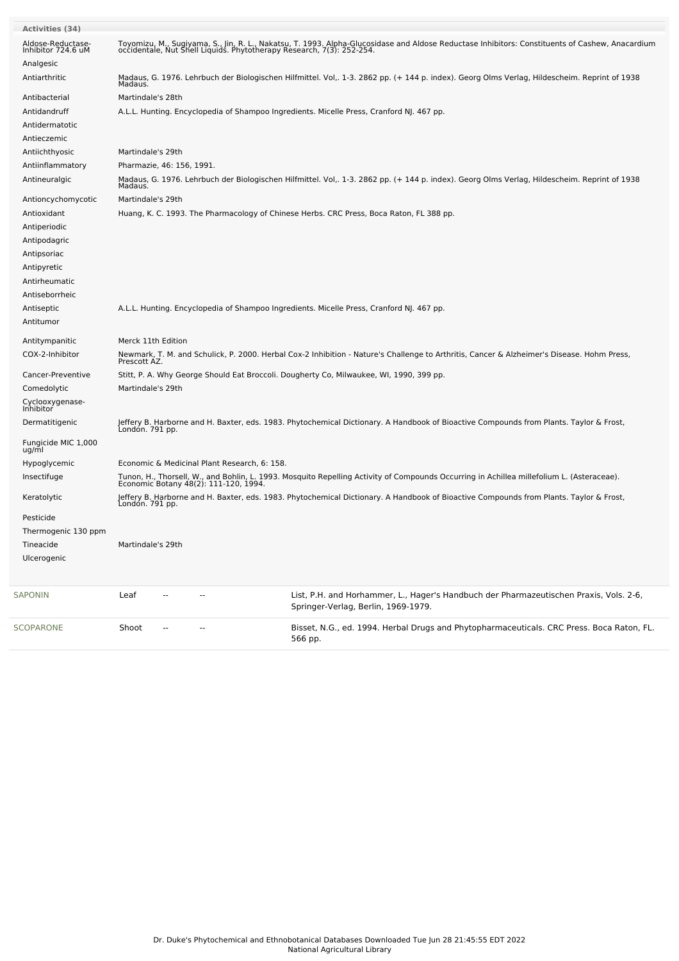| Activities (34)<br>Aldose-Reductase-<br>Inhibitor 724.6 uM<br>Analgesic | Toyomizu, M., Sugiyama, S., Jin, R. L., Nakatsu, T. 1993. Alpha-Glucosidase and Aldose Reductase Inhibitors: Constituents of Cashew, Anacardium<br>occidentale, Nut Shell Liquids. Phytotherapy Research, 7(3): 252-254. |  |
|-------------------------------------------------------------------------|--------------------------------------------------------------------------------------------------------------------------------------------------------------------------------------------------------------------------|--|
| Antiarthritic                                                           | Madaus, G. 1976. Lehrbuch der Biologischen Hilfmittel. Vol. 1-3. 2862 pp. (+ 144 p. index). Georg Olms Verlag, Hildescheim. Reprint of 1938<br>Madaus.                                                                   |  |
| Antibacterial                                                           | Martindale's 28th                                                                                                                                                                                                        |  |
| Antidandruff                                                            | A.L.L. Hunting. Encyclopedia of Shampoo Ingredients. Micelle Press, Cranford NJ. 467 pp.                                                                                                                                 |  |
| Antidermatotic                                                          |                                                                                                                                                                                                                          |  |
| Antieczemic                                                             |                                                                                                                                                                                                                          |  |
| Antiichthyosic                                                          | Martindale's 29th                                                                                                                                                                                                        |  |
| Antiinflammatory                                                        | Pharmazie, 46: 156, 1991.                                                                                                                                                                                                |  |
| Antineuralgic                                                           | Madaus, G. 1976. Lehrbuch der Biologischen Hilfmittel. Vol,. 1-3. 2862 pp. (+ 144 p. index). Georg Olms Verlag, Hildescheim. Reprint of 1938<br>Madaus.                                                                  |  |
| Antioncychomycotic                                                      | Martindale's 29th                                                                                                                                                                                                        |  |
| Antioxidant                                                             | Huang, K. C. 1993. The Pharmacology of Chinese Herbs. CRC Press, Boca Raton, FL 388 pp.                                                                                                                                  |  |
| Antiperiodic                                                            |                                                                                                                                                                                                                          |  |
| Antipodagric                                                            |                                                                                                                                                                                                                          |  |
| Antipsoriac                                                             |                                                                                                                                                                                                                          |  |
| Antipyretic                                                             |                                                                                                                                                                                                                          |  |
| Antirheumatic                                                           |                                                                                                                                                                                                                          |  |
| Antiseborrheic                                                          |                                                                                                                                                                                                                          |  |
| Antiseptic                                                              | A.L.L. Hunting. Encyclopedia of Shampoo Ingredients. Micelle Press, Cranford NJ. 467 pp.                                                                                                                                 |  |
| Antitumor                                                               |                                                                                                                                                                                                                          |  |
| Antitympanitic                                                          | Merck 11th Edition                                                                                                                                                                                                       |  |
| COX-2-Inhibitor                                                         | Newmark, T. M. and Schulick, P. 2000. Herbal Cox-2 Inhibition - Nature's Challenge to Arthritis, Cancer & Alzheimer's Disease. Hohm Press,<br>Prescott AZ.                                                               |  |
| Cancer-Preventive                                                       | Stitt, P. A. Why George Should Eat Broccoli. Dougherty Co, Milwaukee, WI, 1990, 399 pp.                                                                                                                                  |  |
| Comedolytic                                                             | Martindale's 29th                                                                                                                                                                                                        |  |
| Cyclooxygenase-<br>Inhibitor                                            |                                                                                                                                                                                                                          |  |
| Dermatitigenic                                                          | Jeffery B. Harborne and H. Baxter, eds. 1983. Phytochemical Dictionary. A Handbook of Bioactive Compounds from Plants. Taylor & Frost,<br>Londón. 791 pp.                                                                |  |
| Fungicide MIC 1,000<br>ug/ml                                            |                                                                                                                                                                                                                          |  |
| Hypoglycemic                                                            | Economic & Medicinal Plant Research, 6: 158.                                                                                                                                                                             |  |
| Insectifuge                                                             | Tunon, H., Thorsell, W., and Bohlin, L. 1993. Mosquito Repelling Activity of Compounds Occurring in Achillea millefolium L. (Asteraceae).<br>Economic Botany 48(2): 111-120, 1994.                                       |  |
| Keratolytic                                                             | Jeffery B. Harborne and H. Baxter, eds. 1983. Phytochemical Dictionary. A Handbook of Bioactive Compounds from Plants. Taylor & Frost,<br>Londón. 791 pp.                                                                |  |
| Pesticide                                                               |                                                                                                                                                                                                                          |  |
| Thermogenic 130 ppm                                                     |                                                                                                                                                                                                                          |  |
| Tineacide                                                               | Martindale's 29th                                                                                                                                                                                                        |  |
| Ulcerogenic                                                             |                                                                                                                                                                                                                          |  |
| <b>SAPONIN</b>                                                          | Leaf<br>List, P.H. and Horhammer, L., Hager's Handbuch der Pharmazeutischen Praxis, Vols. 2-6,<br>Springer-Verlag, Berlin, 1969-1979.                                                                                    |  |
| SCOPARONE                                                               | Bisset, N.G., ed. 1994. Herbal Drugs and Phytopharmaceuticals. CRC Press. Boca Raton, FL.<br>Shoot<br>566 pp.                                                                                                            |  |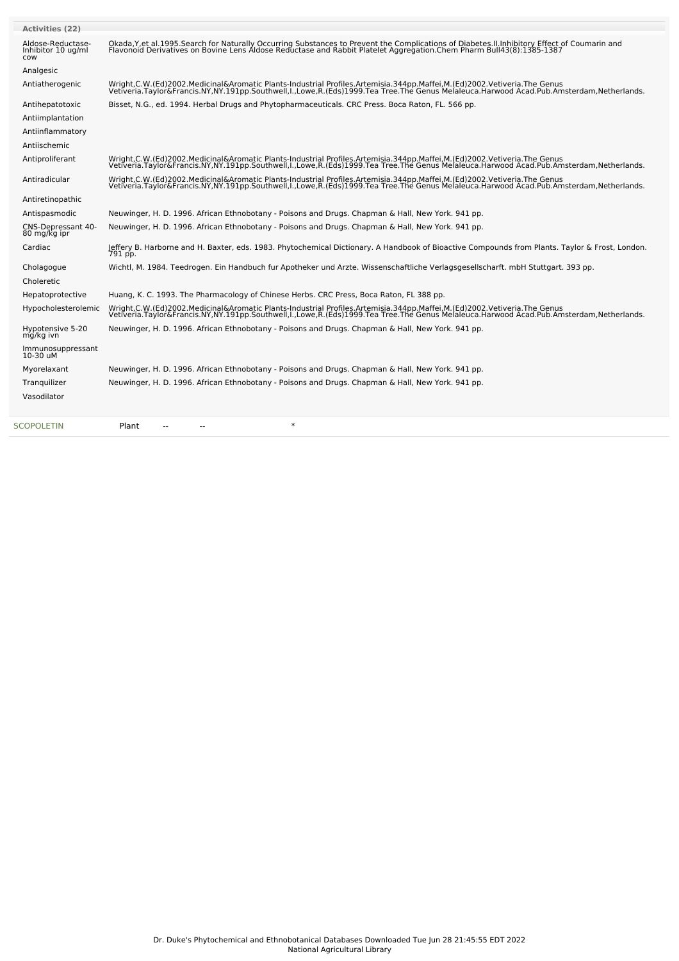| <b>Activities (22)</b>                         |                                                                                                                                                                                                                                   |
|------------------------------------------------|-----------------------------------------------------------------------------------------------------------------------------------------------------------------------------------------------------------------------------------|
| Aldose-Reductase-<br>Inhibitor 10 ug/ml<br>COW | Okada, Y, et al. 1995. Search for Naturally Occurring Substances to Prevent the Complications of Diabetes. II. Inhibitory Effect of Coumarin and<br>Flavonoid Derivatives on Bovine Lens Aldose Reductase and Rabbit Platelet Agg |
| Analgesic                                      |                                                                                                                                                                                                                                   |
| Antiatherogenic                                | Wright,C.W.(Ed)2002.Medicinal&Aromatic Plants-Industrial Profiles.Artemisia.344pp.Maffei,M.(Ed)2002.Vetiveria.The Genus<br>Vetiveria.Taylor&Francis.NY,NY.191pp.Southwell,I.,Lowe,R.(Eds)1999.Tea Tree.The Genus Melaleuca.Harwoo |
| Antihepatotoxic                                | Bisset, N.G., ed. 1994. Herbal Drugs and Phytopharmaceuticals. CRC Press. Boca Raton, FL. 566 pp.                                                                                                                                 |
| Antiimplantation                               |                                                                                                                                                                                                                                   |
| Antiinflammatory                               |                                                                                                                                                                                                                                   |
| Antiischemic                                   |                                                                                                                                                                                                                                   |
| Antiproliferant                                | Wright,C.W.(Ed)2002.Medicinal&Aromatic Plants-Industrial Profiles.Artemisia.344pp.Maffei,M.(Ed)2002.Vetiveria.The Genus<br>Vetiveria.Taylor&Francis.NY,NY.191pp.Southwell,I.,Lowe,R.(Eds)1999.Tea Tree.The Genus Melaleuca.Harwoo |
| Antiradicular                                  | Wright,C.W.(Ed)2002.Medicinal&Aromatic Plants-Industrial Profiles.Artemisia.344pp.Maffei,M.(Ed)2002.Vetiveria.The Genus<br>Vetiveria.Taylor&Francis.NY,NY.191pp.Southwell,I.,Lowe,R.(Eds)1999.Tea Tree.The Genus Melaleuca.Harwoo |
| Antiretinopathic                               |                                                                                                                                                                                                                                   |
| Antispasmodic                                  | Neuwinger, H. D. 1996. African Ethnobotany - Poisons and Drugs. Chapman & Hall, New York. 941 pp.                                                                                                                                 |
| CNS-Depressant 40-<br>80 mg/kg ipr             | Neuwinger, H. D. 1996. African Ethnobotany - Poisons and Drugs. Chapman & Hall, New York. 941 pp.                                                                                                                                 |
| Cardiac                                        | Jeffery B. Harborne and H. Baxter, eds. 1983. Phytochemical Dictionary. A Handbook of Bioactive Compounds from Plants. Taylor & Frost, London.<br>791 pp.                                                                         |
| Cholagogue                                     | Wichtl, M. 1984. Teedrogen. Ein Handbuch fur Apotheker und Arzte. Wissenschaftliche Verlagsgesellscharft. mbH Stuttgart. 393 pp.                                                                                                  |
| Choleretic                                     |                                                                                                                                                                                                                                   |
| Hepatoprotective                               | Huang, K. C. 1993. The Pharmacology of Chinese Herbs. CRC Press, Boca Raton, FL 388 pp.                                                                                                                                           |
| Hypocholesterolemic                            | Wright,C.W.(Ed)2002.Medicinal&Aromatic Plants-Industrial Profiles.Artemisia.344pp.Maffei,M.(Ed)2002.Vetiveria.The Genus<br>Vetiveria.Taylor&Francis.NY,NY.191pp.Southwell,I.,Lowe,R.(Eds)1999.Tea Tree.The Genus Melaleuca.Harwoo |
| Hypotensive 5-20<br>mg/kg ivn                  | Neuwinger, H. D. 1996. African Ethnobotany - Poisons and Drugs. Chapman & Hall, New York. 941 pp.                                                                                                                                 |
| Immunosuppressant<br>10-30 uM                  |                                                                                                                                                                                                                                   |
| Myorelaxant                                    | Neuwinger, H. D. 1996. African Ethnobotany - Poisons and Drugs. Chapman & Hall, New York. 941 pp.                                                                                                                                 |
| Tranquilizer                                   | Neuwinger, H. D. 1996. African Ethnobotany - Poisons and Drugs. Chapman & Hall, New York. 941 pp.                                                                                                                                 |
| Vasodilator                                    |                                                                                                                                                                                                                                   |
| <b>SCOPOLETIN</b>                              | $\ast$<br>Plant                                                                                                                                                                                                                   |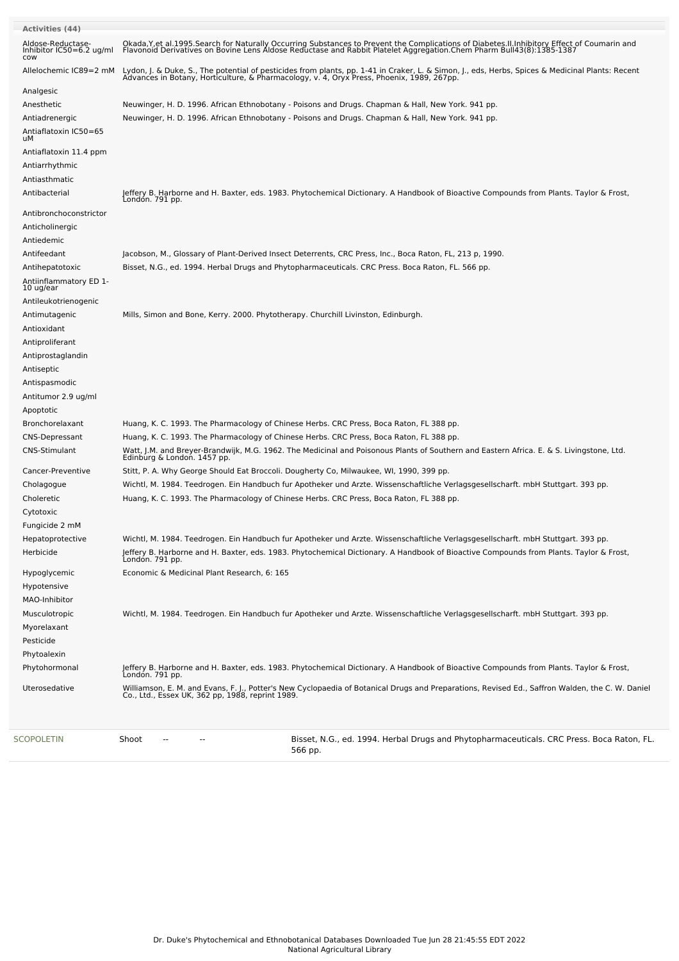| Activities (44)                                                                                     |                                                                                                                                                                                                                                                                                                                                                                  |
|-----------------------------------------------------------------------------------------------------|------------------------------------------------------------------------------------------------------------------------------------------------------------------------------------------------------------------------------------------------------------------------------------------------------------------------------------------------------------------|
| Aldose-Reductase-<br>Inhibitor IC50=6.2 ug/ml<br>COW                                                | Okada, Y, et al. 1995. Search for Naturally Occurring Substances to Prevent the Complications of Diabetes. II. Inhibitory Effect of Coumarin and<br>Flavonoid Derivatives on Bovine Lens Aldose Reductase and Rabbit Platelet Agg                                                                                                                                |
| Allelochemic IC89=2 mM                                                                              | Lydon, J. & Duke, S., The potential of pesticides from plants, pp. 1-41 in Craker, L. & Simon, J., eds, Herbs, Spices & Medicinal Plants: Recent<br>Advances in Botany, Horticulture, & Pharmacology, v. 4, Oryx Press, Phoenix,                                                                                                                                 |
| Analgesic<br>Anesthetic<br>Antiadrenergic<br>Antiaflatoxin IC50=65<br>uМ                            | Neuwinger, H. D. 1996. African Ethnobotany - Poisons and Drugs. Chapman & Hall, New York. 941 pp.<br>Neuwinger, H. D. 1996. African Ethnobotany - Poisons and Drugs. Chapman & Hall, New York. 941 pp.                                                                                                                                                           |
| Antiaflatoxin 11.4 ppm<br>Antiarrhythmic<br>Antiasthmatic<br>Antibacterial                          | Jeffery B. Harborne and H. Baxter, eds. 1983. Phytochemical Dictionary. A Handbook of Bioactive Compounds from Plants. Taylor & Frost,<br>London. 791 pp.                                                                                                                                                                                                        |
| Antibronchoconstrictor<br>Anticholinergic<br>Antiedemic                                             |                                                                                                                                                                                                                                                                                                                                                                  |
| Antifeedant<br>Antihepatotoxic<br>Antiinflammatory ED 1-<br>10 ug/ear<br>Antileukotrienogenic       | Jacobson, M., Glossary of Plant-Derived Insect Deterrents, CRC Press, Inc., Boca Raton, FL, 213 p, 1990.<br>Bisset, N.G., ed. 1994. Herbal Drugs and Phytopharmaceuticals. CRC Press. Boca Raton, FL. 566 pp.                                                                                                                                                    |
| Antimutagenic<br>Antioxidant<br>Antiproliferant<br>Antiprostaglandin<br>Antiseptic<br>Antispasmodic | Mills, Simon and Bone, Kerry. 2000. Phytotherapy. Churchill Livinston, Edinburgh.                                                                                                                                                                                                                                                                                |
| Antitumor 2.9 ug/ml<br>Apoptotic<br>Bronchorelaxant<br>CNS-Depressant                               | Huang, K. C. 1993. The Pharmacology of Chinese Herbs. CRC Press, Boca Raton, FL 388 pp.<br>Huang, K. C. 1993. The Pharmacology of Chinese Herbs. CRC Press, Boca Raton, FL 388 pp.                                                                                                                                                                               |
| CNS-Stimulant                                                                                       | Watt, J.M. and Breyer-Brandwijk, M.G. 1962. The Medicinal and Poisonous Plants of Southern and Eastern Africa. E. & S. Livingstone, Ltd.<br>Edinburg & London. 1457 pp.                                                                                                                                                                                          |
| Cancer-Preventive<br>Cholagogue<br>Choleretic<br>Cytotoxic                                          | Stitt, P. A. Why George Should Eat Broccoli. Dougherty Co, Milwaukee, WI, 1990, 399 pp.<br>Wichtl, M. 1984. Teedrogen. Ein Handbuch fur Apotheker und Arzte. Wissenschaftliche Verlagsgesellscharft. mbH Stuttgart. 393 pp.<br>Huang, K. C. 1993. The Pharmacology of Chinese Herbs. CRC Press, Boca Raton, FL 388 pp.                                           |
| Fungicide 2 mM<br>Hepatoprotective<br>Herbicide                                                     | Wichtl, M. 1984. Teedrogen. Ein Handbuch fur Apotheker und Arzte. Wissenschaftliche Verlagsgesellscharft. mbH Stuttgart. 393 pp.<br>leffery B. Harborne and H. Baxter, eds. 1983. Phytochemical Dictionary. A Handbook of Bioactive Compounds from Plants. Taylor & Frost,<br>London. 791 pp.                                                                    |
| Hypoglycemic<br>Hypotensive<br>MAO-Inhibitor                                                        | Economic & Medicinal Plant Research, 6: 165                                                                                                                                                                                                                                                                                                                      |
| Musculotropic<br>Myorelaxant<br>Pesticide<br>Phytoalexin                                            | Wichtl, M. 1984. Teedrogen. Ein Handbuch fur Apotheker und Arzte. Wissenschaftliche Verlagsgesellscharft. mbH Stuttgart. 393 pp.                                                                                                                                                                                                                                 |
| Phytohormonal<br>Uterosedative                                                                      | Jeffery B. Harborne and H. Baxter, eds. 1983. Phytochemical Dictionary. A Handbook of Bioactive Compounds from Plants. Taylor & Frost,<br>London. 791 pp.<br>Williamson, E. M. and Evans, F. J., Potter's New Cyclopaedia of Botanical Drugs and Preparations, Revised Ed., Saffron Walden, the C. W. Daniel<br>Co., Ltd., Essex UK, 362 pp, 1988, reprint 1989. |
| SCOPOLETIN                                                                                          | Bisset, N.G., ed. 1994. Herbal Drugs and Phytopharmaceuticals. CRC Press. Boca Raton, FL.<br>Shoot<br>566 pp.                                                                                                                                                                                                                                                    |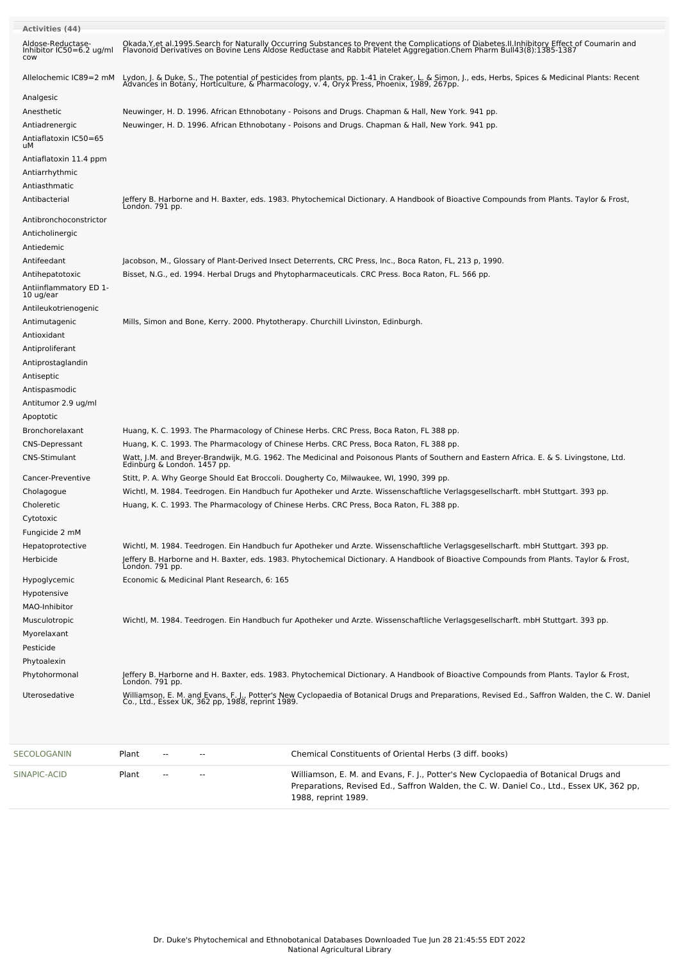| <b>Activities (44)</b>                               |                                                                                                                                                                                                                                   |
|------------------------------------------------------|-----------------------------------------------------------------------------------------------------------------------------------------------------------------------------------------------------------------------------------|
| Aldose-Reductase-<br>Inhibitor IC50=6.2 ug/ml<br>cow | Okada, Y, et al. 1995. Search for Naturally Occurring Substances to Prevent the Complications of Diabetes. II. Inhibitory Effect of Coumarin and<br>Flavonoid Derivatives on Bovine Lens Aldose Reductase and Rabbit Platelet Agg |
| Allelochemic IC89=2 mM                               | Lydon, J. & Duke, S., The potential of pesticides from plants, pp. 1-41 in Craker, L. & Simon, J., eds, Herbs, Spices & Medicinal Plants: Recent<br>Advances in Botany, Horticulture, & Pharmacology, v. 4, Oryx Press, Phoenix,  |
| Analgesic                                            |                                                                                                                                                                                                                                   |
| Anesthetic                                           | Neuwinger, H. D. 1996. African Ethnobotany - Poisons and Drugs. Chapman & Hall, New York. 941 pp.                                                                                                                                 |
| Antiadrenergic                                       | Neuwinger, H. D. 1996. African Ethnobotany - Poisons and Drugs. Chapman & Hall, New York. 941 pp.                                                                                                                                 |
| Antiaflatoxin IC50=65<br>uМ                          |                                                                                                                                                                                                                                   |
| Antiaflatoxin 11.4 ppm                               |                                                                                                                                                                                                                                   |
| Antiarrhythmic<br>Antiasthmatic                      |                                                                                                                                                                                                                                   |
| Antibacterial                                        | Jeffery B. Harborne and H. Baxter, eds. 1983. Phytochemical Dictionary. A Handbook of Bioactive Compounds from Plants. Taylor & Frost,<br>Londón. 791 pp.                                                                         |
| Antibronchoconstrictor                               |                                                                                                                                                                                                                                   |
| Anticholinergic                                      |                                                                                                                                                                                                                                   |
| Antiedemic                                           |                                                                                                                                                                                                                                   |
| Antifeedant                                          | Jacobson, M., Glossary of Plant-Derived Insect Deterrents, CRC Press, Inc., Boca Raton, FL, 213 p, 1990.                                                                                                                          |
| Antihepatotoxic                                      | Bisset, N.G., ed. 1994. Herbal Drugs and Phytopharmaceuticals. CRC Press. Boca Raton, FL. 566 pp.                                                                                                                                 |
| Antiinflammatory ED 1-<br>10 ug/ear                  |                                                                                                                                                                                                                                   |
| Antileukotrienogenic                                 |                                                                                                                                                                                                                                   |
| Antimutagenic                                        | Mills, Simon and Bone, Kerry. 2000. Phytotherapy. Churchill Livinston, Edinburgh.                                                                                                                                                 |
| Antioxidant                                          |                                                                                                                                                                                                                                   |
| Antiproliferant                                      |                                                                                                                                                                                                                                   |
| Antiprostaglandin                                    |                                                                                                                                                                                                                                   |
| Antiseptic                                           |                                                                                                                                                                                                                                   |
| Antispasmodic                                        |                                                                                                                                                                                                                                   |
| Antitumor 2.9 ug/ml                                  |                                                                                                                                                                                                                                   |
| Apoptotic                                            |                                                                                                                                                                                                                                   |
| Bronchorelaxant                                      | Huang, K. C. 1993. The Pharmacology of Chinese Herbs. CRC Press, Boca Raton, FL 388 pp.                                                                                                                                           |
| <b>CNS-Depressant</b>                                | Huang, K. C. 1993. The Pharmacology of Chinese Herbs. CRC Press, Boca Raton, FL 388 pp.                                                                                                                                           |
| <b>CNS-Stimulant</b>                                 | Watt, J.M. and Breyer-Brandwijk, M.G. 1962. The Medicinal and Poisonous Plants of Southern and Eastern Africa. E. & S. Livingstone, Ltd.<br>Edinburg & London. 1457 pp.                                                           |
| Cancer-Preventive                                    | Stitt, P. A. Why George Should Eat Broccoli. Dougherty Co, Milwaukee, WI, 1990, 399 pp.                                                                                                                                           |
| Cholagogue                                           | Wichtl, M. 1984. Teedrogen. Ein Handbuch fur Apotheker und Arzte. Wissenschaftliche Verlagsgesellscharft. mbH Stuttgart. 393 pp.                                                                                                  |
| Choleretic                                           | Huang, K. C. 1993. The Pharmacology of Chinese Herbs. CRC Press, Boca Raton, FL 388 pp.                                                                                                                                           |
| Cytotoxic                                            |                                                                                                                                                                                                                                   |
| Fungicide 2 mM                                       |                                                                                                                                                                                                                                   |
| Hepatoprotective                                     | Wichtl, M. 1984. Teedrogen. Ein Handbuch fur Apotheker und Arzte. Wissenschaftliche Verlagsgesellscharft. mbH Stuttgart. 393 pp.                                                                                                  |
| Herbicide                                            | Jeffery B. Harborne and H. Baxter, eds. 1983. Phytochemical Dictionary. A Handbook of Bioactive Compounds from Plants. Taylor & Frost,<br>Londón. 791 pp.                                                                         |
| Hypoglycemic                                         | Economic & Medicinal Plant Research, 6: 165                                                                                                                                                                                       |
| Hypotensive                                          |                                                                                                                                                                                                                                   |
| MAO-Inhibitor                                        |                                                                                                                                                                                                                                   |
| Musculotropic                                        | Wichtl, M. 1984. Teedrogen. Ein Handbuch fur Apotheker und Arzte. Wissenschaftliche Verlagsgesellscharft. mbH Stuttgart. 393 pp.                                                                                                  |
| Myorelaxant                                          |                                                                                                                                                                                                                                   |
| Pesticide                                            |                                                                                                                                                                                                                                   |
| Phytoalexin                                          |                                                                                                                                                                                                                                   |
| Phytohormonal                                        | Jeffery B. Harborne and H. Baxter, eds. 1983. Phytochemical Dictionary. A Handbook of Bioactive Compounds from Plants. Taylor & Frost,<br>Londón. 791 pp.                                                                         |
| Uterosedative                                        | Williamson, E. M. and Evans, F. J., Potter's New Cyclopaedia of Botanical Drugs and Preparations, Revised Ed., Saffron Walden, the C. W. Daniel<br>Co., Ltd., Essex UK, 362 pp, 1988, reprint 1989.                               |
|                                                      |                                                                                                                                                                                                                                   |

| SECOLOGANIN  | Plant | $\overline{\phantom{a}}$ | $\sim$ $\sim$ | Chemical Constituents of Oriental Herbs (3 diff. books)                                                                                                                                                |
|--------------|-------|--------------------------|---------------|--------------------------------------------------------------------------------------------------------------------------------------------------------------------------------------------------------|
| SINAPIC-ACID | Plant | $\sim$                   | $\sim$ $\sim$ | Williamson, E. M. and Evans, F. J., Potter's New Cyclopaedia of Botanical Drugs and<br>Preparations, Revised Ed., Saffron Walden, the C. W. Daniel Co., Ltd., Essex UK, 362 pp,<br>1988, reprint 1989. |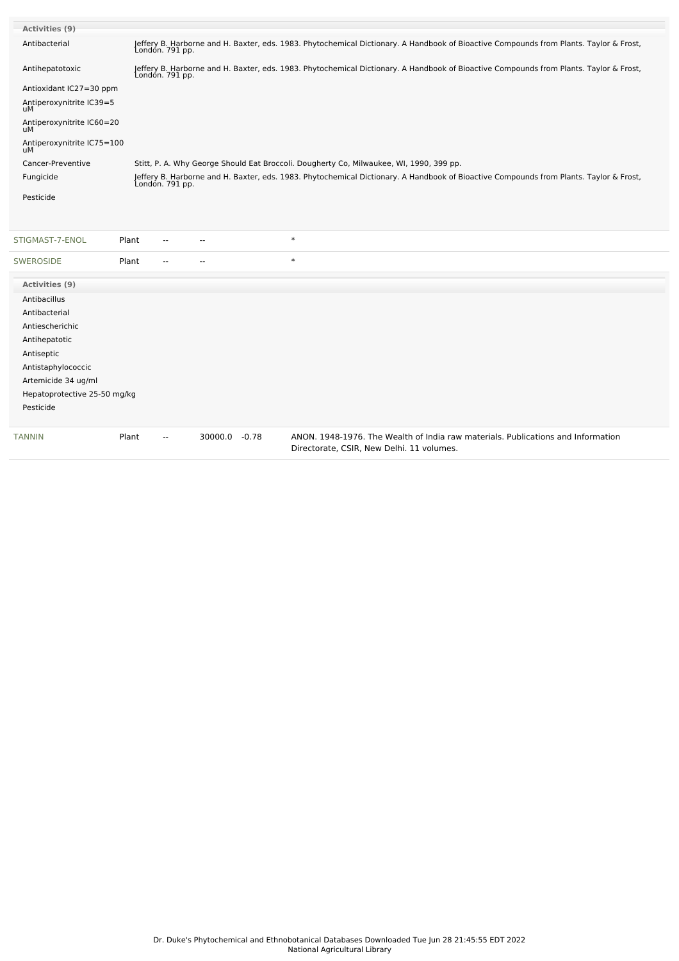| <b>Activities (9)</b>            |       |                          |         |         |                                                                                                                                                           |
|----------------------------------|-------|--------------------------|---------|---------|-----------------------------------------------------------------------------------------------------------------------------------------------------------|
| Antibacterial                    |       | Londón. 791 pp.          |         |         | Jeffery B. Harborne and H. Baxter, eds. 1983. Phytochemical Dictionary. A Handbook of Bioactive Compounds from Plants. Taylor & Frost,                    |
| Antihepatotoxic                  |       | London. 791 pp.          |         |         | Jeffery B. Harborne and H. Baxter, eds. 1983. Phytochemical Dictionary. A Handbook of Bioactive Compounds from Plants. Taylor & Frost,                    |
| Antioxidant IC27=30 ppm          |       |                          |         |         |                                                                                                                                                           |
| Antiperoxynitrite IC39=5         |       |                          |         |         |                                                                                                                                                           |
| Antiperoxynitrite IC60=20<br>uМ  |       |                          |         |         |                                                                                                                                                           |
| Antiperoxynitrite IC75=100<br>uМ |       |                          |         |         |                                                                                                                                                           |
| Cancer-Preventive                |       |                          |         |         | Stitt, P. A. Why George Should Eat Broccoli. Dougherty Co, Milwaukee, WI, 1990, 399 pp.                                                                   |
| Fungicide                        |       |                          |         |         | Jeffery B. Harborne and H. Baxter, eds. 1983. Phytochemical Dictionary. A Handbook of Bioactive Compounds from Plants. Taylor & Frost,<br>London. 791 pp. |
| Pesticide                        |       |                          |         |         |                                                                                                                                                           |
|                                  |       |                          |         |         |                                                                                                                                                           |
| STIGMAST-7-ENOL                  | Plant |                          |         |         | $\ast$                                                                                                                                                    |
| <b>SWEROSIDE</b>                 | Plant | $-$                      |         |         | $\ast$                                                                                                                                                    |
| Activities (9)                   |       |                          |         |         |                                                                                                                                                           |
| Antibacillus                     |       |                          |         |         |                                                                                                                                                           |
| Antibacterial                    |       |                          |         |         |                                                                                                                                                           |
| Antiescherichic                  |       |                          |         |         |                                                                                                                                                           |
| Antihepatotic                    |       |                          |         |         |                                                                                                                                                           |
| Antiseptic                       |       |                          |         |         |                                                                                                                                                           |
| Antistaphylococcic               |       |                          |         |         |                                                                                                                                                           |
| Artemicide 34 ug/ml              |       |                          |         |         |                                                                                                                                                           |
| Hepatoprotective 25-50 mg/kg     |       |                          |         |         |                                                                                                                                                           |
| Pesticide                        |       |                          |         |         |                                                                                                                                                           |
| TANNIN                           | Plant | $\overline{\phantom{a}}$ | 30000.0 | $-0.78$ | ANON, 1948-1976. The Wealth of India raw materials. Publications and Information<br>Directorate, CSIR, New Delhi. 11 volumes.                             |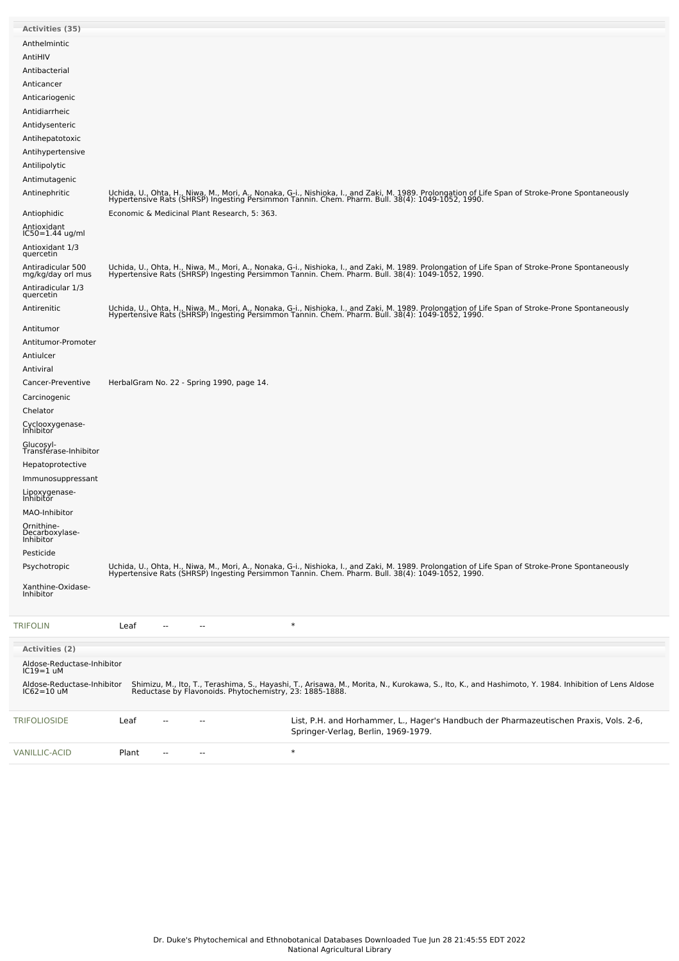| <b>Activities (35)</b>                     |                         |                                              |        |                                                                                                                                                                                                                                   |  |
|--------------------------------------------|-------------------------|----------------------------------------------|--------|-----------------------------------------------------------------------------------------------------------------------------------------------------------------------------------------------------------------------------------|--|
| Anthelmintic                               |                         |                                              |        |                                                                                                                                                                                                                                   |  |
| AntiHIV                                    |                         |                                              |        |                                                                                                                                                                                                                                   |  |
| Antibacterial                              |                         |                                              |        |                                                                                                                                                                                                                                   |  |
| Anticancer                                 |                         |                                              |        |                                                                                                                                                                                                                                   |  |
| Anticariogenic                             |                         |                                              |        |                                                                                                                                                                                                                                   |  |
| Antidiarrheic                              |                         |                                              |        |                                                                                                                                                                                                                                   |  |
| Antidysenteric                             |                         |                                              |        |                                                                                                                                                                                                                                   |  |
| Antihepatotoxic                            |                         |                                              |        |                                                                                                                                                                                                                                   |  |
| Antihypertensive                           |                         |                                              |        |                                                                                                                                                                                                                                   |  |
| Antilipolytic                              |                         |                                              |        |                                                                                                                                                                                                                                   |  |
| Antimutagenic                              |                         |                                              |        |                                                                                                                                                                                                                                   |  |
| Antinephritic                              |                         |                                              |        | Uchida, U., Ohta, H., Niwa, M., Mori, A., Nonaka, G-i., Nishioka, I., and Zaki, M. 1989. Prolongation of Life Span of Stroke-Prone Spontaneously<br>Hypertensive Rats (SHRSP) Ingesting Persimmon Tannin. Chem. Pharm. Bull. 38(4 |  |
| Antiophidic                                |                         | Economic & Medicinal Plant Research, 5: 363. |        |                                                                                                                                                                                                                                   |  |
|                                            |                         |                                              |        |                                                                                                                                                                                                                                   |  |
| Antioxidant<br>IC50=1.44 ug/ml             |                         |                                              |        |                                                                                                                                                                                                                                   |  |
| Antioxidant 1/3<br>quercetin               |                         |                                              |        |                                                                                                                                                                                                                                   |  |
| Antiradicular 500<br>mg/kg/day orl mus     |                         |                                              |        | Uchida, U., Ohta, H., Niwa, M., Mori, A., Nonaka, G-i., Nishioka, I., and Zaki, M. 1989. Prolongation of Life Span of Stroke-Prone Spontaneously<br>Hypertensive Rats (SHRSP) Ingesting Persimmon Tannin. Chem. Pharm. Bull. 38(4 |  |
| Antiradicular 1/3<br>quercetin             |                         |                                              |        |                                                                                                                                                                                                                                   |  |
| Antirenitic                                |                         |                                              |        | Uchida, U., Ohta, H., Niwa, M., Mori, A., Nonaka, G-i., Nishioka, I., and Zaki, M. 1989. Prolongation of Life Span of Stroke-Prone Spontaneously<br>Hypertensive Rats (SHRSP) Ingesting Persimmon Tannin. Chem. Pharm. Bull. 38(4 |  |
| Antitumor                                  |                         |                                              |        |                                                                                                                                                                                                                                   |  |
| Antitumor-Promoter                         |                         |                                              |        |                                                                                                                                                                                                                                   |  |
| Antiulcer                                  |                         |                                              |        |                                                                                                                                                                                                                                   |  |
| Antiviral                                  |                         |                                              |        |                                                                                                                                                                                                                                   |  |
| Cancer-Preventive                          |                         | HerbalGram No. 22 - Spring 1990, page 14.    |        |                                                                                                                                                                                                                                   |  |
| Carcinogenic                               |                         |                                              |        |                                                                                                                                                                                                                                   |  |
| Chelator                                   |                         |                                              |        |                                                                                                                                                                                                                                   |  |
| Cyclooxygenase-<br>Inhibitor               |                         |                                              |        |                                                                                                                                                                                                                                   |  |
| Glucosyl-<br>Transférase-Inhibitor         |                         |                                              |        |                                                                                                                                                                                                                                   |  |
| Hepatoprotective                           |                         |                                              |        |                                                                                                                                                                                                                                   |  |
| Immunosuppressant                          |                         |                                              |        |                                                                                                                                                                                                                                   |  |
| Lipoxygenase-<br>Inhibitor                 |                         |                                              |        |                                                                                                                                                                                                                                   |  |
| MAO-Inhibitor                              |                         |                                              |        |                                                                                                                                                                                                                                   |  |
| Ornithine-<br>Decarboxylase-<br>Inhibitor  |                         |                                              |        |                                                                                                                                                                                                                                   |  |
| Pesticide                                  |                         |                                              |        |                                                                                                                                                                                                                                   |  |
| Psychotropic                               |                         |                                              |        | Uchida, U., Ohta, H., Niwa, M., Mori, A., Nonaka, G-i., Nishioka, I., and Zaki, M. 1989. Prolongation of Life Span of Stroke-Prone Spontaneously<br>Hypertensive Rats (SHRSP) Ingesting Persimmon Tannin. Chem. Pharm. Bull. 38(4 |  |
| Xanthine-Oxidase-<br>Inhibitor             |                         |                                              |        |                                                                                                                                                                                                                                   |  |
| TRIFOLIN                                   | Leaf                    |                                              | $\ast$ |                                                                                                                                                                                                                                   |  |
| <b>Activities (2)</b>                      |                         |                                              |        |                                                                                                                                                                                                                                   |  |
| Aldose-Reductase-Inhibitor<br>$IC19=1$ uM  |                         |                                              |        |                                                                                                                                                                                                                                   |  |
| Aldose-Reductase-Inhibitor<br>$IC62=10$ uM |                         |                                              |        | Shimizu, M., Ito, T., Terashima, S., Hayashi, T., Arisawa, M., Morita, N., Kurokawa, S., Ito, K., and Hashimoto, Y. 1984. Inhibition of Lens Aldose<br>Reductase by Flavonoids. Phytochemistry, 23: 1885-1888.                    |  |
| TRIFOLIOSIDE                               | Leaf                    |                                              |        | List, P.H. and Horhammer, L., Hager's Handbuch der Pharmazeutischen Praxis, Vols. 2-6,<br>Springer-Verlag, Berlin, 1969-1979.                                                                                                     |  |
| VANILLIC-ACID                              | Plant<br>$\overline{a}$ | --                                           | $\ast$ |                                                                                                                                                                                                                                   |  |